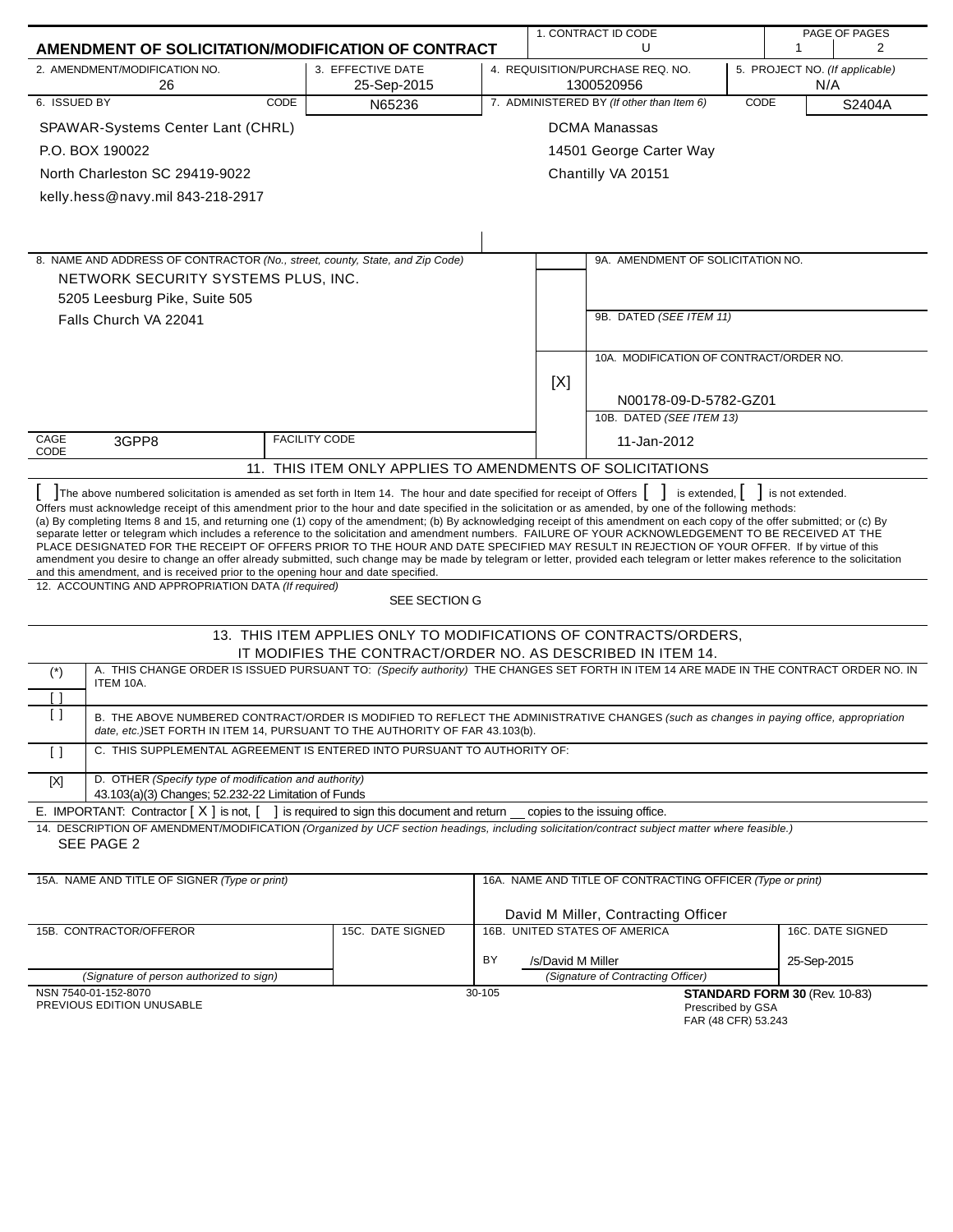|                    |                                                                                                                                                                                                                                                                                                                                                                                                                                                                                                                                                                                                                                                                                                                                                                                                                                                                                                                                                                                                                                                          |                                                                  |        |                   | 1. CONTRACT ID CODE                                        |      | PAGE OF PAGES                         |        |
|--------------------|----------------------------------------------------------------------------------------------------------------------------------------------------------------------------------------------------------------------------------------------------------------------------------------------------------------------------------------------------------------------------------------------------------------------------------------------------------------------------------------------------------------------------------------------------------------------------------------------------------------------------------------------------------------------------------------------------------------------------------------------------------------------------------------------------------------------------------------------------------------------------------------------------------------------------------------------------------------------------------------------------------------------------------------------------------|------------------------------------------------------------------|--------|-------------------|------------------------------------------------------------|------|---------------------------------------|--------|
|                    | AMENDMENT OF SOLICITATION/MODIFICATION OF CONTRACT                                                                                                                                                                                                                                                                                                                                                                                                                                                                                                                                                                                                                                                                                                                                                                                                                                                                                                                                                                                                       |                                                                  |        |                   | U                                                          |      | 1                                     | 2      |
|                    | 2. AMENDMENT/MODIFICATION NO.<br>26                                                                                                                                                                                                                                                                                                                                                                                                                                                                                                                                                                                                                                                                                                                                                                                                                                                                                                                                                                                                                      | 3. EFFECTIVE DATE<br>25-Sep-2015                                 |        |                   | 4. REQUISITION/PURCHASE REQ. NO.<br>1300520956             |      | 5. PROJECT NO. (If applicable)<br>N/A |        |
| 6. ISSUED BY       | <b>CODE</b>                                                                                                                                                                                                                                                                                                                                                                                                                                                                                                                                                                                                                                                                                                                                                                                                                                                                                                                                                                                                                                              | N65236                                                           |        |                   | 7. ADMINISTERED BY (If other than Item 6)                  | CODE |                                       | S2404A |
|                    | SPAWAR-Systems Center Lant (CHRL)                                                                                                                                                                                                                                                                                                                                                                                                                                                                                                                                                                                                                                                                                                                                                                                                                                                                                                                                                                                                                        |                                                                  |        |                   | <b>DCMA Manassas</b>                                       |      |                                       |        |
|                    | P.O. BOX 190022                                                                                                                                                                                                                                                                                                                                                                                                                                                                                                                                                                                                                                                                                                                                                                                                                                                                                                                                                                                                                                          |                                                                  |        |                   | 14501 George Carter Way                                    |      |                                       |        |
|                    | North Charleston SC 29419-9022                                                                                                                                                                                                                                                                                                                                                                                                                                                                                                                                                                                                                                                                                                                                                                                                                                                                                                                                                                                                                           |                                                                  |        |                   | Chantilly VA 20151                                         |      |                                       |        |
|                    | kelly.hess@navy.mil 843-218-2917                                                                                                                                                                                                                                                                                                                                                                                                                                                                                                                                                                                                                                                                                                                                                                                                                                                                                                                                                                                                                         |                                                                  |        |                   |                                                            |      |                                       |        |
|                    |                                                                                                                                                                                                                                                                                                                                                                                                                                                                                                                                                                                                                                                                                                                                                                                                                                                                                                                                                                                                                                                          |                                                                  |        |                   |                                                            |      |                                       |        |
|                    |                                                                                                                                                                                                                                                                                                                                                                                                                                                                                                                                                                                                                                                                                                                                                                                                                                                                                                                                                                                                                                                          |                                                                  |        |                   |                                                            |      |                                       |        |
|                    | 8. NAME AND ADDRESS OF CONTRACTOR (No., street, county, State, and Zip Code)                                                                                                                                                                                                                                                                                                                                                                                                                                                                                                                                                                                                                                                                                                                                                                                                                                                                                                                                                                             |                                                                  |        |                   | 9A. AMENDMENT OF SOLICITATION NO.                          |      |                                       |        |
|                    | NETWORK SECURITY SYSTEMS PLUS, INC.                                                                                                                                                                                                                                                                                                                                                                                                                                                                                                                                                                                                                                                                                                                                                                                                                                                                                                                                                                                                                      |                                                                  |        |                   |                                                            |      |                                       |        |
|                    | 5205 Leesburg Pike, Suite 505                                                                                                                                                                                                                                                                                                                                                                                                                                                                                                                                                                                                                                                                                                                                                                                                                                                                                                                                                                                                                            |                                                                  |        |                   |                                                            |      |                                       |        |
|                    | Falls Church VA 22041                                                                                                                                                                                                                                                                                                                                                                                                                                                                                                                                                                                                                                                                                                                                                                                                                                                                                                                                                                                                                                    |                                                                  |        |                   | 9B. DATED (SEE ITEM 11)                                    |      |                                       |        |
|                    |                                                                                                                                                                                                                                                                                                                                                                                                                                                                                                                                                                                                                                                                                                                                                                                                                                                                                                                                                                                                                                                          |                                                                  |        |                   |                                                            |      |                                       |        |
|                    |                                                                                                                                                                                                                                                                                                                                                                                                                                                                                                                                                                                                                                                                                                                                                                                                                                                                                                                                                                                                                                                          |                                                                  |        |                   | 10A. MODIFICATION OF CONTRACT/ORDER NO.                    |      |                                       |        |
|                    |                                                                                                                                                                                                                                                                                                                                                                                                                                                                                                                                                                                                                                                                                                                                                                                                                                                                                                                                                                                                                                                          |                                                                  |        | [X]               |                                                            |      |                                       |        |
|                    |                                                                                                                                                                                                                                                                                                                                                                                                                                                                                                                                                                                                                                                                                                                                                                                                                                                                                                                                                                                                                                                          |                                                                  |        |                   | N00178-09-D-5782-GZ01                                      |      |                                       |        |
|                    |                                                                                                                                                                                                                                                                                                                                                                                                                                                                                                                                                                                                                                                                                                                                                                                                                                                                                                                                                                                                                                                          |                                                                  |        |                   | 10B. DATED (SEE ITEM 13)                                   |      |                                       |        |
| CAGE<br>CODE       | 3GPP8                                                                                                                                                                                                                                                                                                                                                                                                                                                                                                                                                                                                                                                                                                                                                                                                                                                                                                                                                                                                                                                    | <b>FACILITY CODE</b>                                             |        |                   | 11-Jan-2012                                                |      |                                       |        |
|                    |                                                                                                                                                                                                                                                                                                                                                                                                                                                                                                                                                                                                                                                                                                                                                                                                                                                                                                                                                                                                                                                          | 11. THIS ITEM ONLY APPLIES TO AMENDMENTS OF SOLICITATIONS        |        |                   |                                                            |      |                                       |        |
|                    | The above numbered solicitation is amended as set forth in Item 14. The hour and date specified for receipt of Offers [ ]<br>Offers must acknowledge receipt of this amendment prior to the hour and date specified in the solicitation or as amended, by one of the following methods:<br>(a) By completing Items 8 and 15, and returning one (1) copy of the amendment; (b) By acknowledging receipt of this amendment on each copy of the offer submitted; or (c) By<br>separate letter or telegram which includes a reference to the solicitation and amendment numbers. FAILURE OF YOUR ACKNOWLEDGEMENT TO BE RECEIVED AT THE<br>PLACE DESIGNATED FOR THE RECEIPT OF OFFERS PRIOR TO THE HOUR AND DATE SPECIFIED MAY RESULT IN REJECTION OF YOUR OFFER. If by virtue of this<br>amendment you desire to change an offer already submitted, such change may be made by telegram or letter, provided each telegram or letter makes reference to the solicitation<br>and this amendment, and is received prior to the opening hour and date specified. |                                                                  |        |                   | is extended,                                               |      | is not extended.                      |        |
|                    | 12. ACCOUNTING AND APPROPRIATION DATA (If required)                                                                                                                                                                                                                                                                                                                                                                                                                                                                                                                                                                                                                                                                                                                                                                                                                                                                                                                                                                                                      | SEE SECTION G                                                    |        |                   |                                                            |      |                                       |        |
|                    |                                                                                                                                                                                                                                                                                                                                                                                                                                                                                                                                                                                                                                                                                                                                                                                                                                                                                                                                                                                                                                                          | 13. THIS ITEM APPLIES ONLY TO MODIFICATIONS OF CONTRACTS/ORDERS, |        |                   |                                                            |      |                                       |        |
|                    |                                                                                                                                                                                                                                                                                                                                                                                                                                                                                                                                                                                                                                                                                                                                                                                                                                                                                                                                                                                                                                                          | IT MODIFIES THE CONTRACT/ORDER NO. AS DESCRIBED IN ITEM 14.      |        |                   |                                                            |      |                                       |        |
| $(*)$              | A. THIS CHANGE ORDER IS ISSUED PURSUANT TO: (Specify authority) THE CHANGES SET FORTH IN ITEM 14 ARE MADE IN THE CONTRACT ORDER NO. IN<br>ITEM 10A.                                                                                                                                                                                                                                                                                                                                                                                                                                                                                                                                                                                                                                                                                                                                                                                                                                                                                                      |                                                                  |        |                   |                                                            |      |                                       |        |
| $\lceil$ $\rceil$  |                                                                                                                                                                                                                                                                                                                                                                                                                                                                                                                                                                                                                                                                                                                                                                                                                                                                                                                                                                                                                                                          |                                                                  |        |                   |                                                            |      |                                       |        |
| $\left[ \ \right]$ | B. THE ABOVE NUMBERED CONTRACT/ORDER IS MODIFIED TO REFLECT THE ADMINISTRATIVE CHANGES (such as changes in paying office, appropriation<br>date, etc.) SET FORTH IN ITEM 14, PURSUANT TO THE AUTHORITY OF FAR 43.103(b).                                                                                                                                                                                                                                                                                                                                                                                                                                                                                                                                                                                                                                                                                                                                                                                                                                 |                                                                  |        |                   |                                                            |      |                                       |        |
| $\lceil$ $\rceil$  | C. THIS SUPPLEMENTAL AGREEMENT IS ENTERED INTO PURSUANT TO AUTHORITY OF:                                                                                                                                                                                                                                                                                                                                                                                                                                                                                                                                                                                                                                                                                                                                                                                                                                                                                                                                                                                 |                                                                  |        |                   |                                                            |      |                                       |        |
| [X]                | D. OTHER (Specify type of modification and authority)<br>43.103(a)(3) Changes; 52.232-22 Limitation of Funds                                                                                                                                                                                                                                                                                                                                                                                                                                                                                                                                                                                                                                                                                                                                                                                                                                                                                                                                             |                                                                  |        |                   |                                                            |      |                                       |        |
|                    | E. IMPORTANT: Contractor $[X]$ is not, $[$                                                                                                                                                                                                                                                                                                                                                                                                                                                                                                                                                                                                                                                                                                                                                                                                                                                                                                                                                                                                               | I is required to sign this document and return                   |        |                   | copies to the issuing office.                              |      |                                       |        |
|                    | 14. DESCRIPTION OF AMENDMENT/MODIFICATION (Organized by UCF section headings, including solicitation/contract subject matter where feasible.)<br>SEE PAGE 2                                                                                                                                                                                                                                                                                                                                                                                                                                                                                                                                                                                                                                                                                                                                                                                                                                                                                              |                                                                  |        |                   |                                                            |      |                                       |        |
|                    |                                                                                                                                                                                                                                                                                                                                                                                                                                                                                                                                                                                                                                                                                                                                                                                                                                                                                                                                                                                                                                                          |                                                                  |        |                   |                                                            |      |                                       |        |
|                    | 15A. NAME AND TITLE OF SIGNER (Type or print)                                                                                                                                                                                                                                                                                                                                                                                                                                                                                                                                                                                                                                                                                                                                                                                                                                                                                                                                                                                                            |                                                                  |        |                   | 16A. NAME AND TITLE OF CONTRACTING OFFICER (Type or print) |      |                                       |        |
|                    |                                                                                                                                                                                                                                                                                                                                                                                                                                                                                                                                                                                                                                                                                                                                                                                                                                                                                                                                                                                                                                                          |                                                                  |        |                   | David M Miller, Contracting Officer                        |      |                                       |        |
|                    | 15B. CONTRACTOR/OFFEROR                                                                                                                                                                                                                                                                                                                                                                                                                                                                                                                                                                                                                                                                                                                                                                                                                                                                                                                                                                                                                                  | 15C. DATE SIGNED                                                 |        |                   | 16B. UNITED STATES OF AMERICA                              |      | 16C. DATE SIGNED                      |        |
|                    |                                                                                                                                                                                                                                                                                                                                                                                                                                                                                                                                                                                                                                                                                                                                                                                                                                                                                                                                                                                                                                                          |                                                                  | BY     | /s/David M Miller |                                                            |      | 25-Sep-2015                           |        |
|                    | (Signature of person authorized to sign)                                                                                                                                                                                                                                                                                                                                                                                                                                                                                                                                                                                                                                                                                                                                                                                                                                                                                                                                                                                                                 |                                                                  |        |                   | (Signature of Contracting Officer)                         |      |                                       |        |
|                    | NSN 7540-01-152-8070<br>PREVIOUS EDITION UNUSABLE                                                                                                                                                                                                                                                                                                                                                                                                                                                                                                                                                                                                                                                                                                                                                                                                                                                                                                                                                                                                        |                                                                  | 30-105 |                   | Prescribed by GSA<br>FAR (48 CFR) 53.243                   |      | STANDARD FORM 30 (Rev. 10-83)         |        |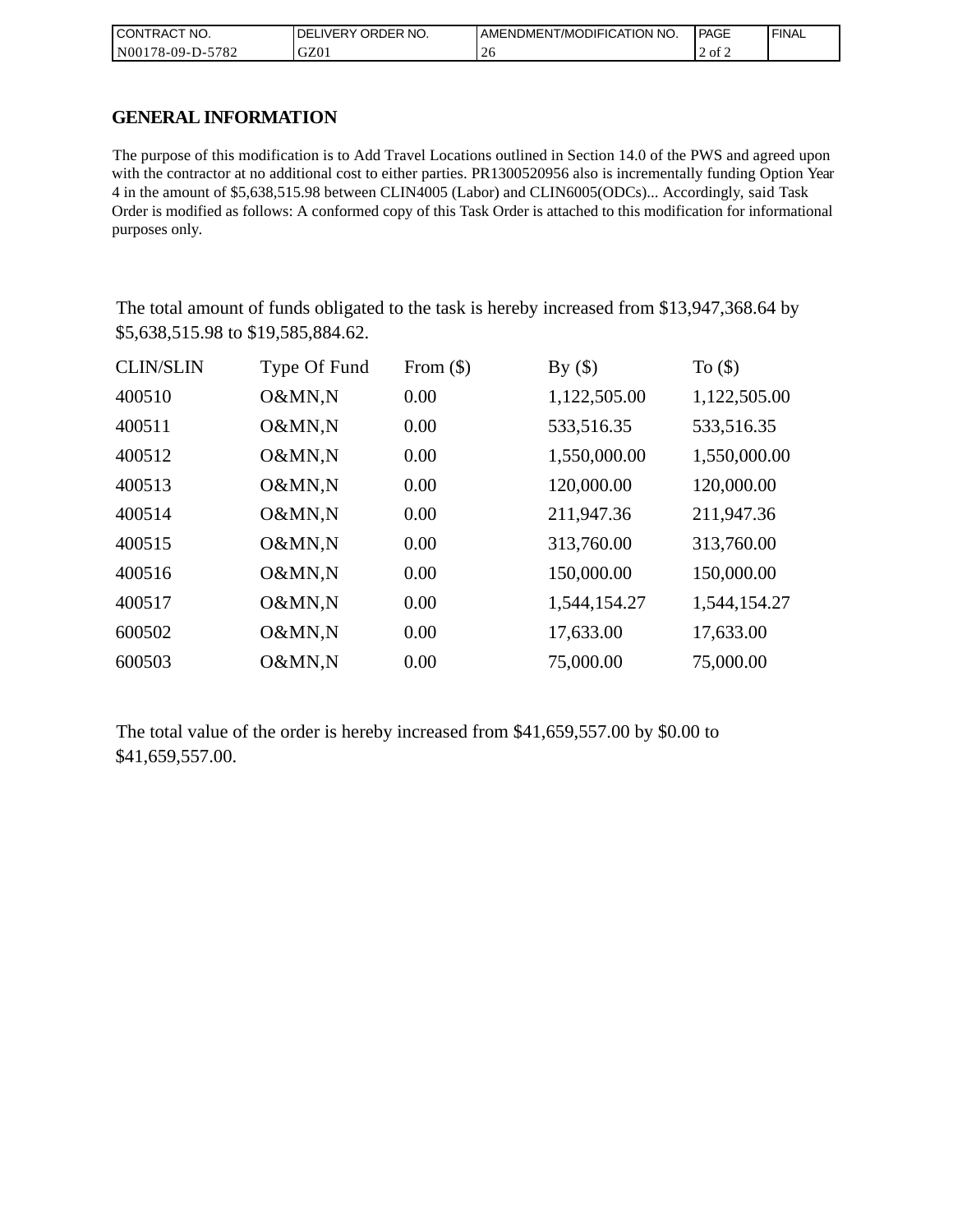| <b>CONT</b><br>`CT NO.<br>I RAC | NO.<br>' ORDER<br><b>DELIVERY</b> | AMENDMENT/MODIFICATION NO. | <b>PAGE</b> | <b>FINAL</b> |
|---------------------------------|-----------------------------------|----------------------------|-------------|--------------|
| 5782<br>N001<br>'78-09-D-J      | GZ01                              | ∠∪                         | 2 of 2      |              |

### **GENERAL INFORMATION**

The purpose of this modification is to Add Travel Locations outlined in Section 14.0 of the PWS and agreed upon with the contractor at no additional cost to either parties. PR1300520956 also is incrementally funding Option Year 4 in the amount of \$5,638,515.98 between CLIN4005 (Labor) and CLIN6005(ODCs)... Accordingly, said Task Order is modified as follows: A conformed copy of this Task Order is attached to this modification for informational purposes only.

The total amount of funds obligated to the task is hereby increased from \$13,947,368.64 by \$5,638,515.98 to \$19,585,884.62.

| <b>CLIN/SLIN</b> | Type Of Fund | From $(\$)$ | By $(\$)$    | To $($ math) |
|------------------|--------------|-------------|--------------|--------------|
| 400510           | O&MN,N       | 0.00        | 1,122,505.00 | 1,122,505.00 |
| 400511           | O&MN,N       | 0.00        | 533,516.35   | 533,516.35   |
| 400512           | O&MN,N       | 0.00        | 1,550,000.00 | 1,550,000.00 |
| 400513           | O&MN,N       | 0.00        | 120,000.00   | 120,000.00   |
| 400514           | O&MN,N       | 0.00        | 211,947.36   | 211,947.36   |
| 400515           | O&MN,N       | 0.00        | 313,760.00   | 313,760.00   |
| 400516           | O&MN,N       | 0.00        | 150,000.00   | 150,000.00   |
| 400517           | O&MN,N       | 0.00        | 1,544,154.27 | 1,544,154.27 |
| 600502           | O&MN,N       | 0.00        | 17,633.00    | 17,633.00    |
| 600503           | O&MN,N       | 0.00        | 75,000.00    | 75,000.00    |

The total value of the order is hereby increased from \$41,659,557.00 by \$0.00 to \$41,659,557.00.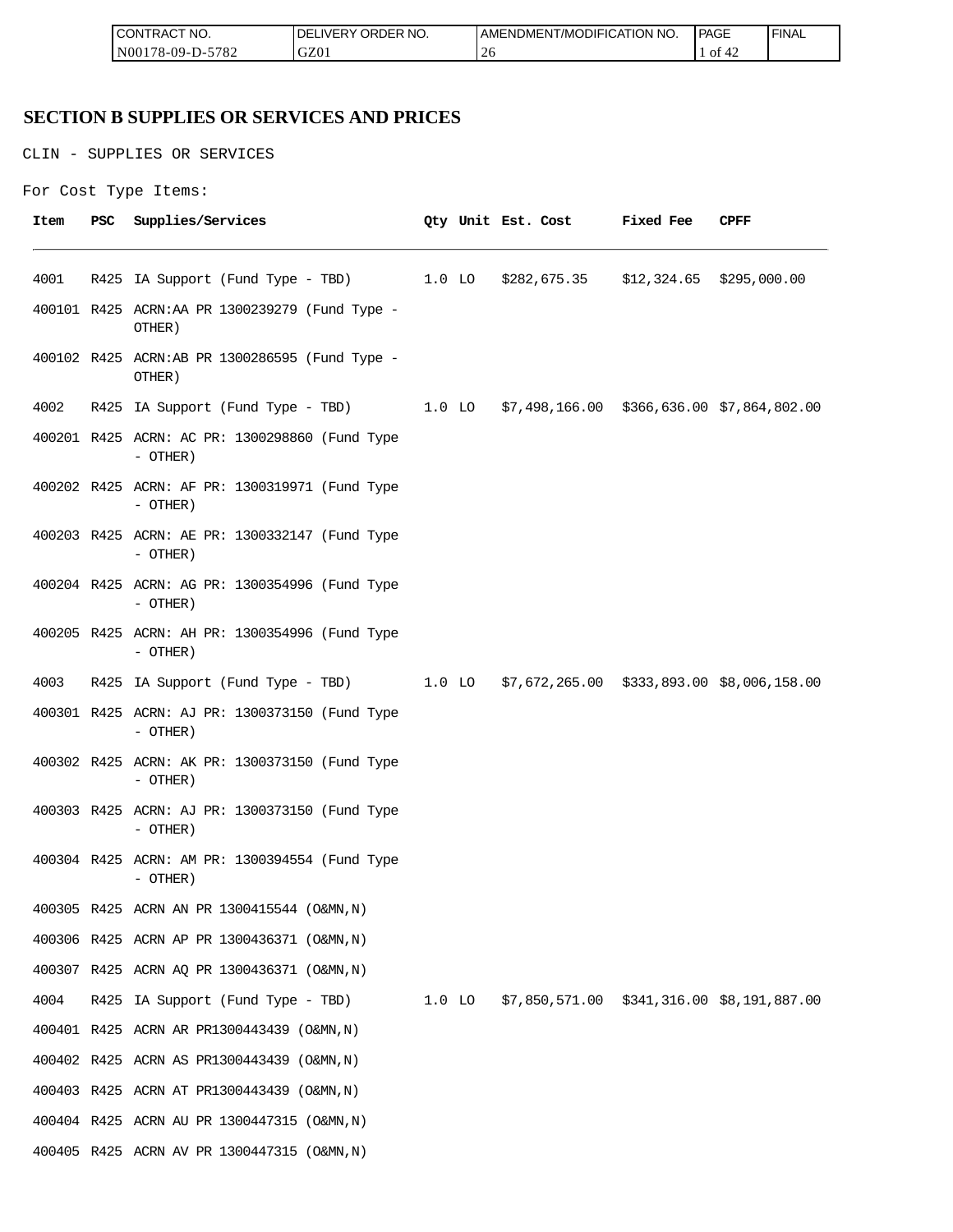| <b>ICON</b><br>°CT NO.<br>∵I RAC      | $\sim$ $\sim$ $\sim$<br>R NO.<br>ЭR.<br>.DEF<br>۱۰ ا | ICATION NO.<br>ODIFIO<br>AME<br>-NDMEN.<br>l /MC | PAGE<br>____ | <b>FINAL</b> |
|---------------------------------------|------------------------------------------------------|--------------------------------------------------|--------------|--------------|
| 5700<br>N00<br>$8 - 09 - D -$<br>∠ه ' | GZ0                                                  | ⌒<br>ZU                                          | ΟĪ           |              |

## **SECTION B SUPPLIES OR SERVICES AND PRICES**

CLIN - SUPPLIES OR SERVICES

```
For Cost Type Items:
```

| Item | PSC | Supplies/Services                                                                   |  | Qty Unit Est. Cost | <b>Fixed Fee</b> | CPFF |
|------|-----|-------------------------------------------------------------------------------------|--|--------------------|------------------|------|
| 4001 |     | R425 IA Support (Fund Type - TBD) 1.0 LO \$282,675.35 \$12,324.65 \$295,000.00      |  |                    |                  |      |
|      |     | 400101 R425 ACRN:AA PR 1300239279 (Fund Type -<br>OTHER)                            |  |                    |                  |      |
|      |     | 400102 R425 ACRN:AB PR 1300286595 (Fund Type -<br>OTHER)                            |  |                    |                  |      |
| 4002 |     | R425 IA Support (Fund Type - TBD) 1.0 LO \$7,498,166.00 \$366,636.00 \$7,864,802.00 |  |                    |                  |      |
|      |     | 400201 R425 ACRN: AC PR: 1300298860 (Fund Type<br>- OTHER)                          |  |                    |                  |      |
|      |     | 400202 R425 ACRN: AF PR: 1300319971 (Fund Type<br>- OTHER)                          |  |                    |                  |      |
|      |     | 400203 R425 ACRN: AE PR: 1300332147 (Fund Type<br>- OTHER)                          |  |                    |                  |      |
|      |     | 400204 R425 ACRN: AG PR: 1300354996 (Fund Type<br>$-$ OTHER)                        |  |                    |                  |      |
|      |     | 400205 R425 ACRN: AH PR: 1300354996 (Fund Type<br>$-$ OTHER)                        |  |                    |                  |      |
| 4003 |     | R425 IA Support (Fund Type - TBD) 1.0 LO \$7,672,265.00 \$333,893.00 \$8,006,158.00 |  |                    |                  |      |
|      |     | 400301 R425 ACRN: AJ PR: 1300373150 (Fund Type<br>$-$ OTHER)                        |  |                    |                  |      |
|      |     | 400302 R425 ACRN: AK PR: 1300373150 (Fund Type<br>- OTHER)                          |  |                    |                  |      |
|      |     | 400303 R425 ACRN: AJ PR: 1300373150 (Fund Type<br>- OTHER)                          |  |                    |                  |      |
|      |     | 400304 R425 ACRN: AM PR: 1300394554 (Fund Type<br>- OTHER)                          |  |                    |                  |      |
|      |     | 400305 R425 ACRN AN PR 1300415544 (O&MN, N)                                         |  |                    |                  |      |
|      |     | 400306 R425 ACRN AP PR 1300436371 (O&MN, N)                                         |  |                    |                  |      |
|      |     | 400307 R425 ACRN AQ PR 1300436371 (O&MN, N)                                         |  |                    |                  |      |
| 4004 |     | R425 IA Support (Fund Type - TBD) 1.0 LO \$7,850,571.00 \$341,316.00 \$8,191,887.00 |  |                    |                  |      |
|      |     | 400401 R425 ACRN AR PR1300443439 (O&MN, N)                                          |  |                    |                  |      |
|      |     | 400402 R425 ACRN AS PR1300443439 (O&MN, N)                                          |  |                    |                  |      |
|      |     | 400403 R425 ACRN AT PR1300443439 (O&MN, N)                                          |  |                    |                  |      |
|      |     | 400404 R425 ACRN AU PR 1300447315 (O&MN, N)                                         |  |                    |                  |      |
|      |     | 400405 R425 ACRN AV PR 1300447315 (O&MN, N)                                         |  |                    |                  |      |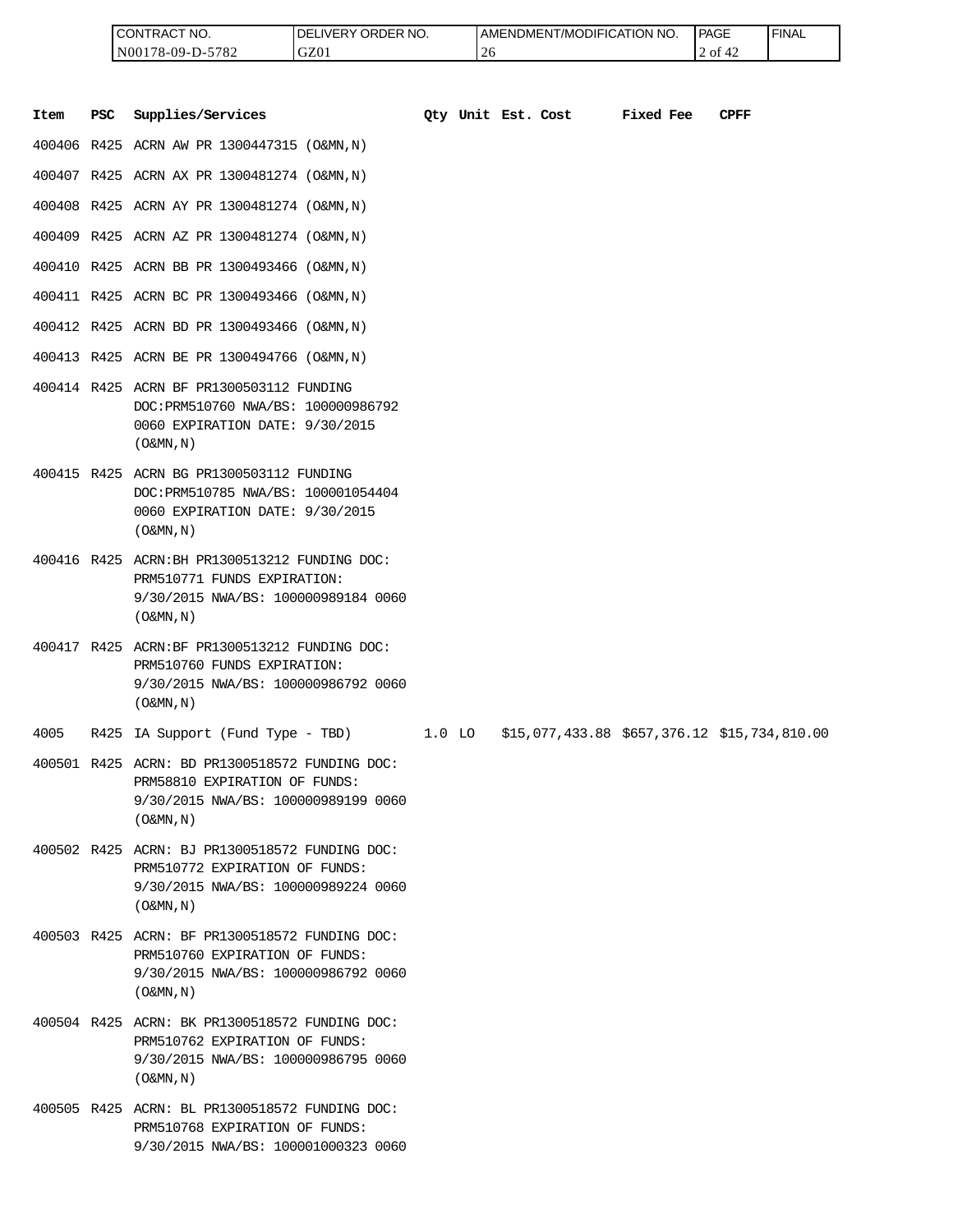| <b>ICONTRACT NO.</b> | LIVERY ORDER NO.<br>DEL | <b>I AMENDMENT/MODIFICATION NO.</b> | PAGE    | 'FINAL |
|----------------------|-------------------------|-------------------------------------|---------|--------|
| N00178-09-D-5782     | GZ01                    | -4 C                                | 2 of 42 |        |

|      |     | CONTRACT NO.<br>N00178-09-D-5782                                                                                                                      | DELIVERY ORDER NO.<br>GZ01 |        | 26                 | AMENDMENT/MODIFICATION NO.                   |           | PAGE<br>2 of 42 | <b>FINAL</b> |
|------|-----|-------------------------------------------------------------------------------------------------------------------------------------------------------|----------------------------|--------|--------------------|----------------------------------------------|-----------|-----------------|--------------|
| Item | PSC | Supplies/Services                                                                                                                                     |                            |        | Oty Unit Est. Cost |                                              | Fixed Fee | <b>CPFF</b>     |              |
|      |     | 400406 R425 ACRN AW PR 1300447315 (O&MN, N)                                                                                                           |                            |        |                    |                                              |           |                 |              |
|      |     | 400407 R425 ACRN AX PR 1300481274 (O&MN, N)                                                                                                           |                            |        |                    |                                              |           |                 |              |
|      |     | 400408 R425 ACRN AY PR 1300481274 (O&MN, N)                                                                                                           |                            |        |                    |                                              |           |                 |              |
|      |     | 400409 R425 ACRN AZ PR 1300481274 (O&MN, N)                                                                                                           |                            |        |                    |                                              |           |                 |              |
|      |     | 400410 R425 ACRN BB PR 1300493466 (O&MN, N)                                                                                                           |                            |        |                    |                                              |           |                 |              |
|      |     | 400411 R425 ACRN BC PR 1300493466 (O&MN, N)                                                                                                           |                            |        |                    |                                              |           |                 |              |
|      |     | 400412 R425 ACRN BD PR 1300493466 (O&MN, N)                                                                                                           |                            |        |                    |                                              |           |                 |              |
|      |     | 400413 R425 ACRN BE PR 1300494766 (O&MN, N)                                                                                                           |                            |        |                    |                                              |           |                 |              |
|      |     | 400414 R425 ACRN BF PR1300503112 FUNDING<br>DOC: PRM510760 NWA/BS: 100000986792<br>0060 EXPIRATION DATE: 9/30/2015<br>$($ O&MN, $\overline{N}$ )      |                            |        |                    |                                              |           |                 |              |
|      |     | 400415 R425 ACRN BG PR1300503112 FUNDING<br>DOC: PRM510785 NWA/BS: 100001054404<br>0060 EXPIRATION DATE: 9/30/2015<br>$($ O&MN, N)                    |                            |        |                    |                                              |           |                 |              |
|      |     | 400416 R425 ACRN: BH PR1300513212 FUNDING DOC:<br>PRM510771 FUNDS EXPIRATION:<br>9/30/2015 NWA/BS: 100000989184 0060<br>$($ O&MN, $\overline{N}$ )    |                            |        |                    |                                              |           |                 |              |
|      |     | 400417 R425 ACRN:BF PR1300513212 FUNDING DOC:<br>PRM510760 FUNDS EXPIRATION:<br>9/30/2015 NWA/BS: 100000986792 0060<br>$($ O&MN, N)                   |                            |        |                    |                                              |           |                 |              |
| 4005 |     | R425 IA Support (Fund Type - TBD)                                                                                                                     |                            | 1.0 LO |                    | \$15,077,433.88 \$657,376.12 \$15,734,810.00 |           |                 |              |
|      |     | 400501 R425 ACRN: BD PR1300518572 FUNDING DOC:<br>PRM58810 EXPIRATION OF FUNDS:<br>9/30/2015 NWA/BS: 100000989199 0060<br>$($ O&MN, N)                |                            |        |                    |                                              |           |                 |              |
|      |     | 400502 R425 ACRN: BJ PR1300518572 FUNDING DOC:<br>PRM510772 EXPIRATION OF FUNDS:<br>9/30/2015 NWA/BS: 100000989224 0060<br>$($ O&MN , N $)$           |                            |        |                    |                                              |           |                 |              |
|      |     | 400503 R425 ACRN: BF PR1300518572 FUNDING DOC:<br>PRM510760 EXPIRATION OF FUNDS:<br>9/30/2015 NWA/BS: 100000986792 0060<br>$($ O&MN, N)               |                            |        |                    |                                              |           |                 |              |
|      |     | 400504 R425 ACRN: BK PR1300518572 FUNDING DOC:<br>PRM510762 EXPIRATION OF FUNDS:<br>9/30/2015 NWA/BS: 100000986795 0060<br>$($ O&MN, $\overline{N}$ ) |                            |        |                    |                                              |           |                 |              |
|      |     | 400505 R425 ACRN: BL PR1300518572 FUNDING DOC:<br>PRM510768 EXPIRATION OF FUNDS:<br>9/30/2015 NWA/BS: 100001000323 0060                               |                            |        |                    |                                              |           |                 |              |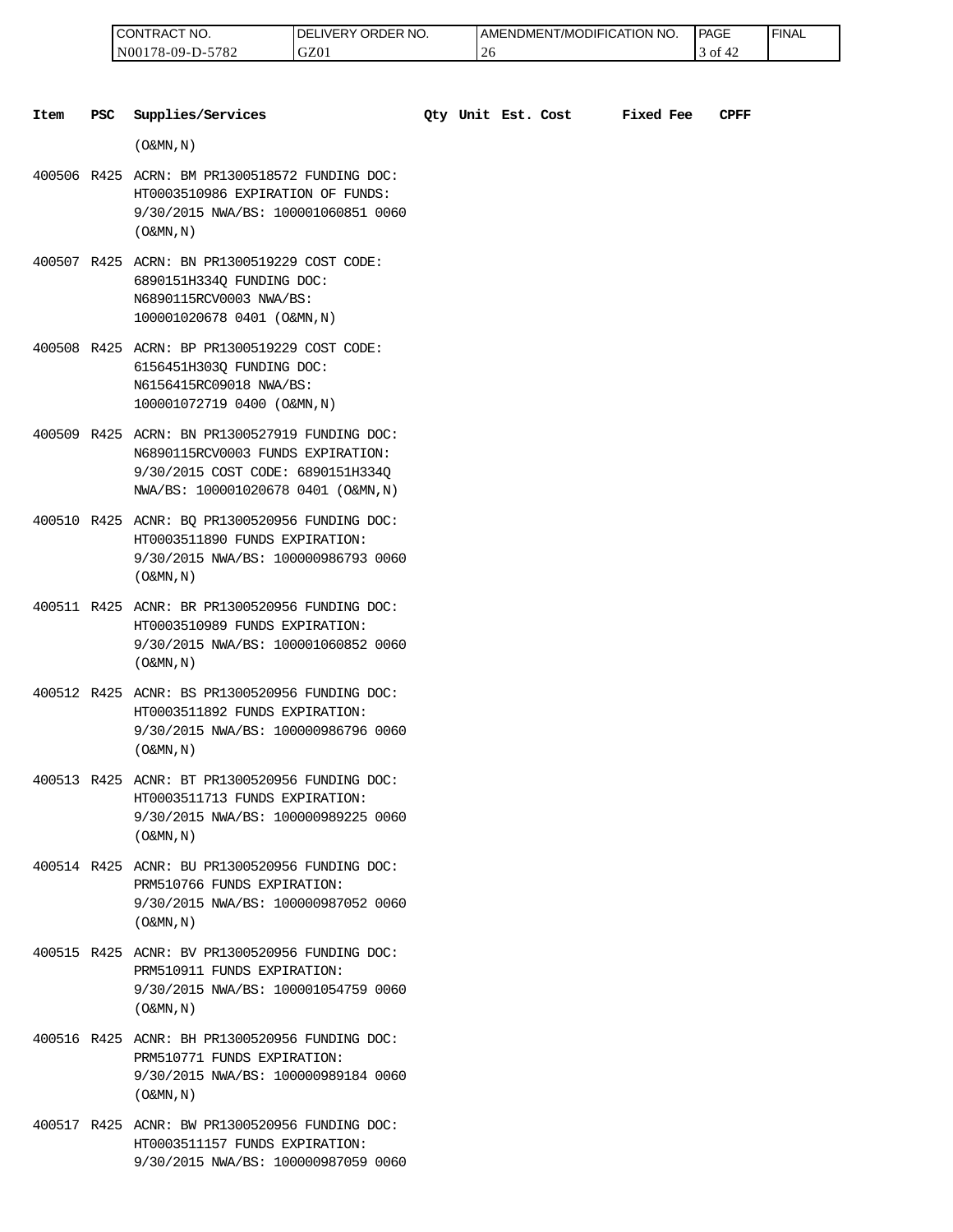| 'NO.<br>CONTRAC <sub>1</sub> | ' ORDER NO.<br>$\_$ IVERY $^{\prime}$<br>DEI | NO.<br>  AMENDMENT/MODIFICATION_ | <b>PAGE</b>  | ' FINAL |
|------------------------------|----------------------------------------------|----------------------------------|--------------|---------|
| N00178-09-D-5782             | GZ01                                         | $\sim$                           | † ot<br>$+2$ |         |

| Item | <b>PSC</b> | Supplies/Services                                                                                                                                               |  | Qty Unit Est. Cost | <b>Fixed Fee</b> | CPFF |
|------|------------|-----------------------------------------------------------------------------------------------------------------------------------------------------------------|--|--------------------|------------------|------|
|      |            | $($ O&MN, N)                                                                                                                                                    |  |                    |                  |      |
|      |            | 400506 R425 ACRN: BM PR1300518572 FUNDING DOC:<br>HT0003510986 EXPIRATION OF FUNDS:<br>9/30/2015 NWA/BS: 100001060851 0060<br>$($ O&MN, $\overline{N}$ )        |  |                    |                  |      |
|      |            | 400507 R425 ACRN: BN PR1300519229 COST CODE:<br>6890151H3340 FUNDING DOC:<br>N6890115RCV0003 NWA/BS:<br>100001020678 0401 (O&MN, N)                             |  |                    |                  |      |
|      |            | 400508 R425 ACRN: BP PR1300519229 COST CODE:<br>6156451H303Q FUNDING DOC:<br>N6156415RC09018 NWA/BS:<br>100001072719 0400 (O&MN, N)                             |  |                    |                  |      |
|      |            | 400509 R425 ACRN: BN PR1300527919 FUNDING DOC:<br>N6890115RCV0003 FUNDS EXPIRATION:<br>9/30/2015 COST CODE: 6890151H334Q<br>NWA/BS: 100001020678 0401 (O&MN, N) |  |                    |                  |      |
|      |            | 400510 R425 ACNR: BQ PR1300520956 FUNDING DOC:<br>HT0003511890 FUNDS EXPIRATION:<br>9/30/2015 NWA/BS: 100000986793 0060<br>$($ O&MN, $N$ $)$                    |  |                    |                  |      |
|      |            | 400511 R425 ACNR: BR PR1300520956 FUNDING DOC:<br>HT0003510989 FUNDS EXPIRATION:<br>9/30/2015 NWA/BS: 100001060852 0060<br>$($ O&MN, N)                         |  |                    |                  |      |
|      |            | 400512 R425 ACNR: BS PR1300520956 FUNDING DOC:<br>HT0003511892 FUNDS EXPIRATION:<br>9/30/2015 NWA/BS: 100000986796 0060<br>$($ O&MN, N)                         |  |                    |                  |      |
|      |            | 400513 R425 ACNR: BT PR1300520956 FUNDING DOC:<br>HT0003511713 FUNDS EXPIRATION:<br>9/30/2015 NWA/BS: 100000989225 0060<br>$($ O&MN, N)                         |  |                    |                  |      |
|      |            | 400514 R425 ACNR: BU PR1300520956 FUNDING DOC:<br>PRM510766 FUNDS EXPIRATION:<br>9/30/2015 NWA/BS: 100000987052 0060<br>$($ O&MN, $\overline{N}$ )              |  |                    |                  |      |
|      |            | 400515 R425 ACNR: BV PR1300520956 FUNDING DOC:<br>PRM510911 FUNDS EXPIRATION:<br>9/30/2015 NWA/BS: 100001054759 0060<br>$($ O&MN, N)                            |  |                    |                  |      |
|      |            | 400516 R425 ACNR: BH PR1300520956 FUNDING DOC:<br>PRM510771 FUNDS EXPIRATION:<br>9/30/2015 NWA/BS: 100000989184 0060<br>$($ O&MN, N)                            |  |                    |                  |      |

400517 R425 ACNR: BW PR1300520956 FUNDING DOC: HT0003511157 FUNDS EXPIRATION: 9/30/2015 NWA/BS: 100000987059 0060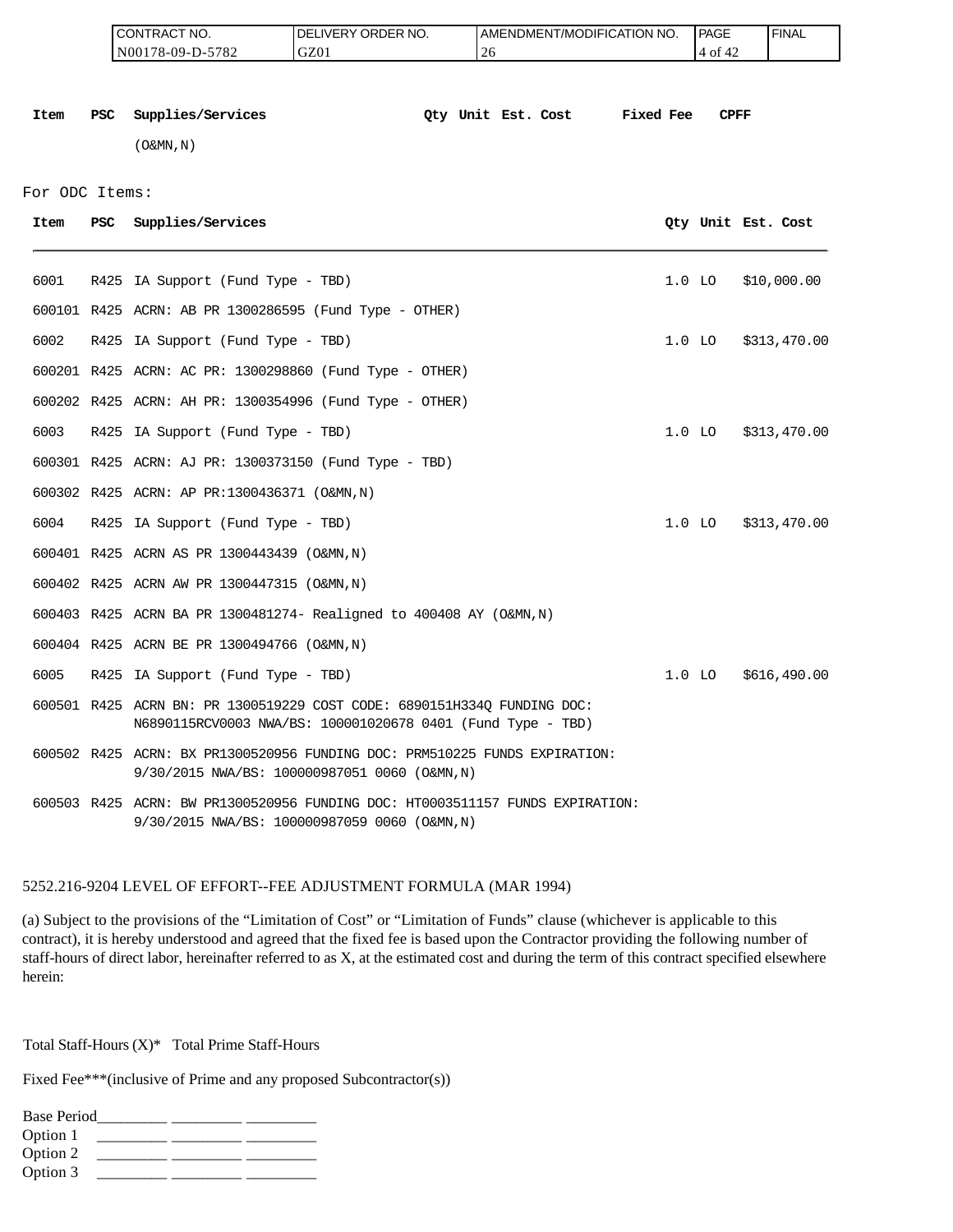|                |            | CONTRACT NO.<br>N00178-09-D-5782                                                                                                       | DELIVERY ORDER NO.<br>GZ01 | AMENDMENT/MODIFICATION NO.<br>26 |           | <b>PAGE</b><br>4 of 42 | <b>FINAL</b>       |
|----------------|------------|----------------------------------------------------------------------------------------------------------------------------------------|----------------------------|----------------------------------|-----------|------------------------|--------------------|
| Item           | <b>PSC</b> | Supplies/Services                                                                                                                      |                            | Oty Unit Est. Cost               | Fixed Fee | <b>CPFF</b>            |                    |
|                |            | $($ O&MN, N)                                                                                                                           |                            |                                  |           |                        |                    |
| For ODC Items: |            |                                                                                                                                        |                            |                                  |           |                        |                    |
| Item           | PSC        | Supplies/Services                                                                                                                      |                            |                                  |           |                        | Qty Unit Est. Cost |
| 6001           |            |                                                                                                                                        |                            |                                  | $1.0$ LO  |                        | \$10,000.00        |
|                |            | R425 IA Support (Fund Type - TBD)                                                                                                      |                            |                                  |           |                        |                    |
|                |            | 600101 R425 ACRN: AB PR 1300286595 (Fund Type - OTHER)                                                                                 |                            |                                  |           |                        |                    |
| 6002           |            | R425 IA Support (Fund Type - TBD)                                                                                                      |                            |                                  | $1.0$ LO  |                        | \$313,470.00       |
|                |            | 600201 R425 ACRN: AC PR: 1300298860 (Fund Type - OTHER)                                                                                |                            |                                  |           |                        |                    |
|                |            | 600202 R425 ACRN: AH PR: 1300354996 (Fund Type - OTHER)                                                                                |                            |                                  |           |                        |                    |
| 6003           |            | R425 IA Support (Fund Type - TBD)                                                                                                      |                            |                                  | $1.0$ LO  |                        | \$313,470.00       |
|                |            | 600301 R425 ACRN: AJ PR: 1300373150 (Fund Type - TBD)                                                                                  |                            |                                  |           |                        |                    |
|                |            | 600302 R425 ACRN: AP PR:1300436371 (O&MN,N)                                                                                            |                            |                                  |           |                        |                    |
| 6004           |            | R425 IA Support (Fund Type - TBD)                                                                                                      |                            |                                  | $1.0$ LO  |                        | \$313,470.00       |
|                |            | 600401 R425 ACRN AS PR 1300443439 (O&MN, N)                                                                                            |                            |                                  |           |                        |                    |
|                |            | 600402 R425 ACRN AW PR 1300447315 (O&MN, N)                                                                                            |                            |                                  |           |                        |                    |
|                |            | 600403 R425 ACRN BA PR 1300481274- Realigned to 400408 AY (O&MN, N)                                                                    |                            |                                  |           |                        |                    |
|                |            | 600404 R425 ACRN BE PR 1300494766 (O&MN, N)                                                                                            |                            |                                  |           |                        |                    |
| 6005           |            | R425 IA Support (Fund Type - TBD)                                                                                                      |                            |                                  | $1.0$ LO  |                        | \$616,490.00       |
|                |            | 600501 R425 ACRN BN: PR 1300519229 COST CODE: 6890151H334Q FUNDING DOC:<br>N6890115RCV0003 NWA/BS: 100001020678 0401 (Fund Type - TBD) |                            |                                  |           |                        |                    |
|                |            | 600502 R425 ACRN: BX PR1300520956 FUNDING DOC: PRM510225 FUNDS EXPIRATION:<br>9/30/2015 NWA/BS: 100000987051 0060 (O&MN,N)             |                            |                                  |           |                        |                    |
|                |            | 600503 R425 ACRN: BW PR1300520956 FUNDING DOC: HT0003511157 FUNDS EXPIRATION:<br>9/30/2015 NWA/BS: 100000987059 0060 (O&MN, N)         |                            |                                  |           |                        |                    |

#### 5252.216-9204 LEVEL OF EFFORT--FEE ADJUSTMENT FORMULA (MAR 1994)

(a) Subject to the provisions of the "Limitation of Cost" or "Limitation of Funds" clause (whichever is applicable to this contract), it is hereby understood and agreed that the fixed fee is based upon the Contractor providing the following number of staff-hours of direct labor, hereinafter referred to as X, at the estimated cost and during the term of this contract specified elsewhere herein:

Total Staff-Hours (X)\* Total Prime Staff-Hours

Fixed Fee\*\*\*(inclusive of Prime and any proposed Subcontractor(s))

| <b>Base Period</b> |  |  |
|--------------------|--|--|
| Option 1           |  |  |
| Option 2           |  |  |
| Option 3           |  |  |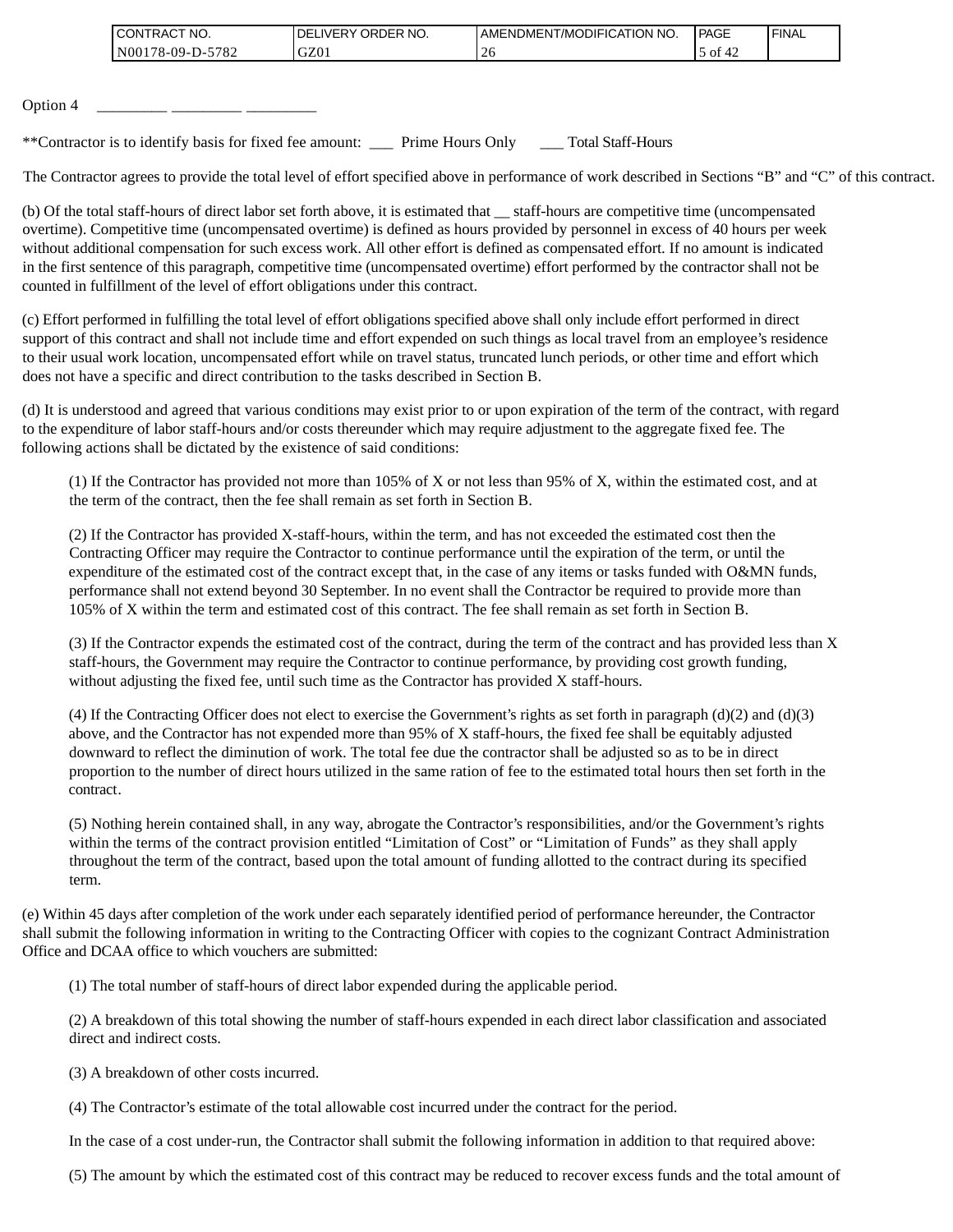| <b>CONTRACT NO.</b> | NO.<br><b>DELIVERY ORDER</b> | AMENDMENT/MODIFICATION NO. | <b>PAGE</b>              | ' FINAL |
|---------------------|------------------------------|----------------------------|--------------------------|---------|
| N00178-09-D-5782    | GZ01                         | ∠∪                         | $\sqrt{2}$<br>ΟĪ<br>$+2$ |         |

Option 4

\*\*Contractor is to identify basis for fixed fee amount: \_\_\_ Prime Hours Only \_\_\_ Total Staff-Hours

The Contractor agrees to provide the total level of effort specified above in performance of work described in Sections "B" and "C" of this contract.

(b) Of the total staff-hours of direct labor set forth above, it is estimated that \_\_ staff-hours are competitive time (uncompensated overtime). Competitive time (uncompensated overtime) is defined as hours provided by personnel in excess of 40 hours per week without additional compensation for such excess work. All other effort is defined as compensated effort. If no amount is indicated in the first sentence of this paragraph, competitive time (uncompensated overtime) effort performed by the contractor shall not be counted in fulfillment of the level of effort obligations under this contract.

(c) Effort performed in fulfilling the total level of effort obligations specified above shall only include effort performed in direct support of this contract and shall not include time and effort expended on such things as local travel from an employee's residence to their usual work location, uncompensated effort while on travel status, truncated lunch periods, or other time and effort which does not have a specific and direct contribution to the tasks described in Section B.

(d) It is understood and agreed that various conditions may exist prior to or upon expiration of the term of the contract, with regard to the expenditure of labor staff-hours and/or costs thereunder which may require adjustment to the aggregate fixed fee. The following actions shall be dictated by the existence of said conditions:

(1) If the Contractor has provided not more than 105% of X or not less than 95% of X, within the estimated cost, and at the term of the contract, then the fee shall remain as set forth in Section B.

(2) If the Contractor has provided X-staff-hours, within the term, and has not exceeded the estimated cost then the Contracting Officer may require the Contractor to continue performance until the expiration of the term, or until the expenditure of the estimated cost of the contract except that, in the case of any items or tasks funded with O&MN funds, performance shall not extend beyond 30 September. In no event shall the Contractor be required to provide more than 105% of X within the term and estimated cost of this contract. The fee shall remain as set forth in Section B.

(3) If the Contractor expends the estimated cost of the contract, during the term of the contract and has provided less than X staff-hours, the Government may require the Contractor to continue performance, by providing cost growth funding, without adjusting the fixed fee, until such time as the Contractor has provided X staff-hours.

(4) If the Contracting Officer does not elect to exercise the Government's rights as set forth in paragraph (d)(2) and (d)(3) above, and the Contractor has not expended more than 95% of X staff-hours, the fixed fee shall be equitably adjusted downward to reflect the diminution of work. The total fee due the contractor shall be adjusted so as to be in direct proportion to the number of direct hours utilized in the same ration of fee to the estimated total hours then set forth in the contract.

(5) Nothing herein contained shall, in any way, abrogate the Contractor's responsibilities, and/or the Government's rights within the terms of the contract provision entitled "Limitation of Cost" or "Limitation of Funds" as they shall apply throughout the term of the contract, based upon the total amount of funding allotted to the contract during its specified term.

(e) Within 45 days after completion of the work under each separately identified period of performance hereunder, the Contractor shall submit the following information in writing to the Contracting Officer with copies to the cognizant Contract Administration Office and DCAA office to which vouchers are submitted:

(1) The total number of staff-hours of direct labor expended during the applicable period.

(2) A breakdown of this total showing the number of staff-hours expended in each direct labor classification and associated direct and indirect costs.

(3) A breakdown of other costs incurred.

(4) The Contractor's estimate of the total allowable cost incurred under the contract for the period.

In the case of a cost under-run, the Contractor shall submit the following information in addition to that required above:

(5) The amount by which the estimated cost of this contract may be reduced to recover excess funds and the total amount of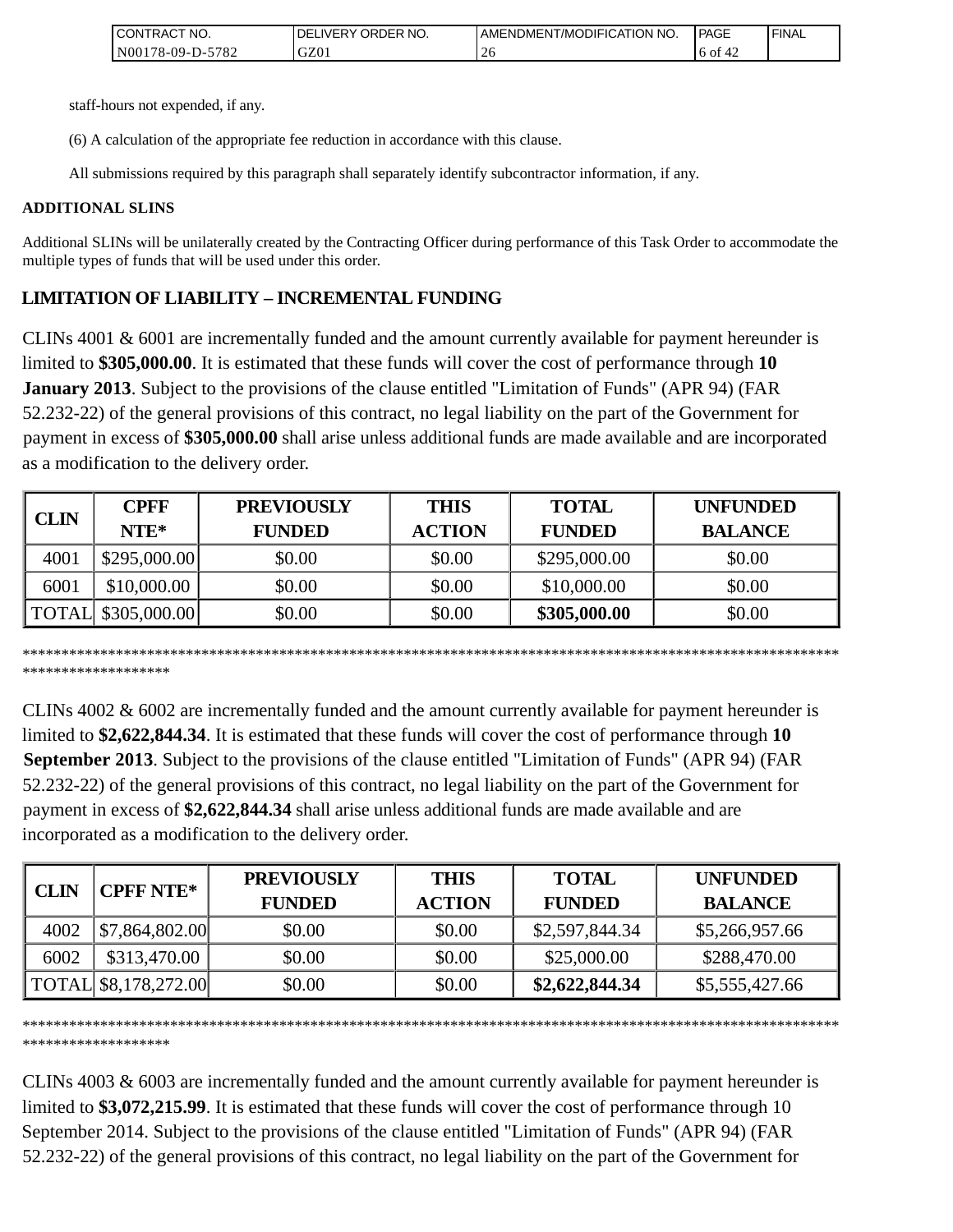| TNO.<br>ICONTRAC,                                     | ORDER NO.<br>$\lrcorner$ LIVERY<br>DE | T/MODIFICATION<br>' NO.<br>AMENDMENT | PAGE       | 'FINAL |
|-------------------------------------------------------|---------------------------------------|--------------------------------------|------------|--------|
| 5782<br>N <sub>00</sub><br>$^{\circ}178 - 09 - D - 0$ | GZ01                                  | $\sim$                               | 6 of<br>∸∠ |        |

staff-hours not expended, if any.

(6) A calculation of the appropriate fee reduction in accordance with this clause.

All submissions required by this paragraph shall separately identify subcontractor information, if any.

#### **ADDITIONAL SLINS**

Additional SLINs will be unilaterally created by the Contracting Officer during performance of this Task Order to accommodate the multiple types of funds that will be used under this order.

# **LIMITATION OF LIABILITY – INCREMENTAL FUNDING**

CLINs 4001 & 6001 are incrementally funded and the amount currently available for payment hereunder is limited to **\$305,000.00**. It is estimated that these funds will cover the cost of performance through **10 January 2013**. Subject to the provisions of the clause entitled "Limitation of Funds" (APR 94) (FAR 52.232-22) of the general provisions of this contract, no legal liability on the part of the Government for payment in excess of **\$305,000.00** shall arise unless additional funds are made available and are incorporated as a modification to the delivery order.

|             | <b>CPFF</b>         | <b>PREVIOUSLY</b> | <b>THIS</b>   | <b>TOTAL</b>  | <b>UNFUNDED</b> |
|-------------|---------------------|-------------------|---------------|---------------|-----------------|
| <b>CLIN</b> | NTE*                | <b>FUNDED</b>     | <b>ACTION</b> | <b>FUNDED</b> | <b>BALANCE</b>  |
| 4001        | \$295,000.00]       | \$0.00            | \$0.00        | \$295,000.00  | \$0.00          |
| 6001        | \$10,000.00         | \$0.00            | \$0.00        | \$10,000.00   | \$0.00          |
|             | TOTAL  \$305,000.00 | \$0.00            | \$0.00        | \$305,000.00  | \$0.00          |

\*\*\*\*\*\*\*\*\*\*\*\*\*\*\*\*\*\*\*\*\*\*\*\*\*\*\*\*\*\*\*\*\*\*\*\*\*\*\*\*\*\*\*\*\*\*\*\*\*\*\*\*\*\*\*\*\*\*\*\*\*\*\*\*\*\*\*\*\*\*\*\*\*\*\*\*\*\*\*\*\*\*\*\*\*\*\*\*\*\*\*\*\*\*\*\*\*\*\*\*\*\*\*\*\* \*\*\*\*\*\*\*\*\*\*\*\*\*\*\*\*\*\*\*

CLINs 4002 & 6002 are incrementally funded and the amount currently available for payment hereunder is limited to **\$2,622,844.34**. It is estimated that these funds will cover the cost of performance through **10 September 2013**. Subject to the provisions of the clause entitled "Limitation of Funds" (APR 94) (FAR 52.232-22) of the general provisions of this contract, no legal liability on the part of the Government for payment in excess of **\$2,622,844.34** shall arise unless additional funds are made available and are incorporated as a modification to the delivery order.

| <b>CLIN</b> | <b>CPFF NTE*</b>     | <b>PREVIOUSLY</b><br><b>FUNDED</b> | <b>THIS</b><br><b>ACTION</b> | <b>TOTAL</b><br><b>FUNDED</b> | <b>UNFUNDED</b><br><b>BALANCE</b> |
|-------------|----------------------|------------------------------------|------------------------------|-------------------------------|-----------------------------------|
| 4002        | \$7,864,802.00       | \$0.00                             | \$0.00                       | \$2,597,844.34                | \$5,266,957.66                    |
| 6002        | \$313,470.00         | \$0.00                             | \$0.00                       | \$25,000.00                   | \$288,470.00                      |
|             | TOTAL \$8,178,272.00 | \$0.00                             | \$0.00                       | \$2,622,844.34                | \$5,555,427.66                    |

\*\*\*\*\*\*\*\*\*\*\*\*\*\*\*\*\*\*\*\*\*\*\*\*\*\*\*\*\*\*\*\*\*\*\*\*\*\*\*\*\*\*\*\*\*\*\*\*\*\*\*\*\*\*\*\*\*\*\*\*\*\*\*\*\*\*\*\*\*\*\*\*\*\*\*\*\*\*\*\*\*\*\*\*\*\*\*\*\*\*\*\*\*\*\*\*\*\*\*\*\*\*\*\*\* \*\*\*\*\*\*\*\*\*\*\*\*\*\*\*\*\*\*\*

CLINs 4003 & 6003 are incrementally funded and the amount currently available for payment hereunder is limited to **\$3,072,215.99**. It is estimated that these funds will cover the cost of performance through 10 September 2014. Subject to the provisions of the clause entitled "Limitation of Funds" (APR 94) (FAR 52.232-22) of the general provisions of this contract, no legal liability on the part of the Government for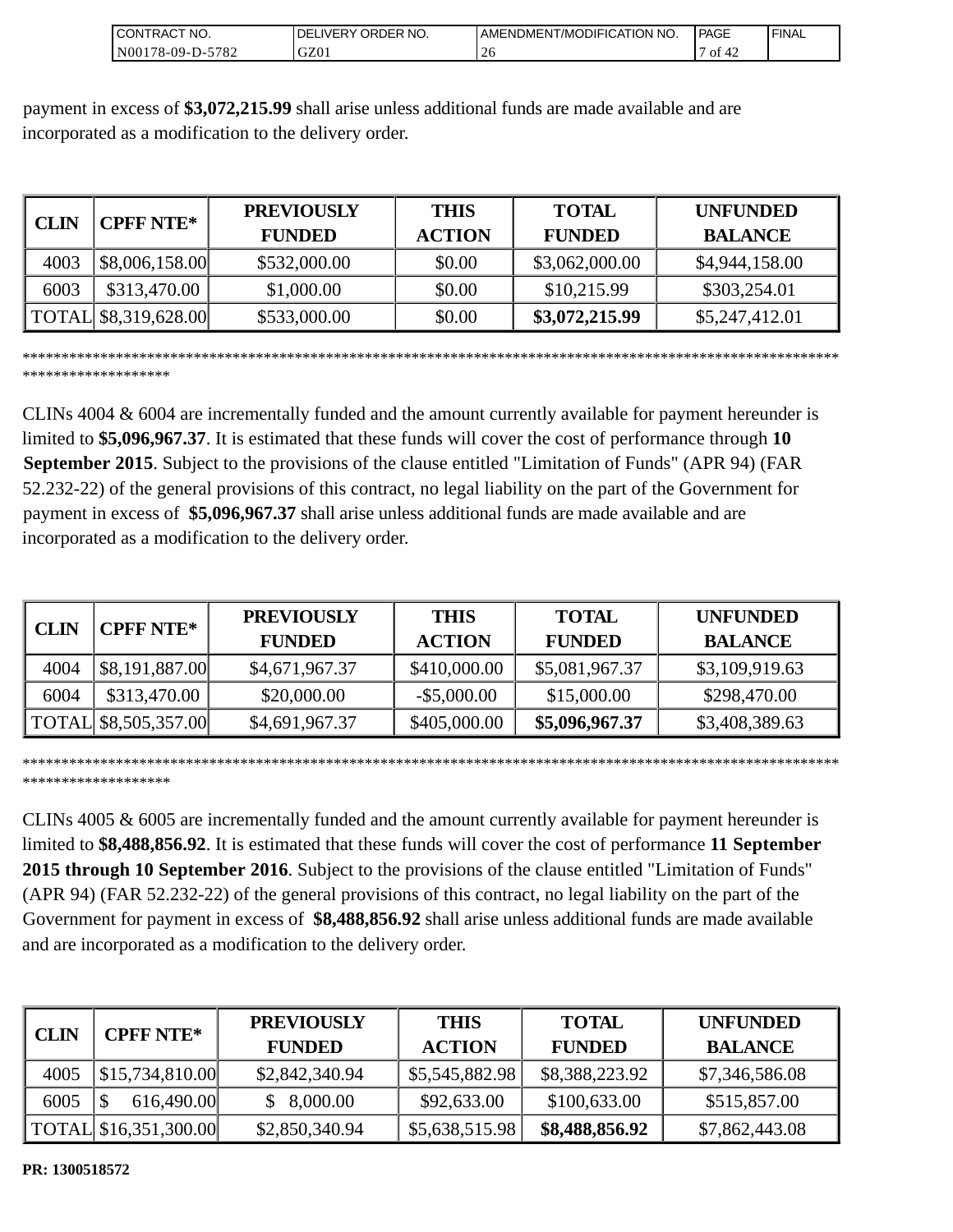| `NO.<br>ICONTRAC.                                          | ORDER NO.<br><b>IVER</b><br>DE | <b>I AMENDMENT/MODIFICATION</b><br>'NO. | PAGE     | ' FINAL |
|------------------------------------------------------------|--------------------------------|-----------------------------------------|----------|---------|
| 570 <sup>o</sup><br>$\overline{N}00$<br>$78-09-D$ -<br>104 | GZ01                           | $\sim$<br>ZU                            | ОI<br>44 |         |

payment in excess of **\$3,072,215.99** shall arise unless additional funds are made available and are incorporated as a modification to the delivery order.

| <b>CPFF NTE*</b><br>CLIN |                      | <b>PREVIOUSLY</b> | <b>THIS</b>   | <b>TOTAL</b>   | <b>UNFUNDED</b> |
|--------------------------|----------------------|-------------------|---------------|----------------|-----------------|
|                          |                      | <b>FUNDED</b>     | <b>ACTION</b> | <b>FUNDED</b>  | <b>BALANCE</b>  |
| 4003                     | \$8,006,158.00       | \$532,000.00      | \$0.00        | \$3,062,000.00 | \$4,944,158.00  |
| 6003                     | \$313,470.00         | \$1,000.00        | \$0.00        | \$10,215.99    | \$303,254.01    |
|                          | TOTAL \$8,319,628.00 | \$533,000.00      | \$0.00        | \$3,072,215.99 | \$5,247,412.01  |

\*\*\*\*\*\*\*\*\*\*\*\*\*\*\*\*\*\*\*\*\*\*\*\*\*\*\*\*\*\*\*\*\*\*\*\*\*\*\*\*\*\*\*\*\*\*\*\*\*\*\*\*\*\*\*\*\*\*\*\*\*\*\*\*\*\*\*\*\*\*\*\*\*\*\*\*\*\*\*\*\*\*\*\*\*\*\*\*\*\*\*\*\*\*\*\*\*\*\*\*\*\*\*\*\* \*\*\*\*\*\*\*\*\*\*\*\*\*\*\*\*\*\*

CLINs 4004 & 6004 are incrementally funded and the amount currently available for payment hereunder is limited to **\$5,096,967.37**. It is estimated that these funds will cover the cost of performance through **10 September 2015**. Subject to the provisions of the clause entitled "Limitation of Funds" (APR 94) (FAR 52.232-22) of the general provisions of this contract, no legal liability on the part of the Government for payment in excess of **\$5,096,967.37** shall arise unless additional funds are made available and are incorporated as a modification to the delivery order.

|      | <b>CPFF NTE*</b>     | <b>PREVIOUSLY</b> | <b>THIS</b>    | <b>TOTAL</b>   | <b>UNFUNDED</b> |
|------|----------------------|-------------------|----------------|----------------|-----------------|
| CLIN |                      | <b>FUNDED</b>     | <b>ACTION</b>  | <b>FUNDED</b>  | <b>BALANCE</b>  |
| 4004 | \$8,191,887.00       | \$4,671,967.37    | \$410,000.00   | \$5,081,967.37 | \$3,109,919.63  |
| 6004 | \$313,470.00         | \$20,000.00       | $-$ \$5,000.00 | \$15,000.00    | \$298,470.00    |
|      | TOTAL \$8,505,357.00 | \$4,691,967.37    | \$405,000.00   | \$5,096,967.37 | \$3,408,389.63  |

\*\*\*\*\*\*\*\*\*\*\*\*\*\*\*\*\*\*\*\*\*\*\*\*\*\*\*\*\*\*\*\*\*\*\*\*\*\*\*\*\*\*\*\*\*\*\*\*\*\*\*\*\*\*\*\*\*\*\*\*\*\*\*\*\*\*\*\*\*\*\*\*\*\*\*\*\*\*\*\*\*\*\*\*\*\*\*\*\*\*\*\*\*\*\*\*\*\*\*\*\*\*\*\*\* \*\*\*\*\*\*\*\*\*\*\*\*\*\*\*\*\*\*\*

CLINs 4005 & 6005 are incrementally funded and the amount currently available for payment hereunder is limited to **\$8,488,856.92**. It is estimated that these funds will cover the cost of performance **11 September 2015 through 10 September 2016**. Subject to the provisions of the clause entitled "Limitation of Funds" (APR 94) (FAR 52.232-22) of the general provisions of this contract, no legal liability on the part of the Government for payment in excess of **\$8,488,856.92** shall arise unless additional funds are made available and are incorporated as a modification to the delivery order.

| <b>CLIN</b> | <b>CPFF NTE*</b>                | <b>PREVIOUSLY</b><br><b>FUNDED</b> | <b>THIS</b><br><b>ACTION</b> | <b>TOTAL</b><br><b>FUNDED</b> | <b>UNFUNDED</b><br><b>BALANCE</b> |
|-------------|---------------------------------|------------------------------------|------------------------------|-------------------------------|-----------------------------------|
| 4005        | $\left  $15,734,810.00 \right $ | \$2,842,340.94                     | \$5,545,882.98               | \$8,388,223.92                | \$7,346,586.08                    |
| 6005        | 616,490.00                      | 8,000.00                           | \$92,633.00                  | \$100,633.00                  | \$515,857.00                      |
|             | TOTAL \$16,351,300.00           | \$2,850,340.94                     | \$5,638,515.98               | \$8,488,856.92                | \$7,862,443.08                    |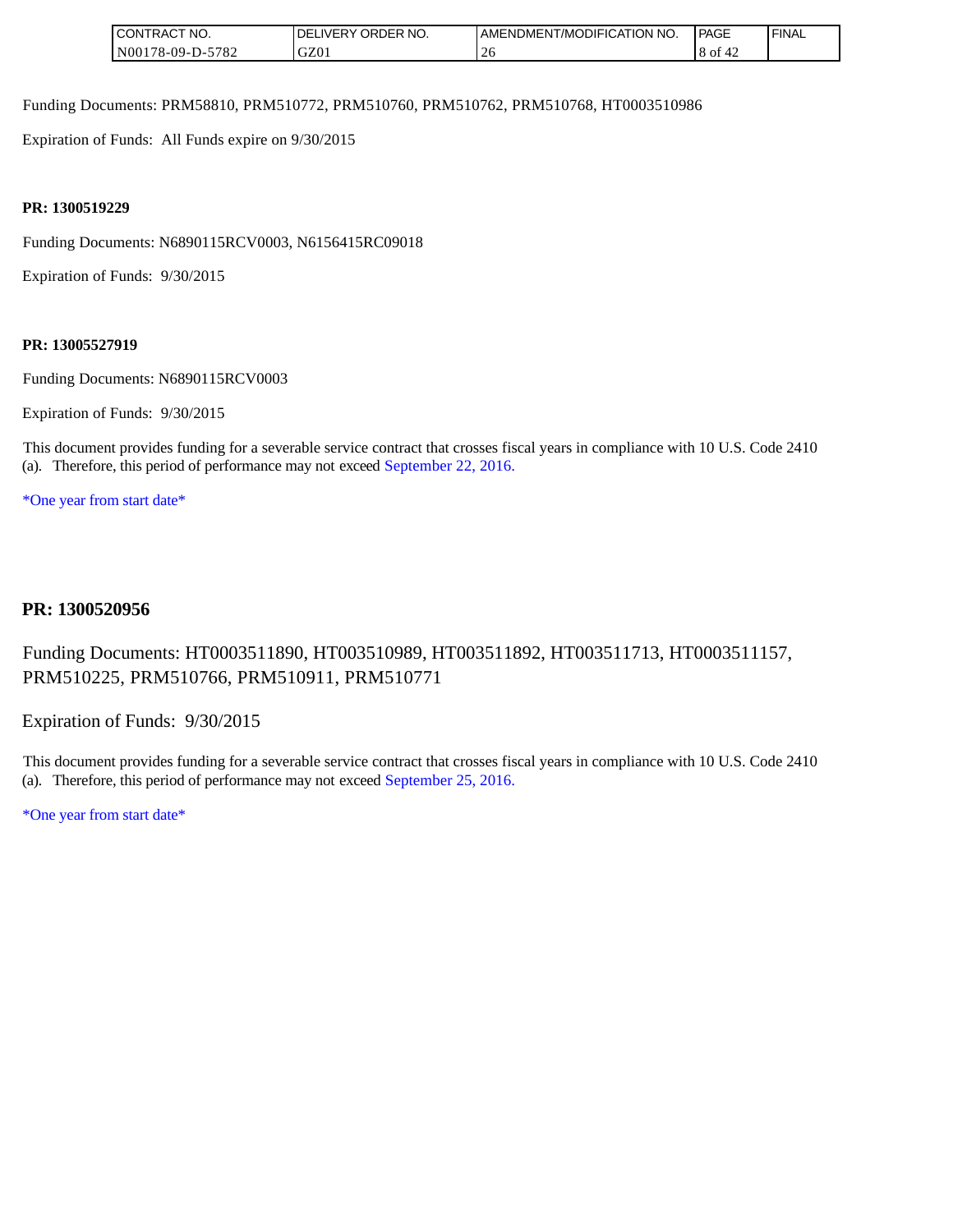| `CT NO.<br><b>NTRAC</b><br>CON | ORDER NO.<br>$.$ IVERY<br>DF | <b>I AMENDMENT/MODIFICATION</b><br>'NO. | PAGE | ' FINAL |
|--------------------------------|------------------------------|-----------------------------------------|------|---------|
| N001<br>$'78-09-D$ -<br>-5782  | GZ01                         | ⌒<br>20                                 | 8 of |         |

Funding Documents: PRM58810, PRM510772, PRM510760, PRM510762, PRM510768, HT0003510986

Expiration of Funds: All Funds expire on 9/30/2015

#### **PR: 1300519229**

Funding Documents: N6890115RCV0003, N6156415RC09018

Expiration of Funds: 9/30/2015

#### **PR: 13005527919**

Funding Documents: N6890115RCV0003

Expiration of Funds: 9/30/2015

This document provides funding for a severable service contract that crosses fiscal years in compliance with 10 U.S. Code 2410 (a). Therefore, this period of performance may not exceed September 22, 2016.

\*One year from start date\*

#### **PR: 1300520956**

## Funding Documents: HT0003511890, HT003510989, HT003511892, HT003511713, HT0003511157, PRM510225, PRM510766, PRM510911, PRM510771

Expiration of Funds: 9/30/2015

This document provides funding for a severable service contract that crosses fiscal years in compliance with 10 U.S. Code 2410 (a). Therefore, this period of performance may not exceed September 25, 2016.

\*One year from start date\*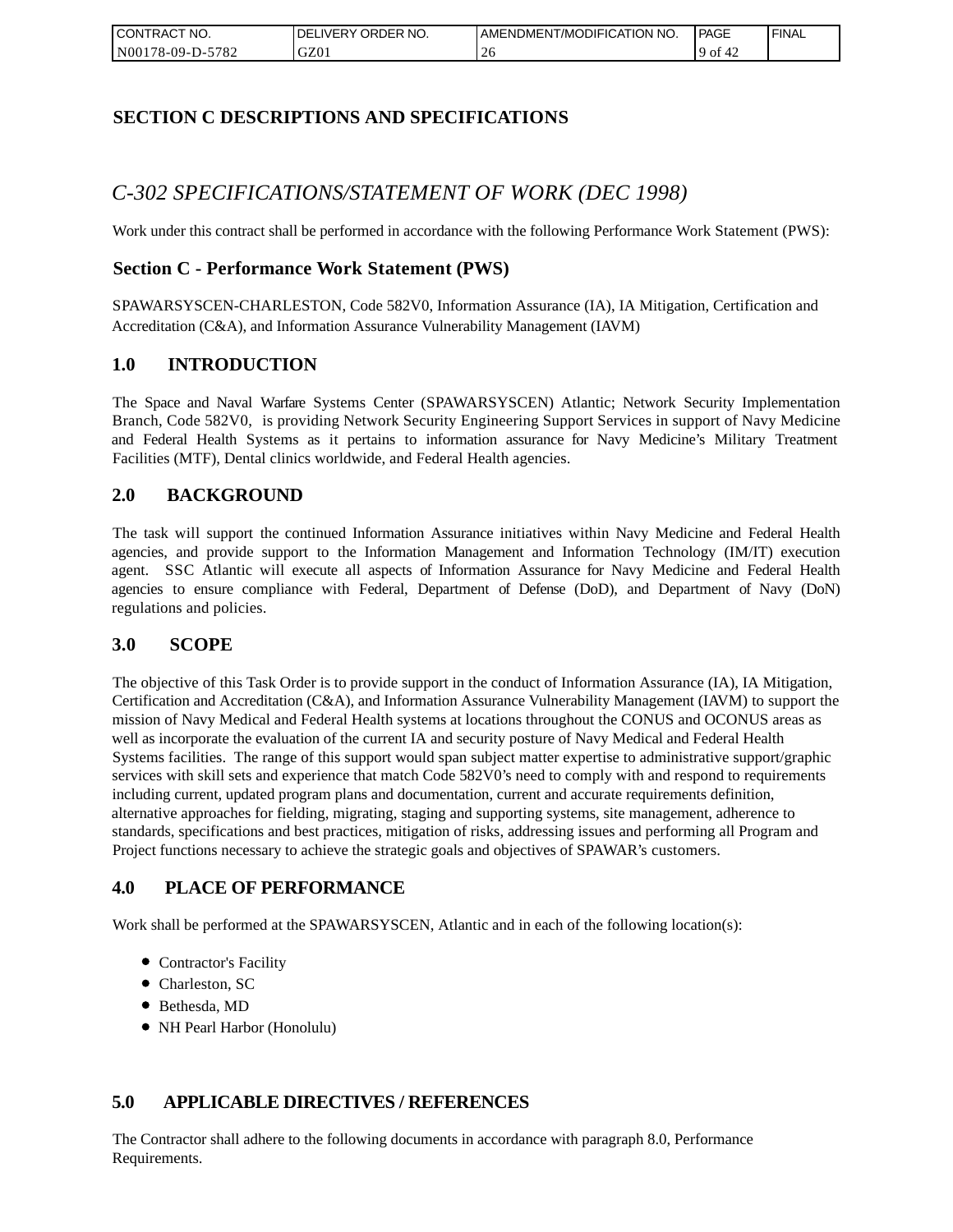| `CT NO.<br>I CONTRACT    | ORDER<br>NO.<br><b>IVERY</b><br>DELI | AMENDMENT/MODIFICATION NO. | l PAGE      | <b>FINAL</b> |
|--------------------------|--------------------------------------|----------------------------|-------------|--------------|
| N00178-09-D-5<br>$-5782$ | GZ01                                 | -40                        | '9 of<br>44 |              |

## **SECTION C DESCRIPTIONS AND SPECIFICATIONS**

# *C-302 SPECIFICATIONS/STATEMENT OF WORK (DEC 1998)*

Work under this contract shall be performed in accordance with the following Performance Work Statement (PWS):

### **Section C - Performance Work Statement (PWS)**

SPAWARSYSCEN-CHARLESTON, Code 582V0, Information Assurance (IA), IA Mitigation, Certification and Accreditation (C&A), and Information Assurance Vulnerability Management (IAVM)

### **1.0 INTRODUCTION**

The Space and Naval Warfare Systems Center (SPAWARSYSCEN) Atlantic; Network Security Implementation Branch, Code 582V0, is providing Network Security Engineering Support Services in support of Navy Medicine and Federal Health Systems as it pertains to information assurance for Navy Medicine's Military Treatment Facilities (MTF), Dental clinics worldwide, and Federal Health agencies.

### **2.0 BACKGROUND**

The task will support the continued Information Assurance initiatives within Navy Medicine and Federal Health agencies, and provide support to the Information Management and Information Technology (IM/IT) execution agent. SSC Atlantic will execute all aspects of Information Assurance for Navy Medicine and Federal Health agencies to ensure compliance with Federal, Department of Defense (DoD), and Department of Navy (DoN) regulations and policies.

#### **3.0 SCOPE**

The objective of this Task Order is to provide support in the conduct of Information Assurance (IA), IA Mitigation, Certification and Accreditation (C&A), and Information Assurance Vulnerability Management (IAVM) to support the mission of Navy Medical and Federal Health systems at locations throughout the CONUS and OCONUS areas as well as incorporate the evaluation of the current IA and security posture of Navy Medical and Federal Health Systems facilities. The range of this support would span subject matter expertise to administrative support/graphic services with skill sets and experience that match Code 582V0's need to comply with and respond to requirements including current, updated program plans and documentation, current and accurate requirements definition, alternative approaches for fielding, migrating, staging and supporting systems, site management, adherence to standards, specifications and best practices, mitigation of risks, addressing issues and performing all Program and Project functions necessary to achieve the strategic goals and objectives of SPAWAR's customers.

### **4.0 PLACE OF PERFORMANCE**

Work shall be performed at the SPAWARSYSCEN, Atlantic and in each of the following location(s):

- Contractor's Facility
- Charleston, SC
- Bethesda, MD
- NH Pearl Harbor (Honolulu)

### **5.0 APPLICABLE DIRECTIVES / REFERENCES**

The Contractor shall adhere to the following documents in accordance with paragraph 8.0, Performance Requirements.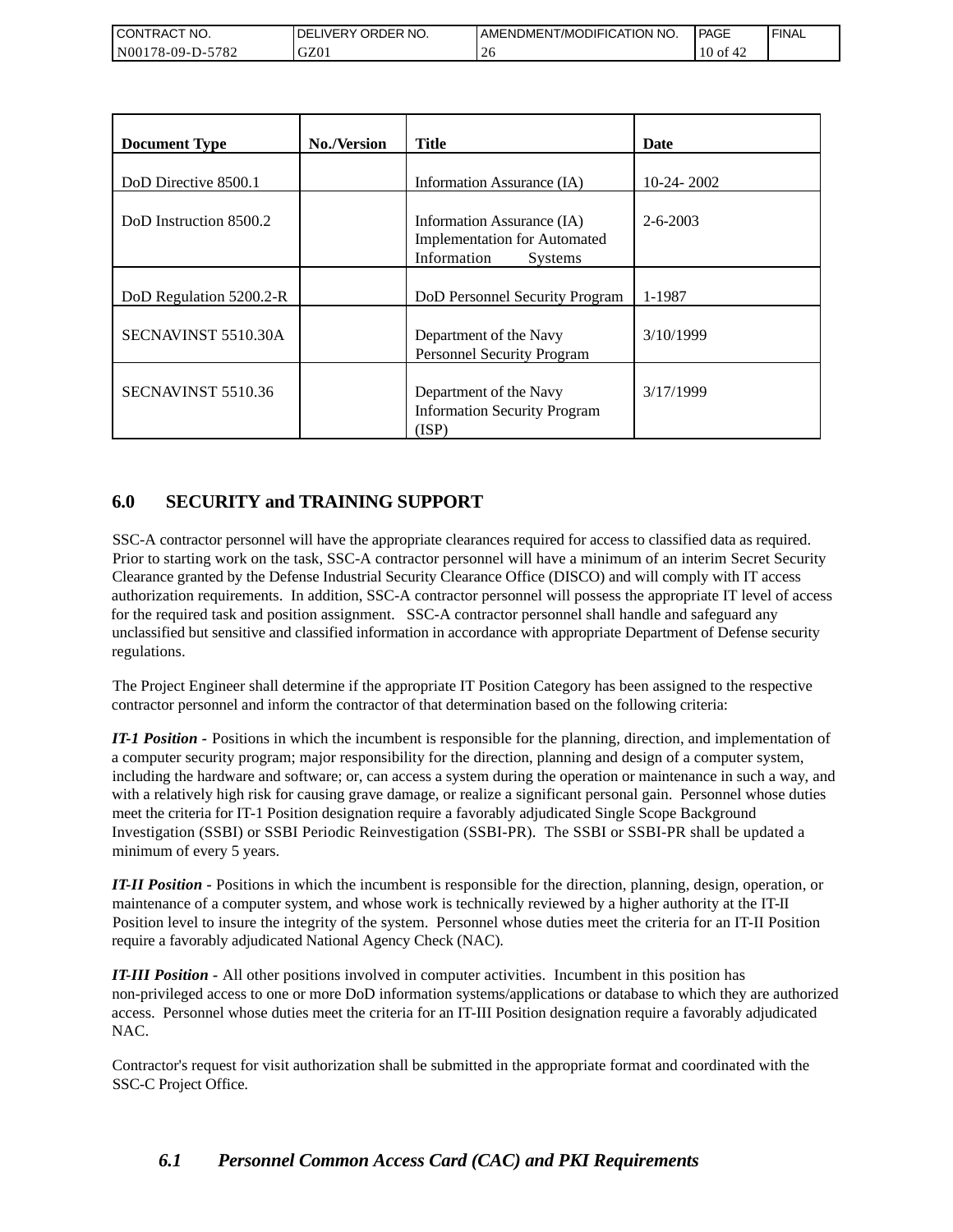| I CONTRACT NO.   | <b>IDELIVERY ORDER NO.</b> | AMENDMENT/MODIFICATION NO. | PAGE        | 'FINAL |
|------------------|----------------------------|----------------------------|-------------|--------|
| N00178-09-D-5782 | GZ01                       |                            | 10 of<br>ਚ∠ |        |

| <b>Document Type</b>    | <b>No./Version</b> | Title                                                                                              | Date           |
|-------------------------|--------------------|----------------------------------------------------------------------------------------------------|----------------|
| DoD Directive 8500.1    |                    | Information Assurance (IA)                                                                         | $10-24-2002$   |
| DoD Instruction 8500.2  |                    | Information Assurance (IA)<br><b>Implementation for Automated</b><br>Information<br><b>Systems</b> | $2 - 6 - 2003$ |
| DoD Regulation 5200.2-R |                    | DoD Personnel Security Program                                                                     | 1-1987         |
| SECNAVINST 5510.30A     |                    | Department of the Navy<br>Personnel Security Program                                               | 3/10/1999      |
| SECNAVINST 5510.36      |                    | Department of the Navy<br><b>Information Security Program</b><br>(ISP)                             | 3/17/1999      |

## **6.0 SECURITY and TRAINING SUPPORT**

SSC-A contractor personnel will have the appropriate clearances required for access to classified data as required. Prior to starting work on the task, SSC-A contractor personnel will have a minimum of an interim Secret Security Clearance granted by the Defense Industrial Security Clearance Office (DISCO) and will comply with IT access authorization requirements. In addition, SSC-A contractor personnel will possess the appropriate IT level of access for the required task and position assignment. SSC-A contractor personnel shall handle and safeguard any unclassified but sensitive and classified information in accordance with appropriate Department of Defense security regulations.

The Project Engineer shall determine if the appropriate IT Position Category has been assigned to the respective contractor personnel and inform the contractor of that determination based on the following criteria:

*IT-1 Position -* Positions in which the incumbent is responsible for the planning, direction, and implementation of a computer security program; major responsibility for the direction, planning and design of a computer system, including the hardware and software; or, can access a system during the operation or maintenance in such a way, and with a relatively high risk for causing grave damage, or realize a significant personal gain. Personnel whose duties meet the criteria for IT-1 Position designation require a favorably adjudicated Single Scope Background Investigation (SSBI) or SSBI Periodic Reinvestigation (SSBI-PR). The SSBI or SSBI-PR shall be updated a minimum of every 5 years.

*IT-II Position -* Positions in which the incumbent is responsible for the direction, planning, design, operation, or maintenance of a computer system, and whose work is technically reviewed by a higher authority at the IT-II Position level to insure the integrity of the system. Personnel whose duties meet the criteria for an IT-II Position require a favorably adjudicated National Agency Check (NAC).

*IT-III Position -* All other positions involved in computer activities. Incumbent in this position has non-privileged access to one or more DoD information systems/applications or database to which they are authorized access. Personnel whose duties meet the criteria for an IT-III Position designation require a favorably adjudicated NAC.

Contractor's request for visit authorization shall be submitted in the appropriate format and coordinated with the SSC-C Project Office.

## *6.1 Personnel Common Access Card (CAC) and PKI Requirements*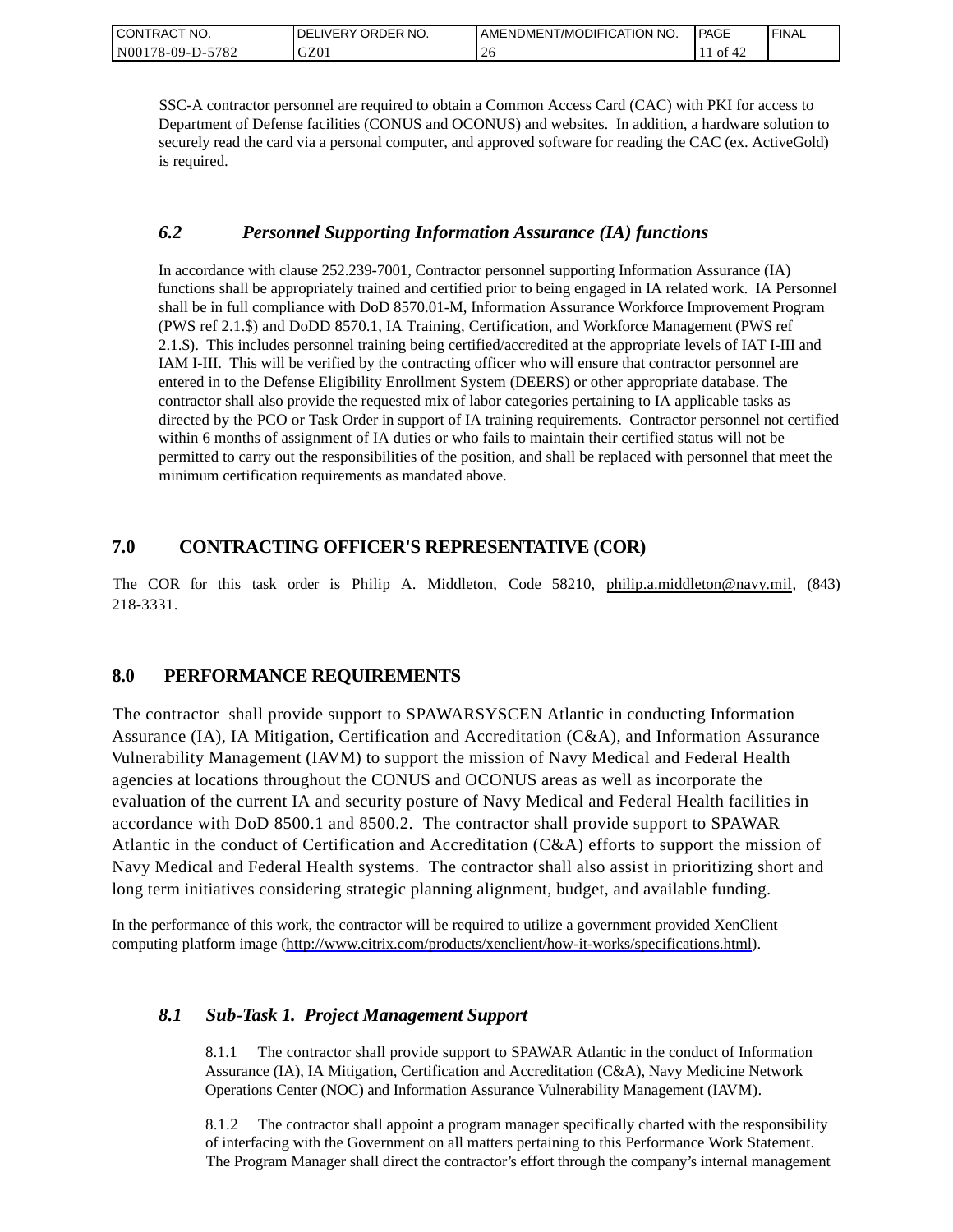| CONTRACT NO.     | ORDER NO.<br><b>IDELIVERY</b> | I AMENDMENT/MODIFICATION NO. | PAGE  | ' FINAL |
|------------------|-------------------------------|------------------------------|-------|---------|
| N00178-09-D-5782 | GZ01                          | ∠⊾                           | of 42 |         |

SSC-A contractor personnel are required to obtain a Common Access Card (CAC) with PKI for access to Department of Defense facilities (CONUS and OCONUS) and websites. In addition, a hardware solution to securely read the card via a personal computer, and approved software for reading the CAC (ex. ActiveGold) is required.

### *6.2 Personnel Supporting Information Assurance (IA) functions*

In accordance with clause 252.239-7001, Contractor personnel supporting Information Assurance (IA) functions shall be appropriately trained and certified prior to being engaged in IA related work. IA Personnel shall be in full compliance with DoD 8570.01-M, Information Assurance Workforce Improvement Program (PWS ref 2.1.\$) and DoDD 8570.1, IA Training, Certification, and Workforce Management (PWS ref 2.1.\$). This includes personnel training being certified/accredited at the appropriate levels of IAT I-III and IAM I-III. This will be verified by the contracting officer who will ensure that contractor personnel are entered in to the Defense Eligibility Enrollment System (DEERS) or other appropriate database. The contractor shall also provide the requested mix of labor categories pertaining to IA applicable tasks as directed by the PCO or Task Order in support of IA training requirements. Contractor personnel not certified within 6 months of assignment of IA duties or who fails to maintain their certified status will not be permitted to carry out the responsibilities of the position, and shall be replaced with personnel that meet the minimum certification requirements as mandated above.

## **7.0 CONTRACTING OFFICER'S REPRESENTATIVE (COR)**

The COR for this task order is Philip A. Middleton, Code 58210, [philip.a.middleton@navy.mil,](mailto:cphilip.a.middleton@navy.mil) (843) 218-3331.

### **8.0 PERFORMANCE REQUIREMENTS**

The contractor shall provide support to SPAWARSYSCEN Atlantic in conducting Information Assurance (IA), IA Mitigation, Certification and Accreditation (C&A), and Information Assurance Vulnerability Management (IAVM) to support the mission of Navy Medical and Federal Health agencies at locations throughout the CONUS and OCONUS areas as well as incorporate the evaluation of the current IA and security posture of Navy Medical and Federal Health facilities in accordance with DoD 8500.1 and 8500.2. The contractor shall provide support to SPAWAR Atlantic in the conduct of Certification and Accreditation (C&A) efforts to support the mission of Navy Medical and Federal Health systems. The contractor shall also assist in prioritizing short and long term initiatives considering strategic planning alignment, budget, and available funding.

In the performance of this work, the contractor will be required to utilize a government provided XenClient computing platform image [\(http://www.citrix.com/products/xenclient/how-it-works/specifications.html\)](http://www.citrix.com/products/xenclient/how-it-works/specifications.html).

### *8.1 Sub-Task 1. Project Management Support*

8.1.1 The contractor shall provide support to SPAWAR Atlantic in the conduct of Information Assurance (IA), IA Mitigation, Certification and Accreditation (C&A), Navy Medicine Network Operations Center (NOC) and Information Assurance Vulnerability Management (IAVM).

8.1.2 The contractor shall appoint a program manager specifically charted with the responsibility of interfacing with the Government on all matters pertaining to this Performance Work Statement. The Program Manager shall direct the contractor's effort through the company's internal management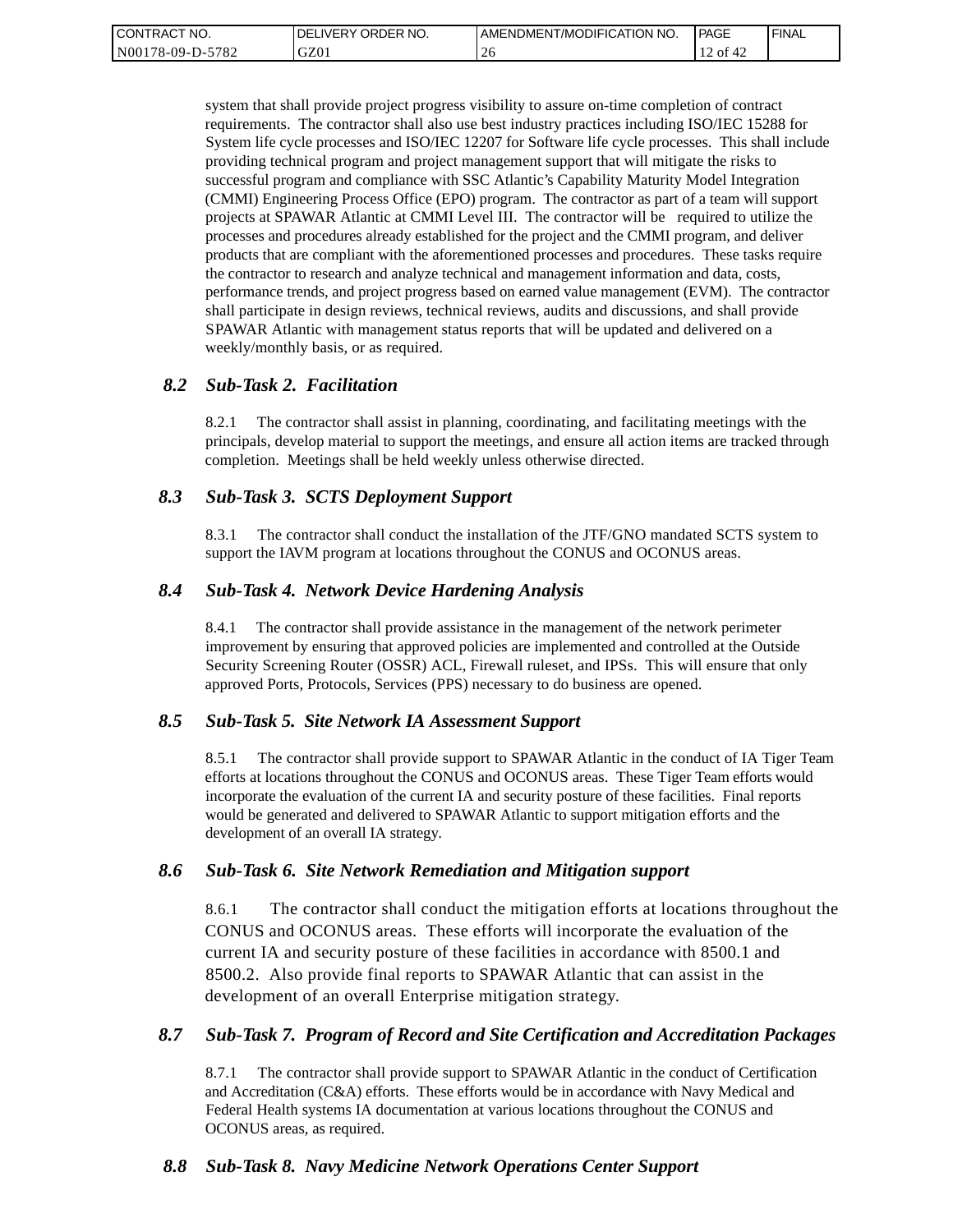| <b>CONTRACT</b><br>'NO. | `ORDER NO.<br><b>DELIVERY</b> | I AMENDMENT/MODIFICATION NO. | PAGE    | <b>FINAL</b> |
|-------------------------|-------------------------------|------------------------------|---------|--------------|
| N00178-09-D-5782        | GZ01                          | -40                          | ' of 42 |              |

system that shall provide project progress visibility to assure on-time completion of contract requirements. The contractor shall also use best industry practices including ISO/IEC 15288 for System life cycle processes and ISO/IEC 12207 for Software life cycle processes. This shall include providing technical program and project management support that will mitigate the risks to successful program and compliance with SSC Atlantic's Capability Maturity Model Integration (CMMI) Engineering Process Office (EPO) program. The contractor as part of a team will support projects at SPAWAR Atlantic at CMMI Level III. The contractor will be required to utilize the processes and procedures already established for the project and the CMMI program, and deliver products that are compliant with the aforementioned processes and procedures. These tasks require the contractor to research and analyze technical and management information and data, costs, performance trends, and project progress based on earned value management (EVM). The contractor shall participate in design reviews, technical reviews, audits and discussions, and shall provide SPAWAR Atlantic with management status reports that will be updated and delivered on a weekly/monthly basis, or as required.

#### *8.2 Sub-Task 2. Facilitation*

8.2.1 The contractor shall assist in planning, coordinating, and facilitating meetings with the principals, develop material to support the meetings, and ensure all action items are tracked through completion. Meetings shall be held weekly unless otherwise directed.

#### *8.3 Sub-Task 3. SCTS Deployment Support*

8.3.1 The contractor shall conduct the installation of the JTF/GNO mandated SCTS system to support the IAVM program at locations throughout the CONUS and OCONUS areas.

#### *8.4 Sub-Task 4. Network Device Hardening Analysis*

8.4.1 The contractor shall provide assistance in the management of the network perimeter improvement by ensuring that approved policies are implemented and controlled at the Outside Security Screening Router (OSSR) ACL, Firewall ruleset, and IPSs. This will ensure that only approved Ports, Protocols, Services (PPS) necessary to do business are opened.

#### *8.5 Sub-Task 5. Site Network IA Assessment Support*

8.5.1 The contractor shall provide support to SPAWAR Atlantic in the conduct of IA Tiger Team efforts at locations throughout the CONUS and OCONUS areas. These Tiger Team efforts would incorporate the evaluation of the current IA and security posture of these facilities. Final reports would be generated and delivered to SPAWAR Atlantic to support mitigation efforts and the development of an overall IA strategy.

#### *8.6 Sub-Task 6. Site Network Remediation and Mitigation support*

8.6.1 The contractor shall conduct the mitigation efforts at locations throughout the CONUS and OCONUS areas. These efforts will incorporate the evaluation of the current IA and security posture of these facilities in accordance with 8500.1 and 8500.2. Also provide final reports to SPAWAR Atlantic that can assist in the development of an overall Enterprise mitigation strategy.

#### *8.7 Sub-Task 7. Program of Record and Site Certification and Accreditation Packages*

8.7.1 The contractor shall provide support to SPAWAR Atlantic in the conduct of Certification and Accreditation (C&A) efforts. These efforts would be in accordance with Navy Medical and Federal Health systems IA documentation at various locations throughout the CONUS and OCONUS areas, as required.

### *8.8 Sub-Task 8. Navy Medicine Network Operations Center Support*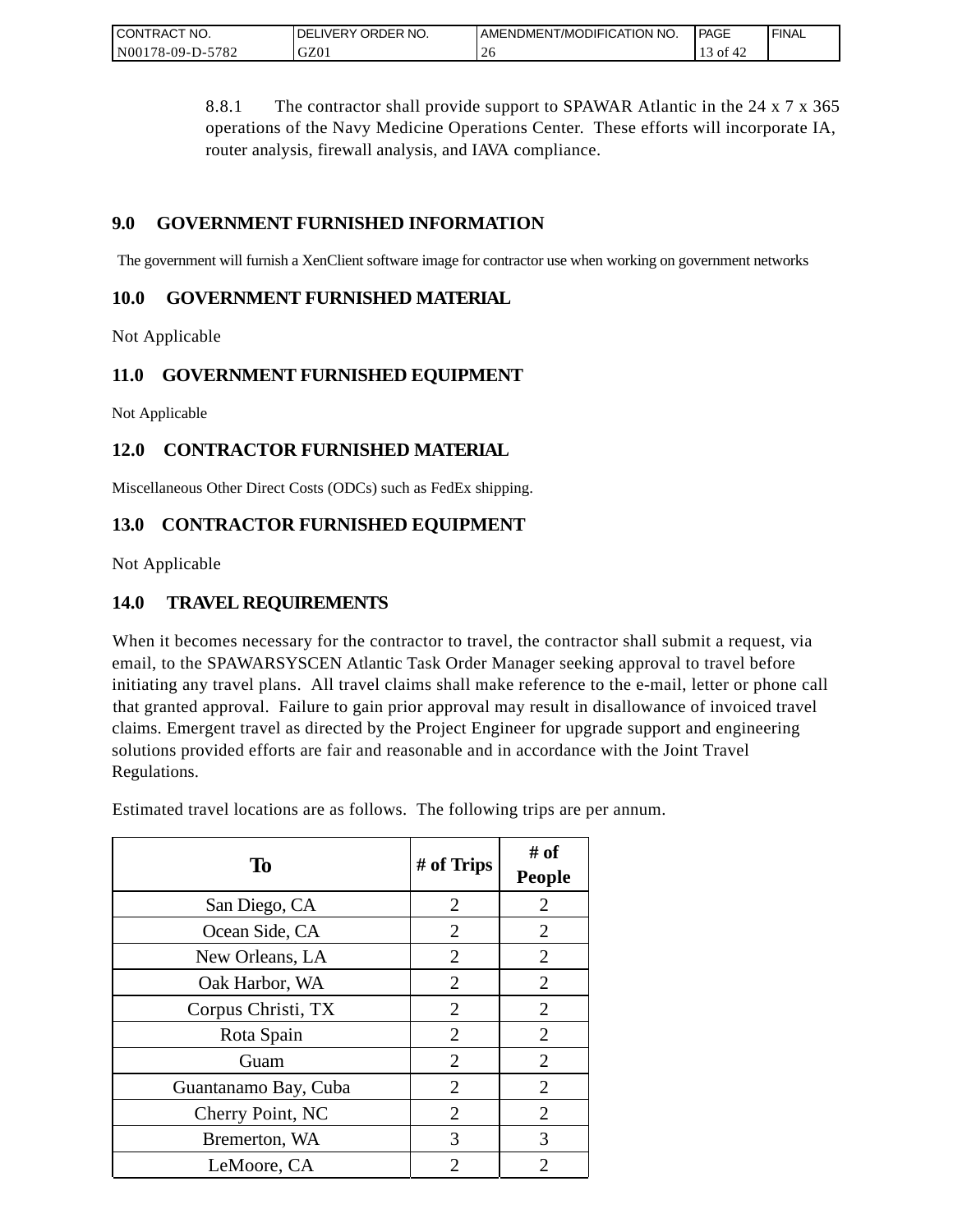| <b>CONTRACT</b><br>" NO.    | ORDER NO.<br><b>DELIVERY</b> | AMENDMENT/MODIFICATION NO. | PAGE               | <b>FINAL</b> |
|-----------------------------|------------------------------|----------------------------|--------------------|--------------|
| $-5782$<br>N00<br>/8-09-D-5 | GZ0.                         | ∠∪                         | $\leq$ 01 4 $\leq$ |              |

8.8.1 The contractor shall provide support to SPAWAR Atlantic in the 24 x 7 x 365 operations of the Navy Medicine Operations Center. These efforts will incorporate IA, router analysis, firewall analysis, and IAVA compliance.

## **9.0 GOVERNMENT FURNISHED INFORMATION**

The government will furnish a XenClient software image for contractor use when working on government networks

### **10.0 GOVERNMENT FURNISHED MATERIAL**

Not Applicable

## **11.0 GOVERNMENT FURNISHED EQUIPMENT**

Not Applicable

## **12.0 CONTRACTOR FURNISHED MATERIAL**

Miscellaneous Other Direct Costs (ODCs) such as FedEx shipping.

## **13.0 CONTRACTOR FURNISHED EQUIPMENT**

Not Applicable

## **14.0 TRAVEL REQUIREMENTS**

When it becomes necessary for the contractor to travel, the contractor shall submit a request, via email, to the SPAWARSYSCEN Atlantic Task Order Manager seeking approval to travel before initiating any travel plans. All travel claims shall make reference to the e-mail, letter or phone call that granted approval. Failure to gain prior approval may result in disallowance of invoiced travel claims. Emergent travel as directed by the Project Engineer for upgrade support and engineering solutions provided efforts are fair and reasonable and in accordance with the Joint Travel Regulations.

Estimated travel locations are as follows. The following trips are per annum.

| To                   | # of Trips     | # of<br><b>People</b> |
|----------------------|----------------|-----------------------|
| San Diego, CA        | $\overline{2}$ | $\overline{2}$        |
| Ocean Side, CA       | $\overline{2}$ | $\overline{2}$        |
| New Orleans, LA      | 2              | 2                     |
| Oak Harbor, WA       | $\overline{2}$ | $\overline{2}$        |
| Corpus Christi, TX   | 2              | $\overline{2}$        |
| Rota Spain           | $\overline{2}$ | $\overline{2}$        |
| Guam                 | $\overline{2}$ | $\overline{2}$        |
| Guantanamo Bay, Cuba | 2              | $\overline{2}$        |
| Cherry Point, NC     | $\overline{2}$ | $\overline{2}$        |
| Bremerton, WA        | 3              | 3                     |
| LeMoore, CA          | 2              | 2                     |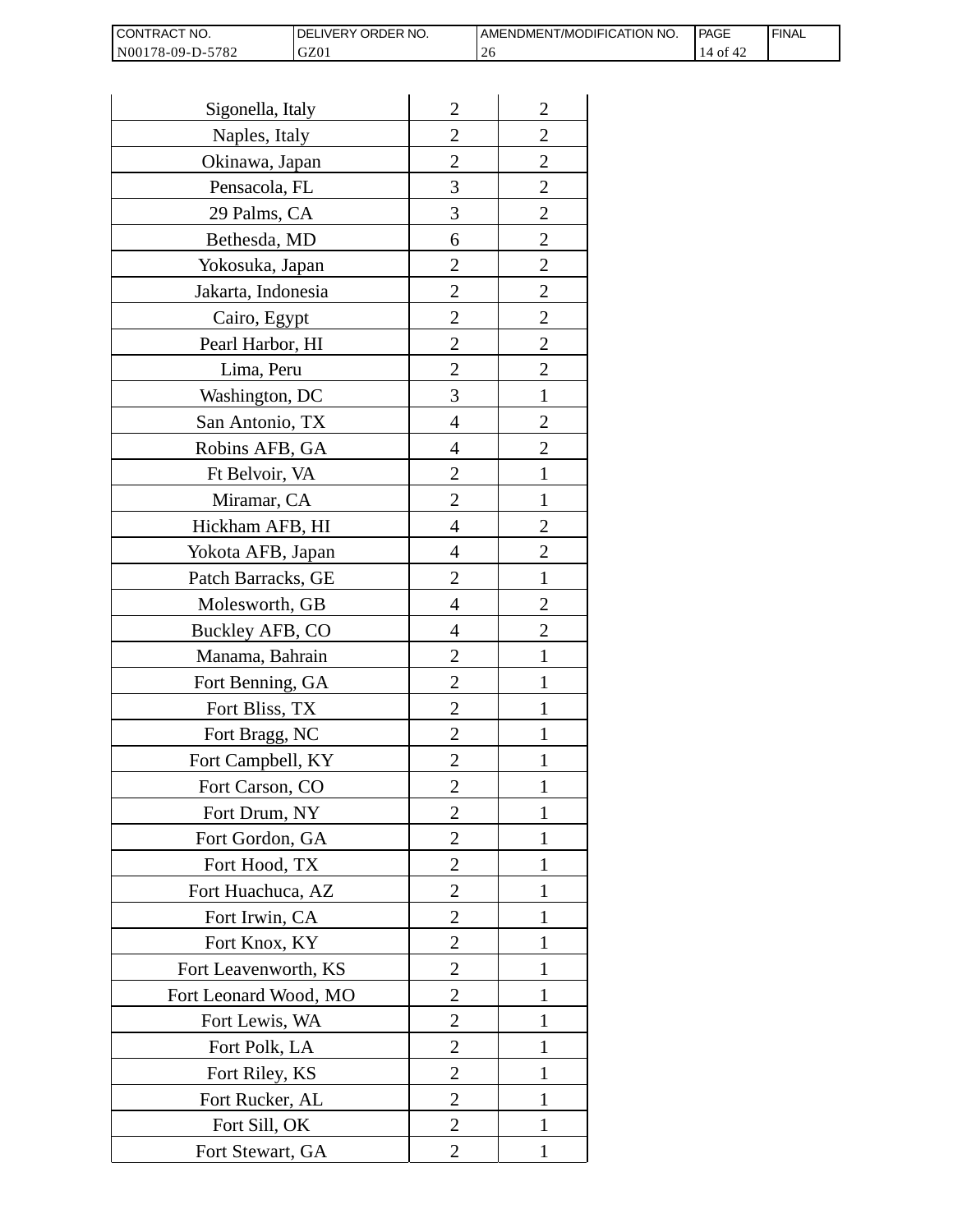| I CONTRACT NO.   | <b>IDELIVERY ORDER NO.</b> | AMENDMENT/MODIFICATION NO. | <b>PAGE</b>  | ' FINAL |
|------------------|----------------------------|----------------------------|--------------|---------|
| N00178-09-D-5782 | GZ01                       |                            | 14 of<br>™4∠ |         |

| Sigonella, Italy      | $\overline{2}$ | $\overline{c}$ |
|-----------------------|----------------|----------------|
| Naples, Italy         | $\overline{2}$ | $\overline{2}$ |
| Okinawa, Japan        | $\overline{2}$ | $\overline{c}$ |
| Pensacola, FL         | 3              | $\overline{c}$ |
| 29 Palms, CA          | 3              | $\overline{2}$ |
| Bethesda, MD          | 6              | $\overline{2}$ |
| Yokosuka, Japan       | 2              | $\overline{c}$ |
| Jakarta, Indonesia    | $\overline{c}$ | $\overline{c}$ |
| Cairo, Egypt          | $\overline{2}$ | $\overline{c}$ |
| Pearl Harbor, HI      | $\overline{2}$ | $\overline{2}$ |
| Lima, Peru            | $\overline{2}$ | $\overline{2}$ |
| Washington, DC        | 3              | $\mathbf{1}$   |
| San Antonio, TX       | 4              | $\overline{c}$ |
| Robins AFB, GA        | 4              | $\overline{c}$ |
| Ft Belvoir, VA        | $\overline{2}$ | $\mathbf{1}$   |
| Miramar, CA           | 2              | 1              |
| Hickham AFB, HI       | 4              | $\overline{2}$ |
| Yokota AFB, Japan     | 4              | $\overline{c}$ |
| Patch Barracks, GE    | $\overline{2}$ | $\mathbf{1}$   |
| Molesworth, GB        | 4              | $\overline{2}$ |
| Buckley AFB, CO       | 4              | $\overline{c}$ |
| Manama, Bahrain       | $\overline{c}$ | 1              |
| Fort Benning, GA      | $\overline{2}$ | 1              |
| Fort Bliss, TX        | $\overline{2}$ | 1              |
| Fort Bragg, NC        | $\overline{2}$ | 1              |
| Fort Campbell, KY     | 2              | 1              |
| Fort Carson, CO       | $\overline{c}$ |                |
| Fort Drum, NY         | $\overline{2}$ | 1              |
| Fort Gordon, GA       | $\overline{2}$ | 1              |
| Fort Hood, TX         | 2              | 1              |
| Fort Huachuca, AZ     | 2              | 1              |
| Fort Irwin, CA        | 2              | 1              |
| Fort Knox, KY         | $\overline{2}$ | 1              |
| Fort Leavenworth, KS  | $\overline{2}$ | 1              |
| Fort Leonard Wood, MO | 2              | 1              |
| Fort Lewis, WA        | $\overline{2}$ | 1              |
| Fort Polk, LA         | $\overline{c}$ | 1              |
| Fort Riley, KS        | $\overline{c}$ | 1              |
| Fort Rucker, AL       | $\overline{2}$ | 1              |
| Fort Sill, OK         | 2              | 1              |
| Fort Stewart, GA      | 2              | 1              |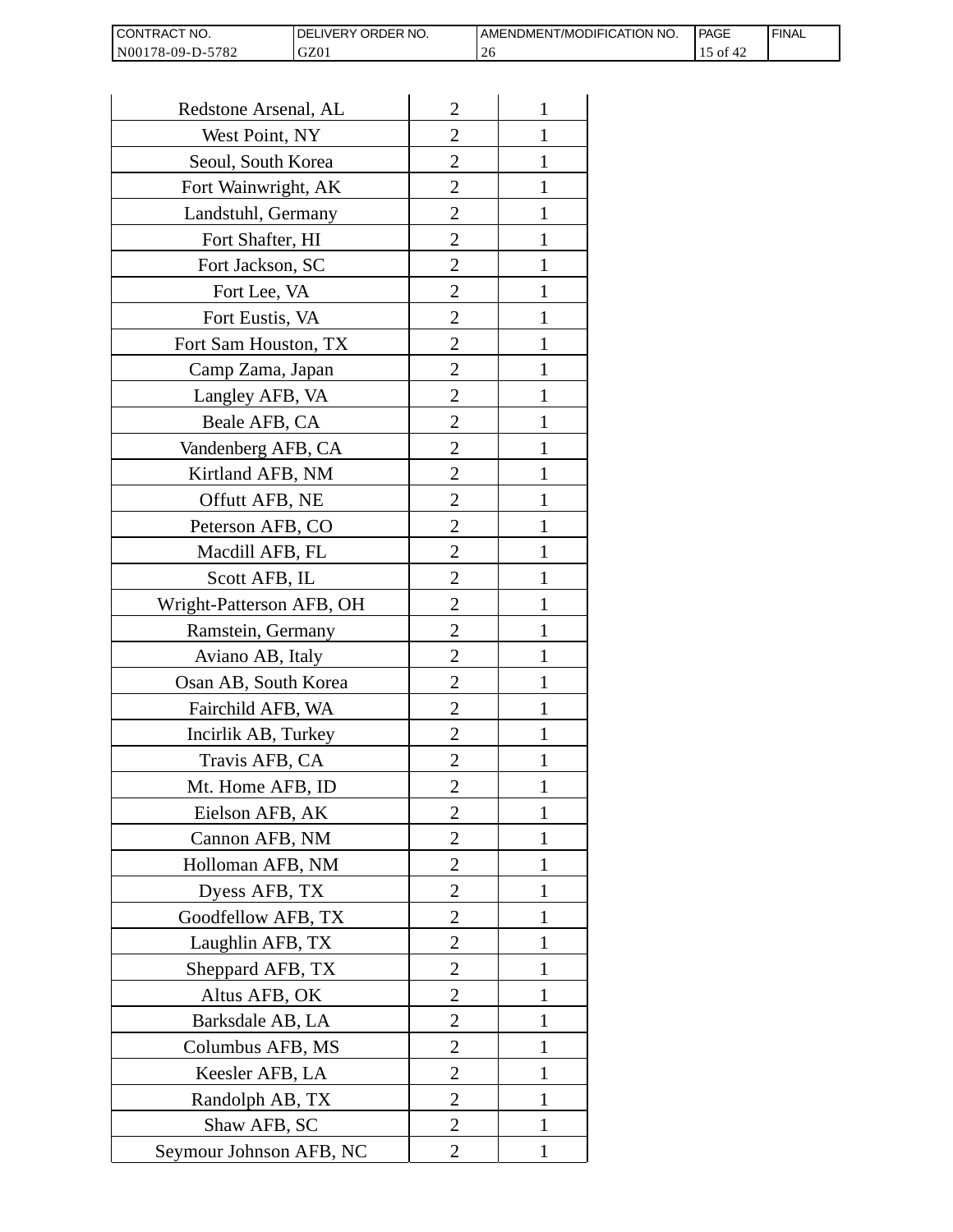| CONTRACT<br>`CT NO.      | NO.<br>' ORDER<br><b>DELIVERY</b> | AMENDMENT/MODIFICATION NO. | l PAGE                   | 'FINAL |
|--------------------------|-----------------------------------|----------------------------|--------------------------|--------|
| N00178-09-D-5<br>$-5782$ | GZ01                              | $\angle$                   | $^{\circ}$ O1 $^{\circ}$ |        |

| Redstone Arsenal, AL     | $\overline{c}$ | 1            |
|--------------------------|----------------|--------------|
| West Point, NY           | $\overline{2}$ | 1            |
| Seoul, South Korea       | 2              | 1            |
| Fort Wainwright, AK      | $\overline{2}$ | 1            |
| Landstuhl, Germany       | $\overline{2}$ | 1            |
| Fort Shafter, HI         | $\overline{2}$ | 1            |
| Fort Jackson, SC         | $\overline{2}$ | 1            |
| Fort Lee, VA             | 2              | 1            |
| Fort Eustis, VA          | $\overline{2}$ | 1            |
| Fort Sam Houston, TX     | $\overline{2}$ | 1            |
| Camp Zama, Japan         | $\overline{2}$ | 1            |
| Langley AFB, VA          | $\overline{2}$ | 1            |
| Beale AFB, CA            | 2              | 1            |
| Vandenberg AFB, CA       | $\overline{2}$ | 1            |
| Kirtland AFB, NM         | $\overline{2}$ | 1            |
| Offutt AFB, NE           | 2              | 1            |
| Peterson AFB, CO         | 2              | 1            |
| Macdill AFB, FL          | $\overline{2}$ | 1            |
| Scott AFB, IL            | $\overline{2}$ | 1            |
| Wright-Patterson AFB, OH | 2              | 1            |
| Ramstein, Germany        | $\overline{2}$ | 1            |
| Aviano AB, Italy         | 2              | 1            |
| Osan AB, South Korea     | $\overline{2}$ | 1            |
| Fairchild AFB, WA        | $\overline{2}$ | 1            |
| Incirlik AB, Turkey      | 2              | 1            |
| Travis AFB, CA           | $\overline{c}$ | 1            |
| Mt. Home AFB, ID         | $\overline{c}$ | 1            |
| Eielson AFB, AK          | $\overline{2}$ | 1            |
| Cannon AFB, NM           | $\overline{2}$ | $\mathbf{1}$ |
| Holloman AFB, NM         | $\overline{2}$ | 1            |
| Dyess AFB, TX            | $\overline{2}$ | 1            |
| Goodfellow AFB, TX       | $\overline{2}$ | 1            |
| Laughlin AFB, TX         | $\overline{2}$ | 1            |
| Sheppard AFB, TX         | $\overline{c}$ | 1            |
| Altus AFB, OK            | $\overline{2}$ | 1            |
| Barksdale AB, LA         | $\overline{2}$ | $\mathbf{1}$ |
| Columbus AFB, MS         | 2              | 1            |
| Keesler AFB, LA          | $\overline{2}$ | 1            |
| Randolph AB, TX          | $\overline{2}$ | 1            |
| Shaw AFB, SC             | $\overline{c}$ | 1            |
| Seymour Johnson AFB, NC  | $\overline{2}$ | $\mathbf{1}$ |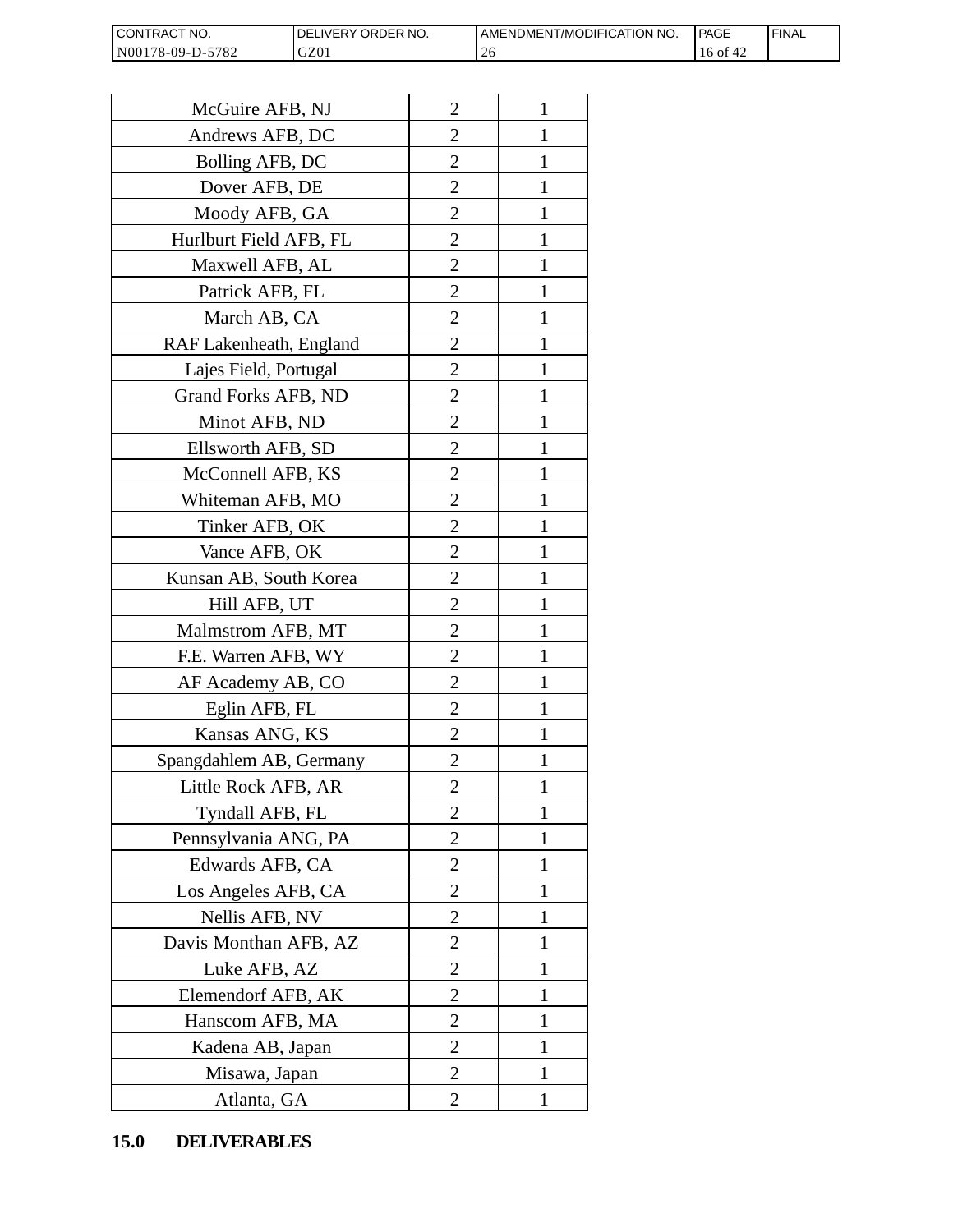| <b>CON</b><br>NO.<br>I RAC    | ORDER NO.<br><b>NERY</b> | T/MODIFICATION NO.<br>AMENDMEN! | PAGE                      | <b>FINAL</b> |
|-------------------------------|--------------------------|---------------------------------|---------------------------|--------------|
| N0017<br>5782<br>78-09-L<br>. | GZ01                     | ∠∪                              | - Ol<br><sub>0</sub><br>∸ |              |

| CONTRACT NO.<br>N00178-09-D-5782 | DELIVERY ORDER NO.<br>GZ01 |                | AMENDMENT/MOI<br>26 |
|----------------------------------|----------------------------|----------------|---------------------|
|                                  |                            |                |                     |
| McGuire AFB, NJ                  |                            | $\overline{2}$ | 1                   |
| Andrews AFB, DC                  |                            | 2              | 1                   |
| Bolling AFB, DC                  |                            | $\overline{c}$ | 1                   |
| Dover AFB, DE                    |                            | $\overline{2}$ | 1                   |
| Moody AFB, GA                    |                            | $\overline{2}$ | $\mathbf{1}$        |
| Hurlburt Field AFB, FL           |                            | 2              | 1                   |
| Maxwell AFB, AL                  |                            | $\overline{2}$ | 1                   |
| Patrick AFB, FL                  |                            | $\overline{2}$ | 1                   |
| March AB, CA                     |                            | $\overline{c}$ | 1                   |
| RAF Lakenheath, England          |                            | $\overline{2}$ | $\mathbf{1}$        |
| Lajes Field, Portugal            |                            | $\overline{2}$ | 1                   |
| Grand Forks AFB, ND              |                            | $\overline{2}$ | 1                   |
| Minot AFB, ND                    |                            | $\overline{2}$ | $\mathbf{1}$        |
| Ellsworth AFB, SD                |                            | $\overline{c}$ | 1                   |
| McConnell AFB, KS                |                            | $\overline{c}$ | 1                   |
| Whiteman AFB, MO                 |                            | $\overline{2}$ | 1                   |
| Tinker AFB, OK                   |                            | $\overline{2}$ | 1                   |
| Vance AFB, OK                    |                            | 2              | 1                   |
| Kunsan AB, South Korea           |                            | $\overline{2}$ | 1                   |
| Hill AFB, UT                     |                            | $\overline{c}$ | 1                   |
| Malmstrom AFB, MT                |                            | 2              | 1                   |
| F.E. Warren AFB, WY              |                            | $\overline{2}$ | $\mathbf{1}$        |
| AF Academy AB, CO                |                            | $\overline{2}$ | $\mathbf{1}$        |
| Eglin AFB, FL                    |                            | $\overline{2}$ | 1                   |
| Kansas ANG, KS                   |                            | $\overline{c}$ |                     |
| Spangdahlem AB, Germany          |                            | 2              | 1                   |
| Little Rock AFB, AR              |                            | $\overline{c}$ | 1                   |
| Tyndall AFB, FL                  |                            | $\overline{c}$ | $\mathbf{1}$        |
| Pennsylvania ANG, PA             |                            | $\overline{2}$ | 1                   |
| Edwards AFB, CA                  |                            | 2              | 1                   |
| Los Angeles AFB, CA              |                            | 2              | 1                   |
| Nellis AFB, NV                   |                            | $\overline{2}$ | 1                   |
| Davis Monthan AFB, AZ            |                            | $\overline{c}$ | 1                   |
| Luke AFB, AZ                     |                            | $\overline{2}$ | 1                   |
| Elemendorf AFB, AK               |                            | 2              | 1                   |
| Hanscom AFB, MA                  |                            | 2              | 1                   |
| Kadena AB, Japan                 |                            | 2              | 1                   |
| Misawa, Japan                    |                            | $\overline{c}$ | 1                   |
| Atlanta, GA                      |                            | $\overline{2}$ | 1                   |
| <b>DELIVERABLES</b><br>15.0      |                            |                |                     |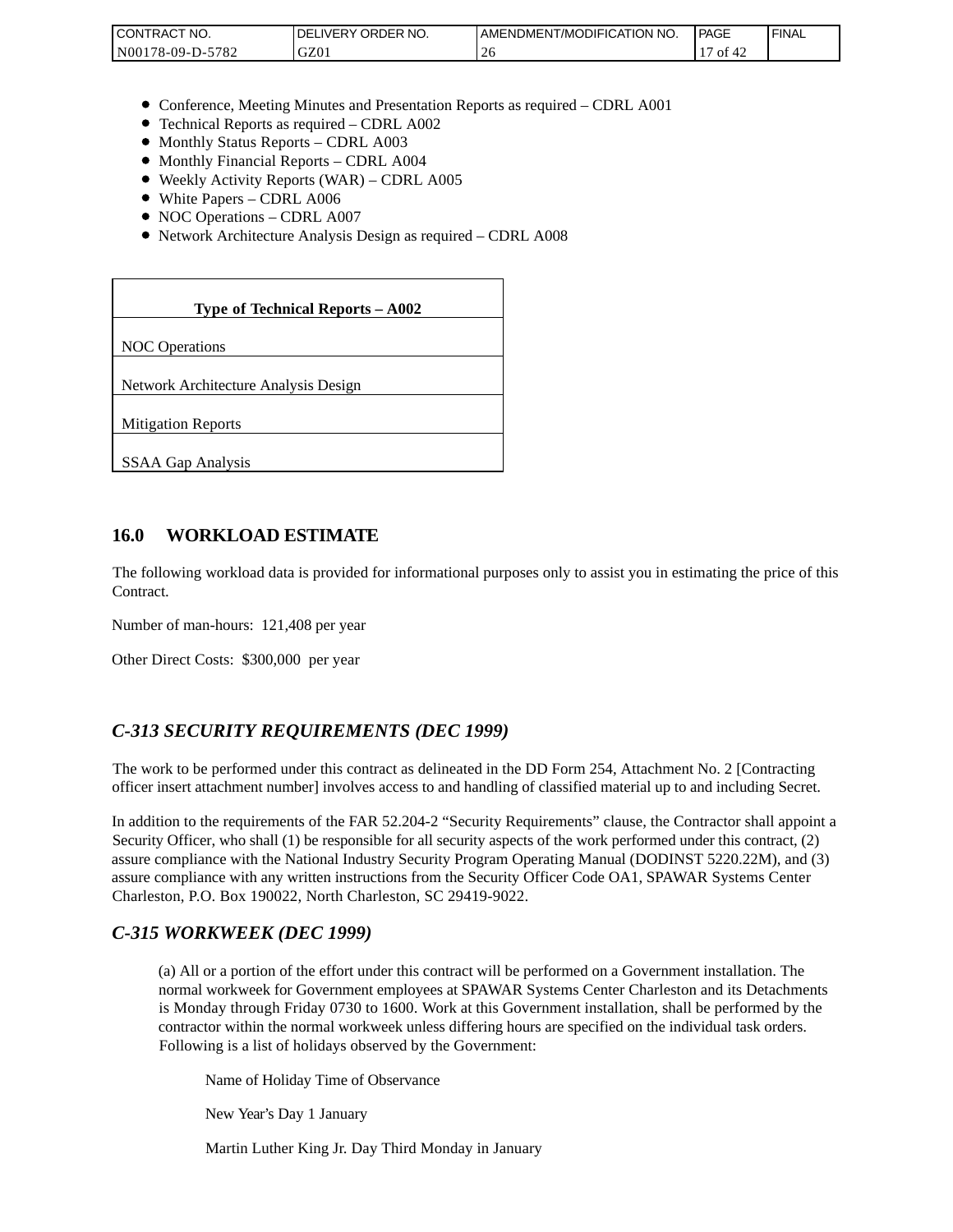| <b>CONTRAC</b><br>'NO.     | NO.<br>ORDER<br><b>DELIVERY</b> | AMENDMENT/MODIFICATION NO. | <b>PAGE</b> | <b>FINAL</b> |
|----------------------------|---------------------------------|----------------------------|-------------|--------------|
| 5782<br>N00<br>$78-09-D$ - | 770<br>JZU                      |                            | ΟĪ          |              |

- Conference, Meeting Minutes and Presentation Reports as required CDRL A001
- Technical Reports as required CDRL A002
- Monthly Status Reports CDRL A003
- Monthly Financial Reports CDRL A004
- Weekly Activity Reports (WAR) CDRL A005
- White Papers CDRL A006
- NOC Operations CDRL A007
- Network Architecture Analysis Design as required CDRL A008

| CONTRACT NO.<br>N00178-09-D-5782                                                                                                                                                                                                                                                                                                                                 | DELIVERY ORDER NO.<br>GZ01                                                                                                                                                                                                                                                                                              | AMENDME<br>26 |
|------------------------------------------------------------------------------------------------------------------------------------------------------------------------------------------------------------------------------------------------------------------------------------------------------------------------------------------------------------------|-------------------------------------------------------------------------------------------------------------------------------------------------------------------------------------------------------------------------------------------------------------------------------------------------------------------------|---------------|
|                                                                                                                                                                                                                                                                                                                                                                  |                                                                                                                                                                                                                                                                                                                         |               |
| • Monthly Status Reports - CDRL A003<br>• Monthly Financial Reports - CDRL A004<br>• White Papers - CDRL A006<br>• NOC Operations - CDRL A007                                                                                                                                                                                                                    | • Conference, Meeting Minutes and Presentation Reports as rec<br>• Technical Reports as required - CDRL A002<br>• Weekly Activity Reports (WAR) – CDRL A005<br>• Network Architecture Analysis Design as required - CDRL A                                                                                              |               |
|                                                                                                                                                                                                                                                                                                                                                                  | Type of Technical Reports - A002                                                                                                                                                                                                                                                                                        |               |
| <b>NOC</b> Operations                                                                                                                                                                                                                                                                                                                                            |                                                                                                                                                                                                                                                                                                                         |               |
| Network Architecture Analysis Design                                                                                                                                                                                                                                                                                                                             |                                                                                                                                                                                                                                                                                                                         |               |
| <b>Mitigation Reports</b>                                                                                                                                                                                                                                                                                                                                        |                                                                                                                                                                                                                                                                                                                         |               |
| <b>SSAA Gap Analysis</b>                                                                                                                                                                                                                                                                                                                                         |                                                                                                                                                                                                                                                                                                                         |               |
|                                                                                                                                                                                                                                                                                                                                                                  |                                                                                                                                                                                                                                                                                                                         |               |
| 16.0<br><b>WORKLOAD ESTIMATE</b>                                                                                                                                                                                                                                                                                                                                 |                                                                                                                                                                                                                                                                                                                         |               |
| The following workload data is provided for informational purposes<br>Contract.                                                                                                                                                                                                                                                                                  |                                                                                                                                                                                                                                                                                                                         |               |
| Number of man-hours: 121,408 per year                                                                                                                                                                                                                                                                                                                            |                                                                                                                                                                                                                                                                                                                         |               |
| Other Direct Costs: \$300,000 per year                                                                                                                                                                                                                                                                                                                           |                                                                                                                                                                                                                                                                                                                         |               |
| C-313 SECURITY REQUIREMENTS (DEC 1999)                                                                                                                                                                                                                                                                                                                           |                                                                                                                                                                                                                                                                                                                         |               |
| The work to be performed under this contract as delineated in the DI<br>officer insert attachment number] involves access to and handling of o                                                                                                                                                                                                                   |                                                                                                                                                                                                                                                                                                                         |               |
| In addition to the requirements of the FAR 52.204-2 "Security Requi<br>Security Officer, who shall (1) be responsible for all security aspects of<br>assure compliance with the National Industry Security Program Oper<br>assure compliance with any written instructions from the Security Of<br>Charleston, P.O. Box 190022, North Charleston, SC 29419-9022. |                                                                                                                                                                                                                                                                                                                         |               |
| C-315 WORKWEEK (DEC 1999)                                                                                                                                                                                                                                                                                                                                        |                                                                                                                                                                                                                                                                                                                         |               |
|                                                                                                                                                                                                                                                                                                                                                                  | (a) All or a portion of the effort under this contract will be per<br>normal workweek for Government employees at SPAWAR Sy<br>is Monday through Friday 0730 to 1600. Work at this Gover<br>contractor within the normal workweek unless differing hours<br>Following is a list of holidays observed by the Government: |               |
|                                                                                                                                                                                                                                                                                                                                                                  | Name of Holiday Time of Observance                                                                                                                                                                                                                                                                                      |               |
|                                                                                                                                                                                                                                                                                                                                                                  | New Year's Day 1 January                                                                                                                                                                                                                                                                                                |               |
|                                                                                                                                                                                                                                                                                                                                                                  | Martin Luther King Jr. Day Third Monday in January                                                                                                                                                                                                                                                                      |               |

#### **16.0 WORKLOAD ESTIMATE**

The following workload data is provided for informational purposes only to assist you in estimating the price of this Contract.

### *C-313 SECURITY REQUIREMENTS (DEC 1999)*

The work to be performed under this contract as delineated in the DD Form 254, Attachment No. 2 [Contracting officer insert attachment number] involves access to and handling of classified material up to and including Secret.

In addition to the requirements of the FAR 52.204-2 "Security Requirements" clause, the Contractor shall appoint a Security Officer, who shall (1) be responsible for all security aspects of the work performed under this contract, (2) assure compliance with the National Industry Security Program Operating Manual (DODINST 5220.22M), and (3) assure compliance with any written instructions from the Security Officer Code OA1, SPAWAR Systems Center Charleston, P.O. Box 190022, North Charleston, SC 29419-9022.

#### *C-315 WORKWEEK (DEC 1999)*

(a) All or a portion of the effort under this contract will be performed on a Government installation. The normal workweek for Government employees at SPAWAR Systems Center Charleston and its Detachments is Monday through Friday 0730 to 1600. Work at this Government installation, shall be performed by the contractor within the normal workweek unless differing hours are specified on the individual task orders. Following is a list of holidays observed by the Government: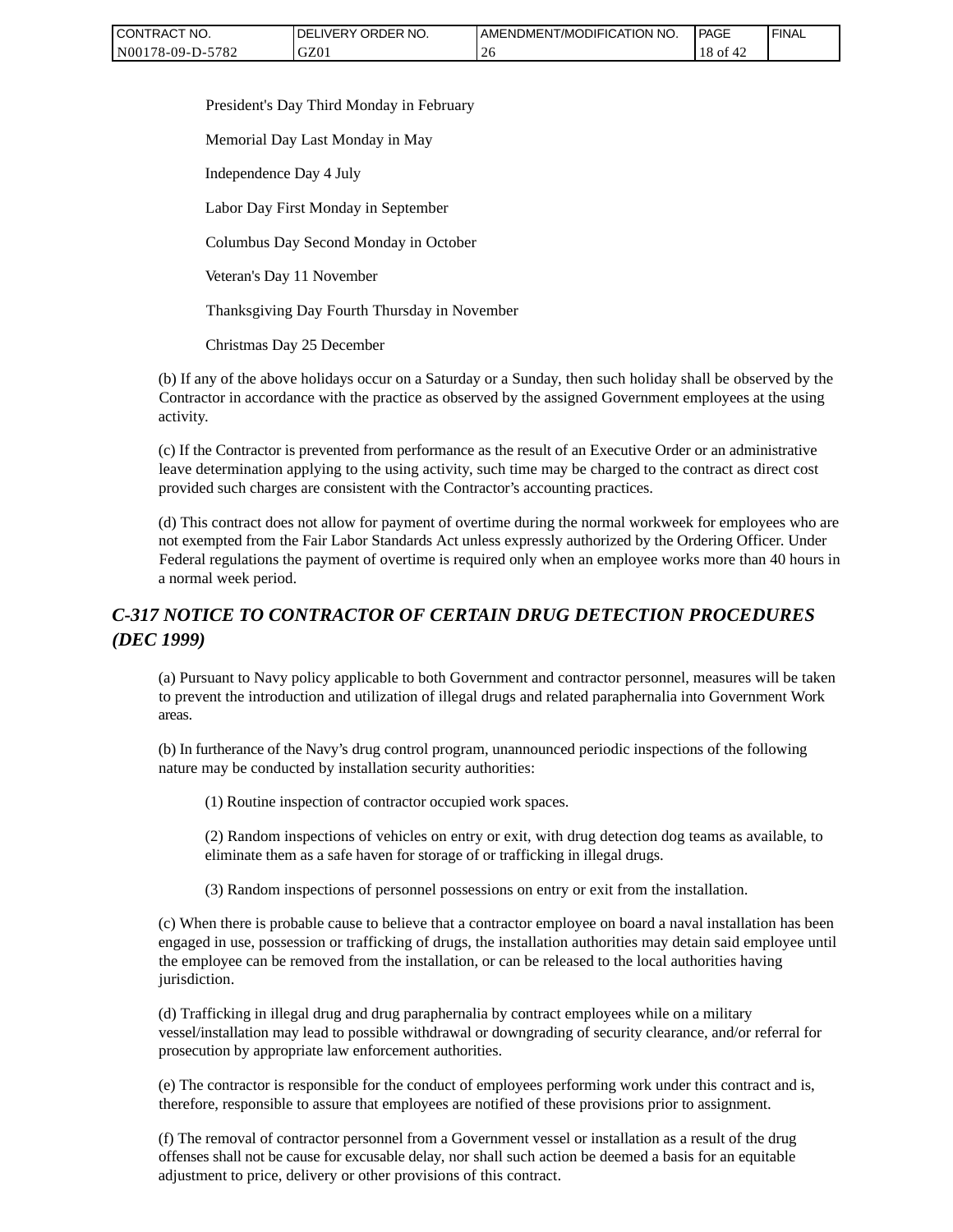| CONTRACT NO.     | ' ORDER NO.<br><b>DELIVERY</b> | AMENDMENT/MODIFICATION<br>'NO. | <b>PAGE</b>  | ' FINAL |
|------------------|--------------------------------|--------------------------------|--------------|---------|
| N00178-09-D-5782 | GZ01                           |                                | 18 of<br>™4∠ |         |

President's Day Third Monday in February

Memorial Day Last Monday in May

Independence Day 4 July

Labor Day First Monday in September

Columbus Day Second Monday in October

Veteran's Day 11 November

Thanksgiving Day Fourth Thursday in November

Christmas Day 25 December

(b) If any of the above holidays occur on a Saturday or a Sunday, then such holiday shall be observed by the Contractor in accordance with the practice as observed by the assigned Government employees at the using activity.

(c) If the Contractor is prevented from performance as the result of an Executive Order or an administrative leave determination applying to the using activity, such time may be charged to the contract as direct cost provided such charges are consistent with the Contractor's accounting practices.

(d) This contract does not allow for payment of overtime during the normal workweek for employees who are not exempted from the Fair Labor Standards Act unless expressly authorized by the Ordering Officer. Under Federal regulations the payment of overtime is required only when an employee works more than 40 hours in a normal week period.

## *C-317 NOTICE TO CONTRACTOR OF CERTAIN DRUG DETECTION PROCEDURES (DEC 1999)*

(a) Pursuant to Navy policy applicable to both Government and contractor personnel, measures will be taken to prevent the introduction and utilization of illegal drugs and related paraphernalia into Government Work areas.

(b) In furtherance of the Navy's drug control program, unannounced periodic inspections of the following nature may be conducted by installation security authorities:

(1) Routine inspection of contractor occupied work spaces.

(2) Random inspections of vehicles on entry or exit, with drug detection dog teams as available, to eliminate them as a safe haven for storage of or trafficking in illegal drugs.

(3) Random inspections of personnel possessions on entry or exit from the installation.

(c) When there is probable cause to believe that a contractor employee on board a naval installation has been engaged in use, possession or trafficking of drugs, the installation authorities may detain said employee until the employee can be removed from the installation, or can be released to the local authorities having jurisdiction.

(d) Trafficking in illegal drug and drug paraphernalia by contract employees while on a military vessel/installation may lead to possible withdrawal or downgrading of security clearance, and/or referral for prosecution by appropriate law enforcement authorities.

(e) The contractor is responsible for the conduct of employees performing work under this contract and is, therefore, responsible to assure that employees are notified of these provisions prior to assignment.

(f) The removal of contractor personnel from a Government vessel or installation as a result of the drug offenses shall not be cause for excusable delay, nor shall such action be deemed a basis for an equitable adjustment to price, delivery or other provisions of this contract.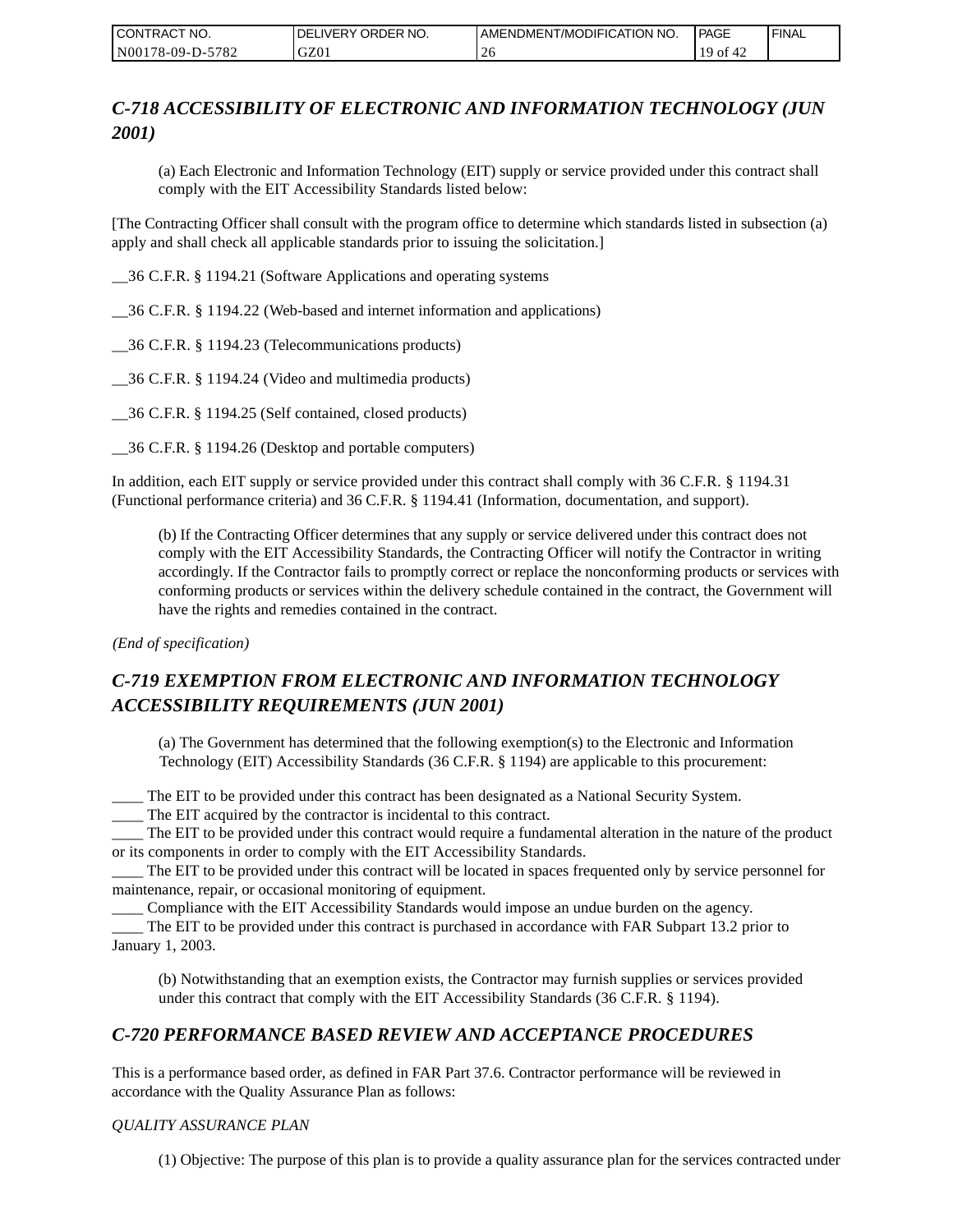| CONTRACT NO.     | <b>IDELIVERY ORDER NO.</b> | AMENDMENT/MODIFICATION NO. | <b>PAGE</b>            | ' FINAL |
|------------------|----------------------------|----------------------------|------------------------|---------|
| N00178-09-D-5782 | GZ01                       |                            | $19$ of $\cdot$<br>™4∠ |         |

# *C-718 ACCESSIBILITY OF ELECTRONIC AND INFORMATION TECHNOLOGY (JUN 2001)*

(a) Each Electronic and Information Technology (EIT) supply or service provided under this contract shall comply with the EIT Accessibility Standards listed below:

[The Contracting Officer shall consult with the program office to determine which standards listed in subsection (a) apply and shall check all applicable standards prior to issuing the solicitation.]

\_\_36 C.F.R. § 1194.21 (Software Applications and operating systems

\_\_36 C.F.R. § 1194.22 (Web-based and internet information and applications)

\_\_36 C.F.R. § 1194.23 (Telecommunications products)

\_\_36 C.F.R. § 1194.24 (Video and multimedia products)

\_\_36 C.F.R. § 1194.25 (Self contained, closed products)

\_\_36 C.F.R. § 1194.26 (Desktop and portable computers)

In addition, each EIT supply or service provided under this contract shall comply with 36 C.F.R. § 1194.31 (Functional performance criteria) and 36 C.F.R. § 1194.41 (Information, documentation, and support).

(b) If the Contracting Officer determines that any supply or service delivered under this contract does not comply with the EIT Accessibility Standards, the Contracting Officer will notify the Contractor in writing accordingly. If the Contractor fails to promptly correct or replace the nonconforming products or services with conforming products or services within the delivery schedule contained in the contract, the Government will have the rights and remedies contained in the contract.

*(End of specification)*

# *C-719 EXEMPTION FROM ELECTRONIC AND INFORMATION TECHNOLOGY ACCESSIBILITY REQUIREMENTS (JUN 2001)*

(a) The Government has determined that the following exemption(s) to the Electronic and Information Technology (EIT) Accessibility Standards (36 C.F.R. § 1194) are applicable to this procurement:

\_\_\_\_ The EIT to be provided under this contract has been designated as a National Security System.

\_\_\_\_ The EIT acquired by the contractor is incidental to this contract.

\_\_\_\_ The EIT to be provided under this contract would require a fundamental alteration in the nature of the product or its components in order to comply with the EIT Accessibility Standards.

\_\_\_\_ The EIT to be provided under this contract will be located in spaces frequented only by service personnel for maintenance, repair, or occasional monitoring of equipment.

\_\_\_\_ Compliance with the EIT Accessibility Standards would impose an undue burden on the agency.

\_\_\_\_ The EIT to be provided under this contract is purchased in accordance with FAR Subpart 13.2 prior to January 1, 2003.

(b) Notwithstanding that an exemption exists, the Contractor may furnish supplies or services provided under this contract that comply with the EIT Accessibility Standards (36 C.F.R. § 1194).

### *C-720 PERFORMANCE BASED REVIEW AND ACCEPTANCE PROCEDURES*

This is a performance based order, as defined in FAR Part 37.6. Contractor performance will be reviewed in accordance with the Quality Assurance Plan as follows:

#### *QUALITY ASSURANCE PLAN*

(1) Objective: The purpose of this plan is to provide a quality assurance plan for the services contracted under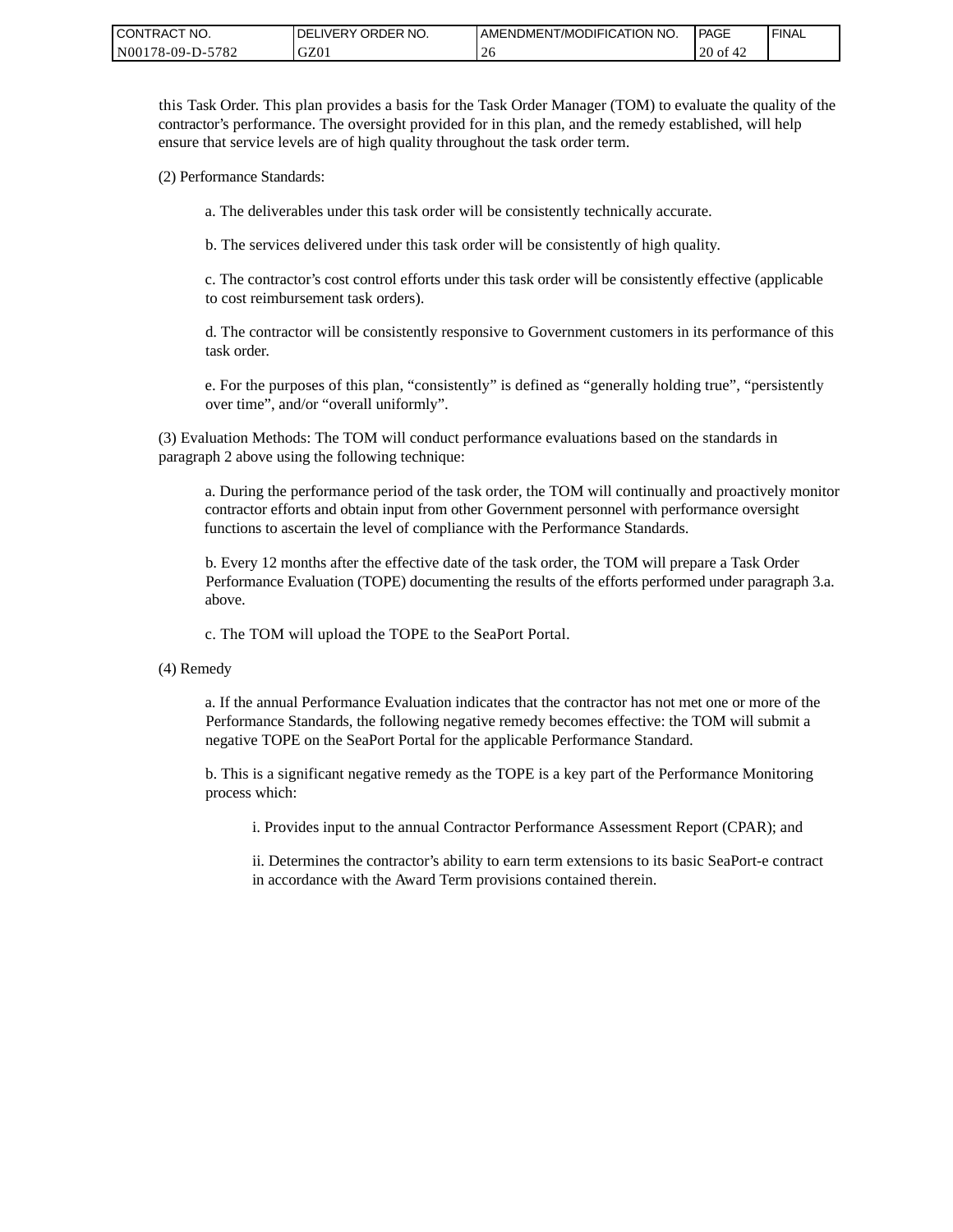| CONTRACT NO.     | ORDER NO.<br><b>DELIVERY</b> | I AMENDMENT/MODIFICATION NO. | PAGE     | 'FINAL |
|------------------|------------------------------|------------------------------|----------|--------|
| N00178-09-D-5782 | GZ01                         | -26                          | 20 of 42 |        |

this Task Order. This plan provides a basis for the Task Order Manager (TOM) to evaluate the quality of the contractor's performance. The oversight provided for in this plan, and the remedy established, will help ensure that service levels are of high quality throughout the task order term.

(2) Performance Standards:

a. The deliverables under this task order will be consistently technically accurate.

b. The services delivered under this task order will be consistently of high quality.

c. The contractor's cost control efforts under this task order will be consistently effective (applicable to cost reimbursement task orders).

d. The contractor will be consistently responsive to Government customers in its performance of this task order.

e. For the purposes of this plan, "consistently" is defined as "generally holding true", "persistently over time", and/or "overall uniformly".

(3) Evaluation Methods: The TOM will conduct performance evaluations based on the standards in paragraph 2 above using the following technique:

a. During the performance period of the task order, the TOM will continually and proactively monitor contractor efforts and obtain input from other Government personnel with performance oversight functions to ascertain the level of compliance with the Performance Standards.

b. Every 12 months after the effective date of the task order, the TOM will prepare a Task Order Performance Evaluation (TOPE) documenting the results of the efforts performed under paragraph 3.a. above.

c. The TOM will upload the TOPE to the SeaPort Portal.

(4) Remedy

a. If the annual Performance Evaluation indicates that the contractor has not met one or more of the Performance Standards, the following negative remedy becomes effective: the TOM will submit a negative TOPE on the SeaPort Portal for the applicable Performance Standard.

b. This is a significant negative remedy as the TOPE is a key part of the Performance Monitoring process which:

i. Provides input to the annual Contractor Performance Assessment Report (CPAR); and

ii. Determines the contractor's ability to earn term extensions to its basic SeaPort-e contract in accordance with the Award Term provisions contained therein.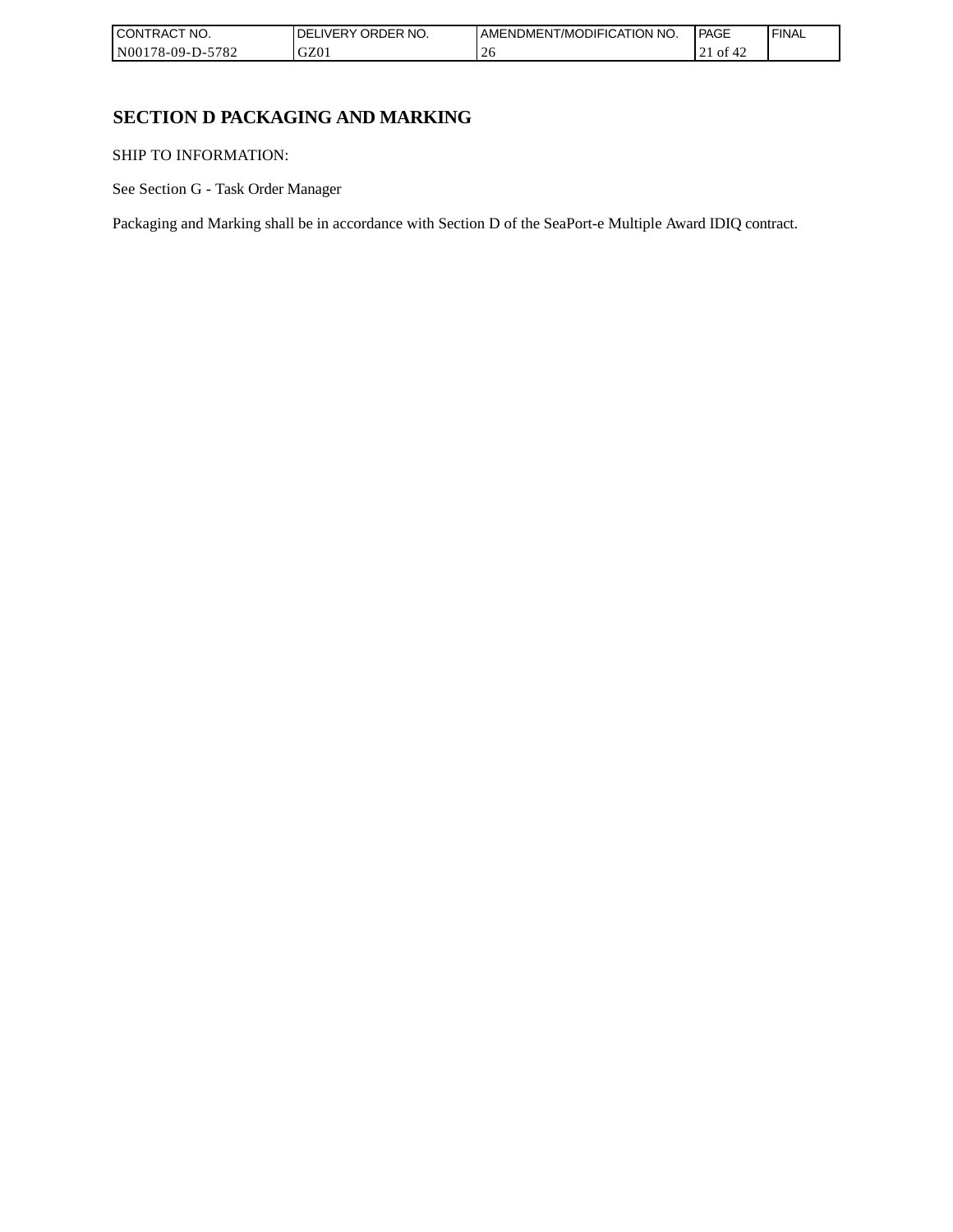| CONTRACT NO.     | ' ORDER NO.<br><b>DELIVERY</b> | AMENDMENT/MODIFICATION NO. | l PAGE             | ' FINAL |
|------------------|--------------------------------|----------------------------|--------------------|---------|
| N00178-09-D-5782 | GZ01                           | ZU                         | . $\angle 1$ Of 42 |         |

## **SECTION D PACKAGING AND MARKING**

SHIP TO INFORMATION:

See Section G - Task Order Manager

Packaging and Marking shall be in accordance with Section D of the SeaPort-e Multiple Award IDIQ contract.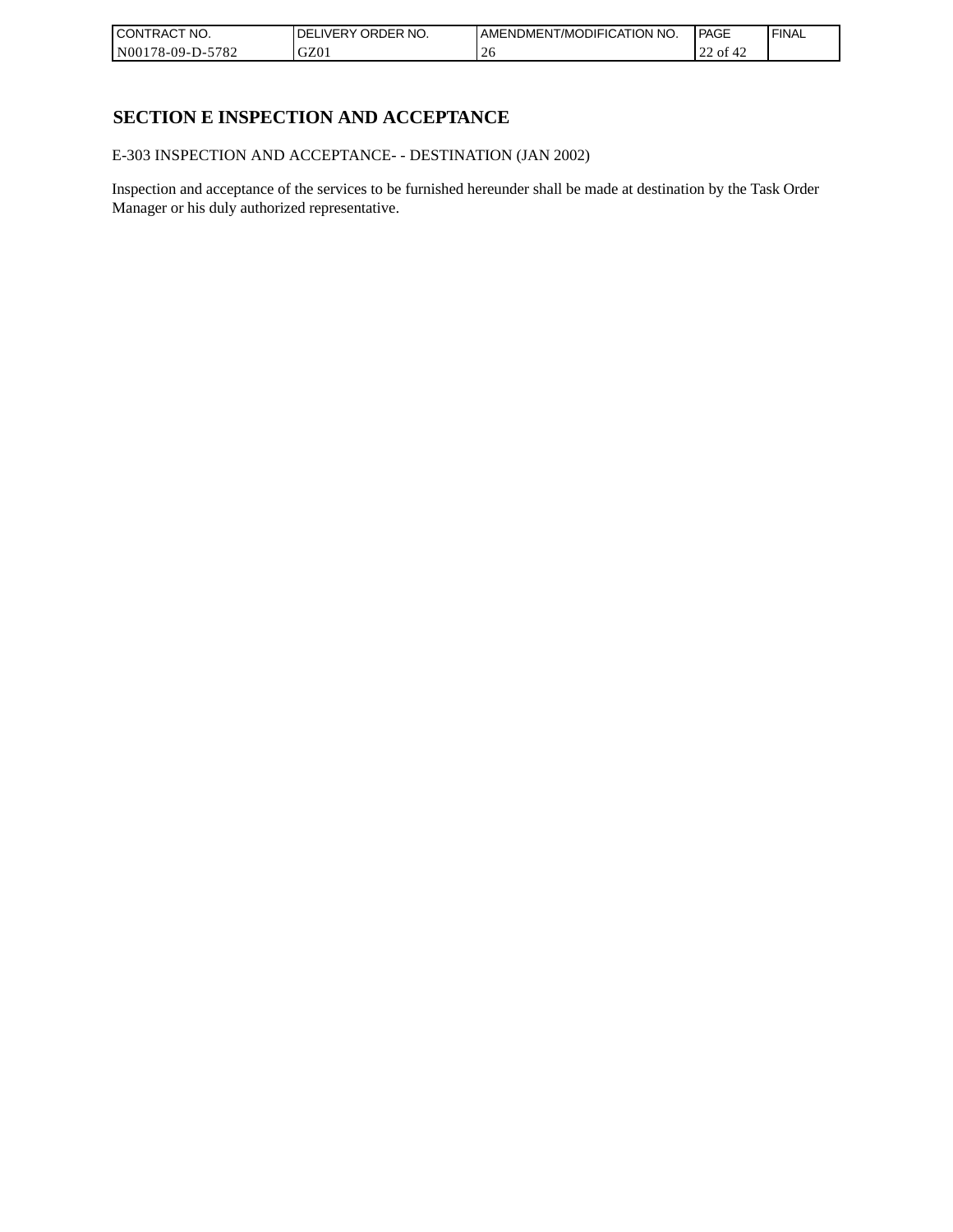| CONTRACT<br>`CT NO.      | NO.<br>' ORDER<br><b>DELIVERY</b> | AMENDMENT/MODIFICATION NO. | l PAGE        | ' FINAL |
|--------------------------|-----------------------------------|----------------------------|---------------|---------|
| $-5782$<br>N00178-09-D-5 | GZ01                              | $\angle$                   | 22 of 4<br>∸∸ |         |

## **SECTION E INSPECTION AND ACCEPTANCE**

E-303 INSPECTION AND ACCEPTANCE- - DESTINATION (JAN 2002)

Inspection and acceptance of the services to be furnished hereunder shall be made at destination by the Task Order Manager or his duly authorized representative.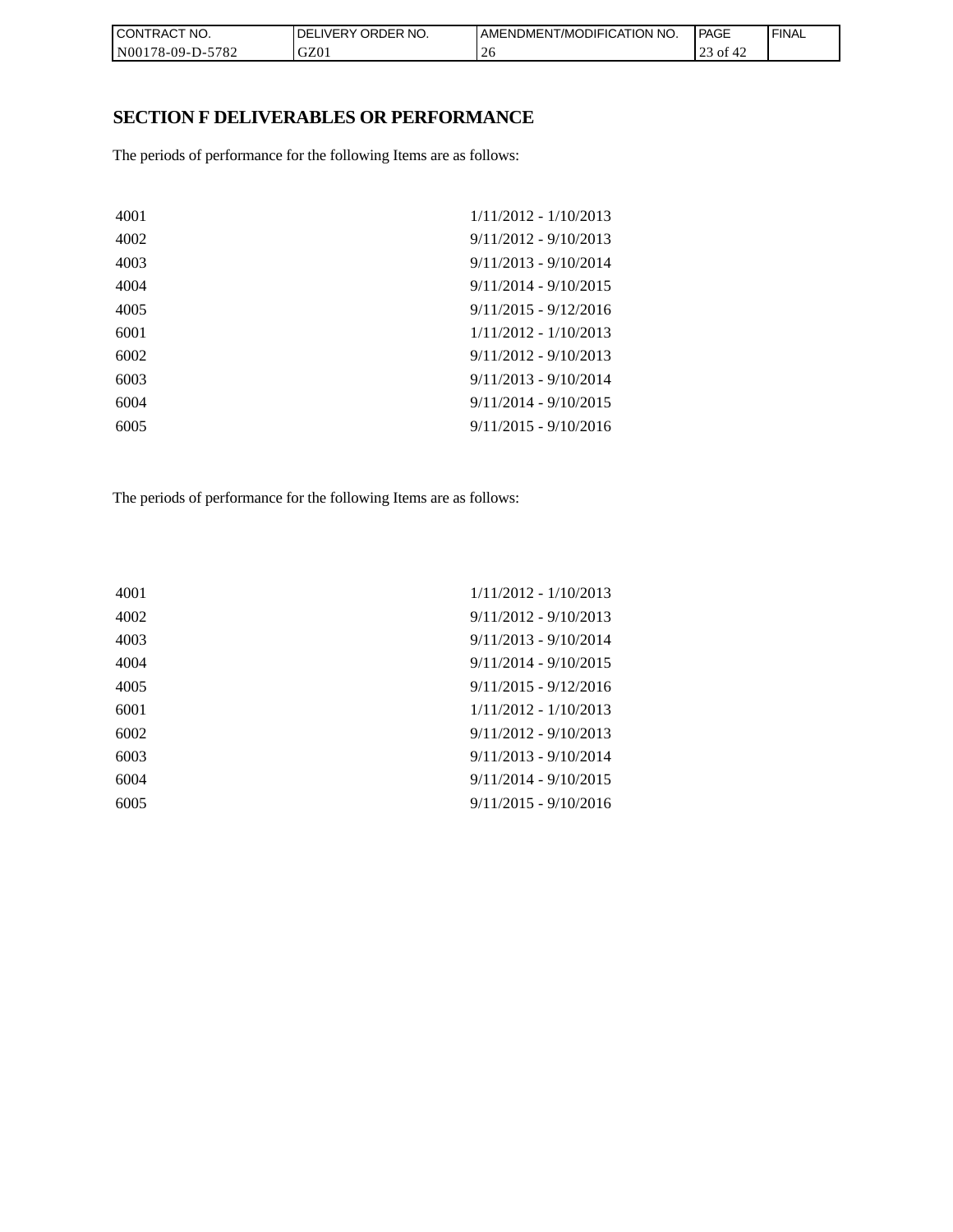| CON <sub>1</sub><br>TRACT NO. | NO.<br>' ORDER<br><b>DELIVERY</b> | <b>I AMENDMENT/MODIFICATION NO.</b> | <b>PAGE</b>     | ' FINAL |
|-------------------------------|-----------------------------------|-------------------------------------|-----------------|---------|
| N00178-09-D-5782              | GZ01                              | ∠                                   | of<br>™4∠<br>رے |         |

## **SECTION F DELIVERABLES OR PERFORMANCE**

The periods of performance for the following Items are as follows:

| 4001 | $1/11/2012 - 1/10/2013$ |
|------|-------------------------|
| 4002 | $9/11/2012 - 9/10/2013$ |
| 4003 | $9/11/2013 - 9/10/2014$ |
| 4004 | $9/11/2014 - 9/10/2015$ |
| 4005 | $9/11/2015 - 9/12/2016$ |
| 6001 | $1/11/2012 - 1/10/2013$ |
| 6002 | $9/11/2012 - 9/10/2013$ |
| 6003 | $9/11/2013 - 9/10/2014$ |
| 6004 | $9/11/2014 - 9/10/2015$ |
| 6005 | $9/11/2015 - 9/10/2016$ |
|      |                         |

The periods of performance for the following Items are as follows:

| 4001 | $1/11/2012 - 1/10/2013$ |
|------|-------------------------|
| 4002 | $9/11/2012 - 9/10/2013$ |
| 4003 | $9/11/2013 - 9/10/2014$ |
| 4004 | $9/11/2014 - 9/10/2015$ |
| 4005 | $9/11/2015 - 9/12/2016$ |
| 6001 | $1/11/2012 - 1/10/2013$ |
| 6002 | $9/11/2012 - 9/10/2013$ |
| 6003 | $9/11/2013 - 9/10/2014$ |
| 6004 | $9/11/2014 - 9/10/2015$ |
| 6005 | $9/11/2015 - 9/10/2016$ |
|      |                         |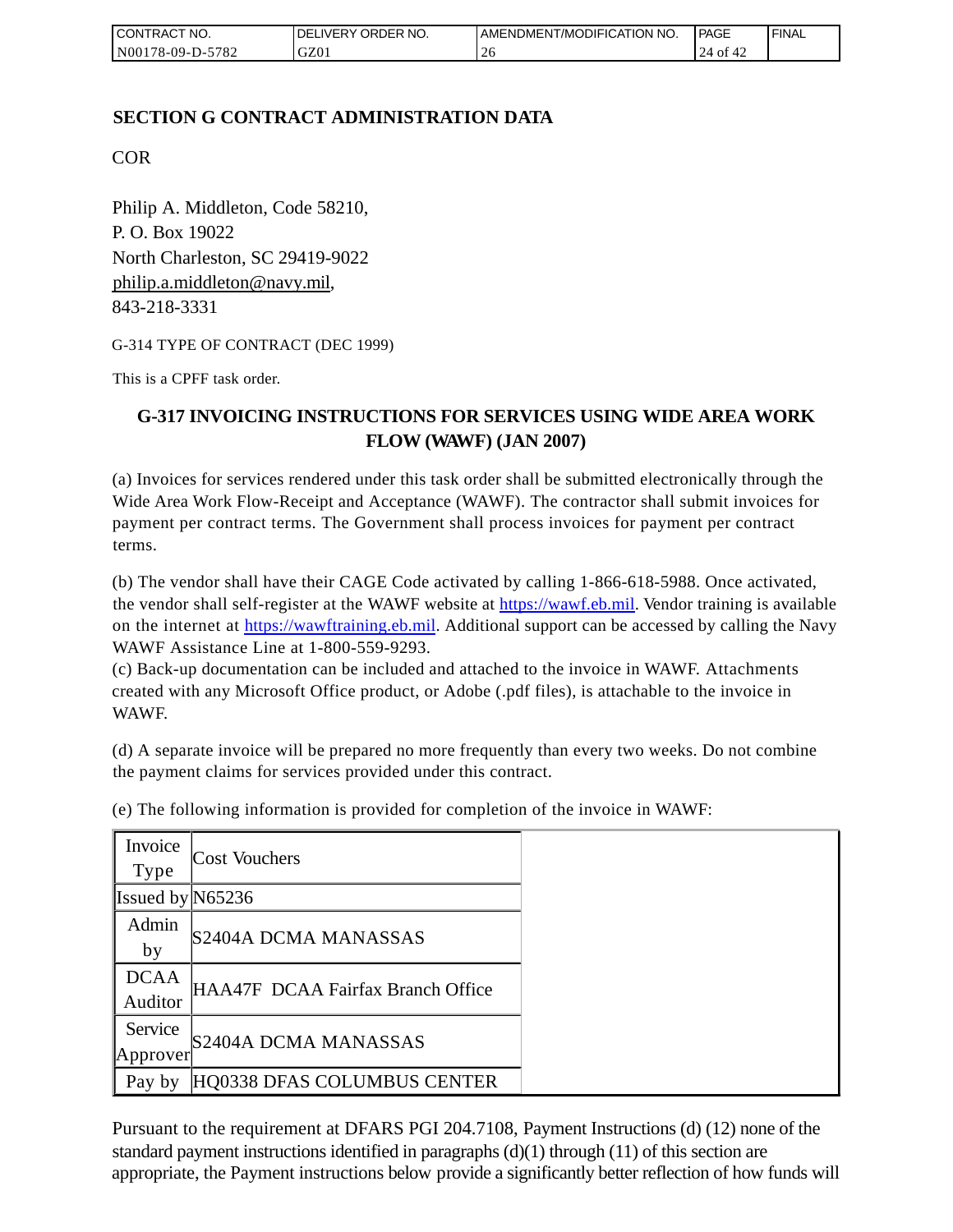| I CONTRACT NO.   | <b>IDELIVERY ORDER NO.</b> | AMENDMENT/MODIFICATION NO. | PAGE             | 'FINAL |
|------------------|----------------------------|----------------------------|------------------|--------|
| N00178-09-D-5782 | GZ01                       |                            | 24<br>ot .<br>ਚ∠ |        |

## **SECTION G CONTRACT ADMINISTRATION DATA**

COR

Philip A. Middleton, Code 58210, P. O. Box 19022 North Charleston, SC 29419-9022 [philip.a.middleton@navy.mil,](mailto:cphilip.a.middleton@navy.mil) 843-218-3331

G-314 TYPE OF CONTRACT (DEC 1999)

This is a CPFF task order.

## **G-317 INVOICING INSTRUCTIONS FOR SERVICES USING WIDE AREA WORK FLOW (WAWF) (JAN 2007)**

(a) Invoices for services rendered under this task order shall be submitted electronically through the Wide Area Work Flow-Receipt and Acceptance (WAWF). The contractor shall submit invoices for payment per contract terms. The Government shall process invoices for payment per contract terms.

(b) The vendor shall have their CAGE Code activated by calling 1-866-618-5988. Once activated, the vendor shall self-register at the WAWF website at [https://wawf.eb.mil.](https://wawf.eb.mil/) Vendor training is available on the internet at [https://wawftraining.eb.mil.](https://wawftraining.eb.mil/) Additional support can be accessed by calling the Navy WAWF Assistance Line at 1-800-559-9293.

(c) Back-up documentation can be included and attached to the invoice in WAWF. Attachments created with any Microsoft Office product, or Adobe (.pdf files), is attachable to the invoice in WAWF.

(d) A separate invoice will be prepared no more frequently than every two weeks. Do not combine the payment claims for services provided under this contract.

| Invoice<br><b>Type</b> | <b>Cost Vouchers</b>              |
|------------------------|-----------------------------------|
|                        |                                   |
| Issued by $N65236$     |                                   |
| Admin                  |                                   |
| by                     | S2404A DCMA MANASSAS              |
| <b>DCAA</b>            |                                   |
| Auditor                | HAA47F DCAA Fairfax Branch Office |
| Service                |                                   |
| Approver               | S2404A DCMA MANASSAS              |
| Pay by                 | HQ0338 DFAS COLUMBUS CENTER       |

(e) The following information is provided for completion of the invoice in WAWF:

Pursuant to the requirement at DFARS PGI 204.7108, Payment Instructions (d) (12) none of the standard payment instructions identified in paragraphs  $(d)(1)$  through  $(11)$  of this section are appropriate, the Payment instructions below provide a significantly better reflection of how funds will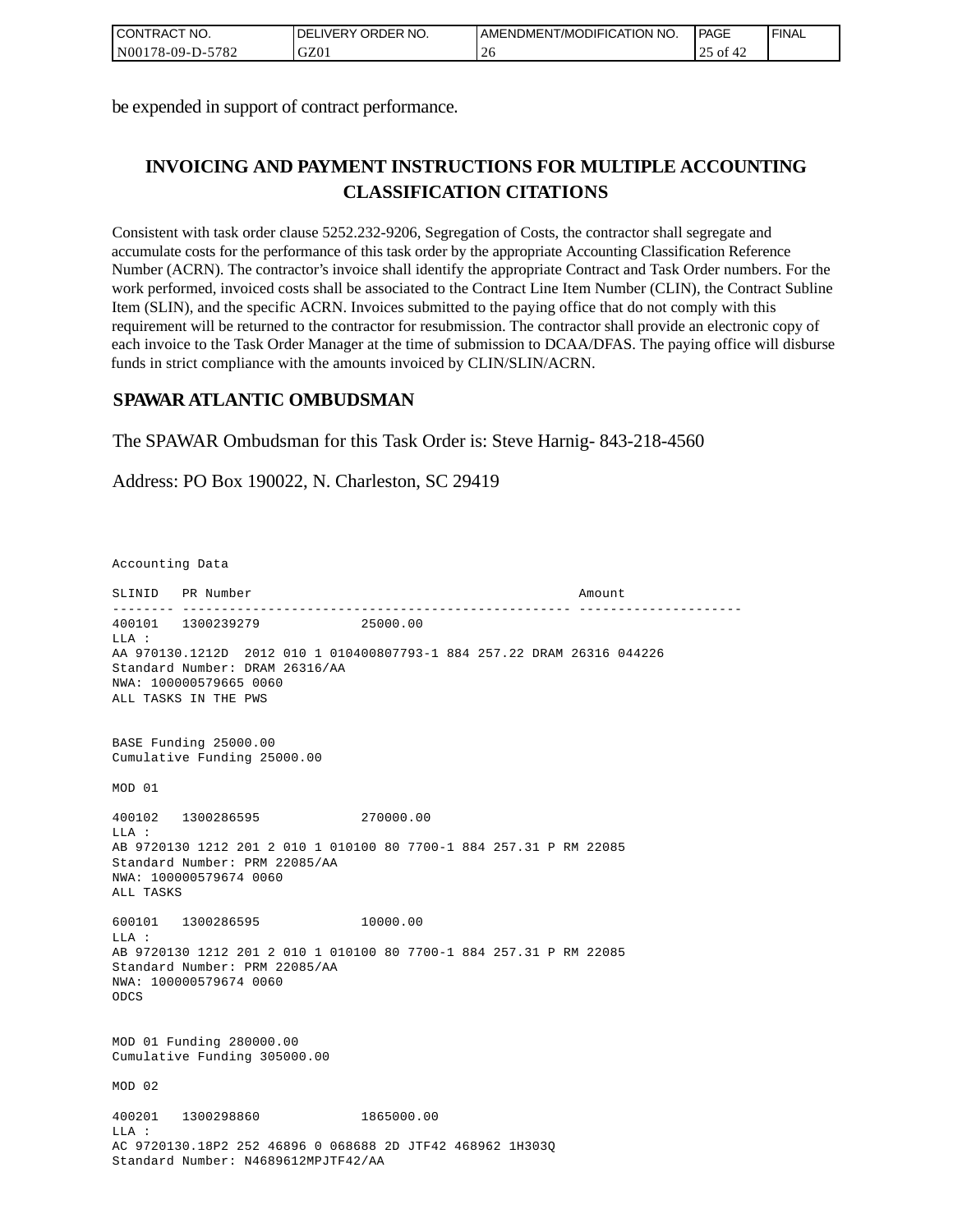| <b>I CONTRACT NO.</b> | ILIVERY ORDER NO.<br>DEI | I AMENDMENT/MODIFICATION NO. | <b>PAGE</b> | 'FINAL |
|-----------------------|--------------------------|------------------------------|-------------|--------|
| N00178-09-D-5782      | GZ01                     | $\mathbf{\cdot}$<br>-40      | ΟĪ<br>42    |        |

be expended in support of contract performance.

# **INVOICING AND PAYMENT INSTRUCTIONS FOR MULTIPLE ACCOUNTING CLASSIFICATION CITATIONS**

Consistent with task order clause 5252.232-9206, Segregation of Costs, the contractor shall segregate and accumulate costs for the performance of this task order by the appropriate Accounting Classification Reference Number (ACRN). The contractor's invoice shall identify the appropriate Contract and Task Order numbers. For the work performed, invoiced costs shall be associated to the Contract Line Item Number (CLIN), the Contract Subline Item (SLIN), and the specific ACRN. Invoices submitted to the paying office that do not comply with this requirement will be returned to the contractor for resubmission. The contractor shall provide an electronic copy of each invoice to the Task Order Manager at the time of submission to DCAA/DFAS. The paying office will disburse funds in strict compliance with the amounts invoiced by CLIN/SLIN/ACRN.

### **SPAWAR ATLANTIC OMBUDSMAN**

The SPAWAR Ombudsman for this Task Order is: Steve Harnig- 843-218-4560

Address: PO Box 190022, N. Charleston, SC 29419

Accounting Data

SLINID PR Number Amount -------- -------------------------------------------------- --------------------- 400101 1300239279 25000.00  $T.T.A$  : AA 970130.1212D 2012 010 1 010400807793-1 884 257.22 DRAM 26316 044226 Standard Number: DRAM 26316/AA NWA: 100000579665 0060 ALL TASKS IN THE PWS BASE Funding 25000.00 Cumulative Funding 25000.00 MOD 01 400102 1300286595 270000.00 LLA : AB 9720130 1212 201 2 010 1 010100 80 7700-1 884 257.31 P RM 22085 Standard Number: PRM 22085/AA NWA: 100000579674 0060 ALL TASKS 600101 1300286595 10000.00  $L.L.A$  : AB 9720130 1212 201 2 010 1 010100 80 7700-1 884 257.31 P RM 22085 Standard Number: PRM 22085/AA NWA: 100000579674 0060 ODCS MOD 01 Funding 280000.00 Cumulative Funding 305000.00 MOD 02 400201 1300298860 1865000.00  $T.T.A$  : AC 9720130.18P2 252 46896 0 068688 2D JTF42 468962 1H303Q Standard Number: N4689612MPJTF42/AA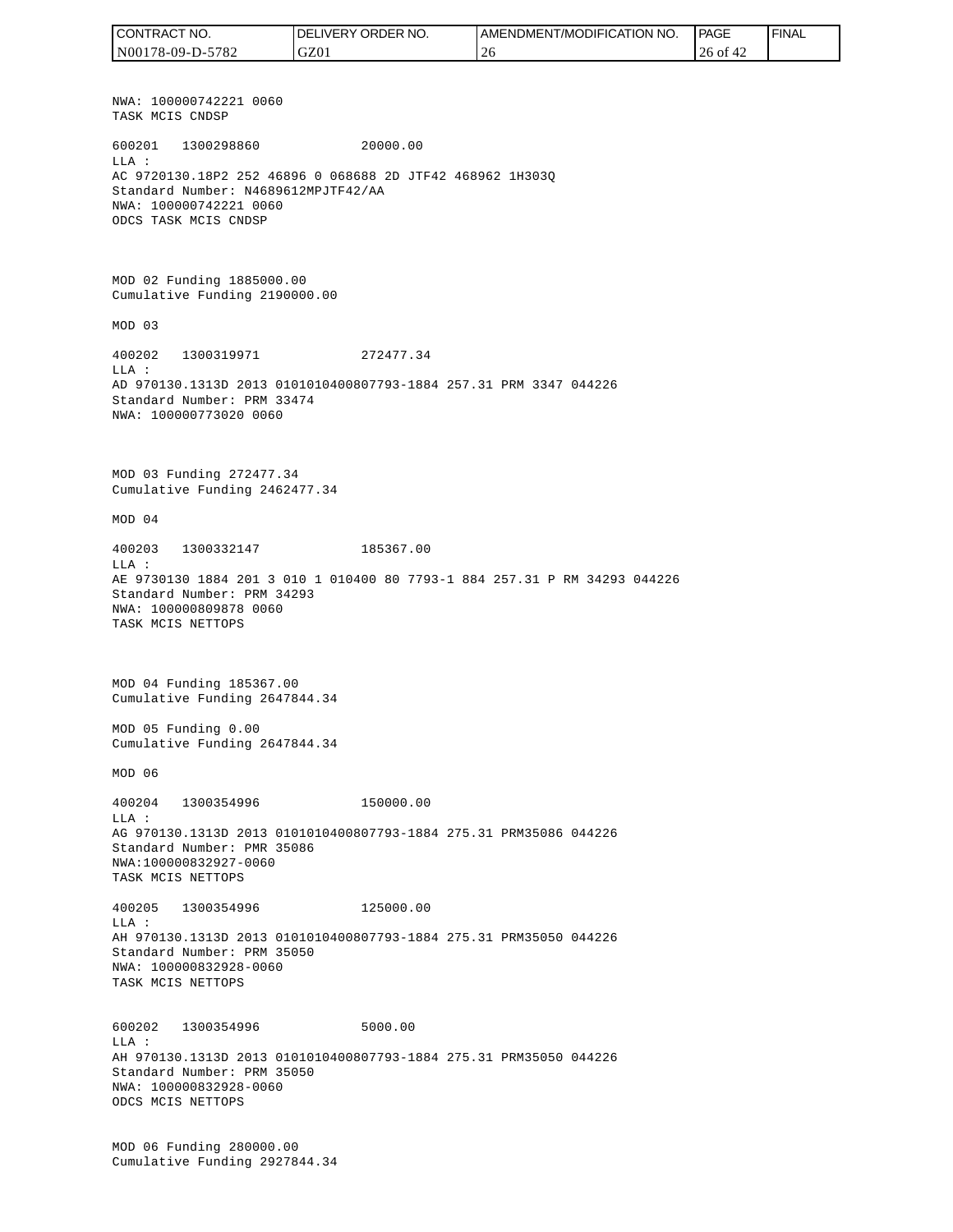NWA: 100000742221 0060 TASK MCIS CNDSP 600201 1300298860 20000.00 LLA : AC 9720130.18P2 252 46896 0 068688 2D JTF42 468962 1H303Q Standard Number: N4689612MPJTF42/AA NWA: 100000742221 0060 ODCS TASK MCIS CNDSP MOD 02 Funding 1885000.00 Cumulative Funding 2190000.00 MOD 03 400202 1300319971 272477.34 LLA : AD 970130.1313D 2013 0101010400807793-1884 257.31 PRM 3347 044226 Standard Number: PRM 33474 NWA: 100000773020 0060 MOD 03 Funding 272477.34 Cumulative Funding 2462477.34 MOD 04 400203 1300332147 185367.00  $T.T.A$  : AE 9730130 1884 201 3 010 1 010400 80 7793-1 884 257.31 P RM 34293 044226 Standard Number: PRM 34293 NWA: 100000809878 0060 TASK MCIS NETTOPS MOD 04 Funding 185367.00 Cumulative Funding 2647844.34 MOD 05 Funding 0.00 Cumulative Funding 2647844.34 MOD 06 400204 1300354996 150000.00  $T.T.A$  : AG 970130.1313D 2013 0101010400807793-1884 275.31 PRM35086 044226 Standard Number: PMR 35086 NWA:100000832927-0060 TASK MCIS NETTOPS 400205 1300354996 125000.00 LLA : AH 970130.1313D 2013 0101010400807793-1884 275.31 PRM35050 044226 Standard Number: PRM 35050 NWA: 100000832928-0060 TASK MCIS NETTOPS 600202 1300354996 5000.00 LLA : AH 970130.1313D 2013 0101010400807793-1884 275.31 PRM35050 044226 Standard Number: PRM 35050 NWA: 100000832928-0060 ODCS MCIS NETTOPS MOD 06 Funding 280000.00 Cumulative Funding 2927844.34 CONTRACT NO. N00178-09-D-5782 DELIVERY ORDER NO. GZ01 AMENDMENT/MODIFICATION NO. 26 **PAGE**  26 of 42 FINAL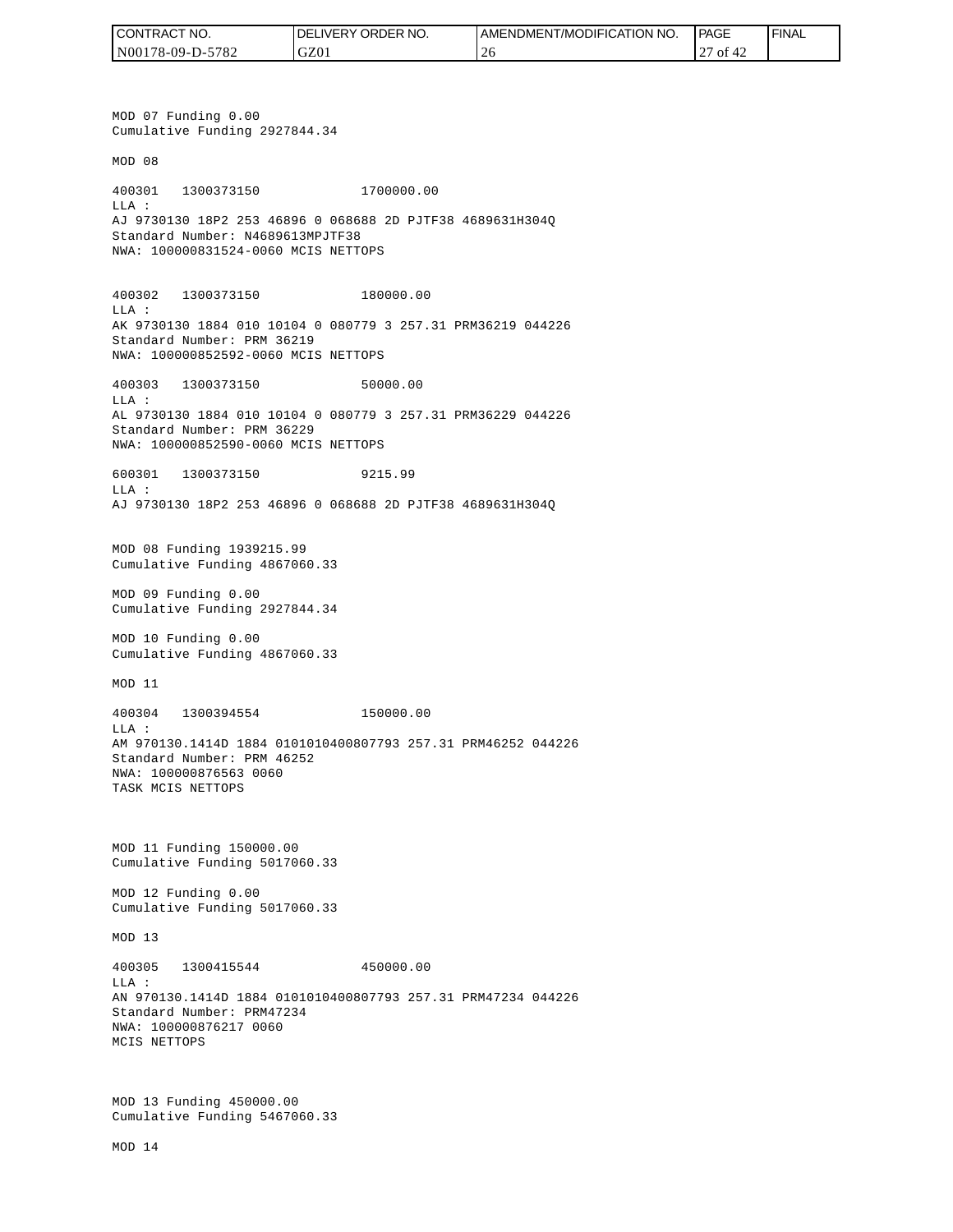| TRACT NO.<br><b>CONT</b> | NO.<br>DELIVERY ORDER | AMENDMENT/MODIFICATION NO. | <b>PAGE</b> | ' FINAL |
|--------------------------|-----------------------|----------------------------|-------------|---------|
| N00178-09-D-5782         | GZ01                  | ∠                          | οt<br>∼     |         |

MOD 07 Funding 0.00 Cumulative Funding 2927844.34 MOD 08 400301 1300373150 1700000.00 LLA : AJ 9730130 18P2 253 46896 0 068688 2D PJTF38 4689631H304Q Standard Number: N4689613MPJTF38 NWA: 100000831524-0060 MCIS NETTOPS 400302 1300373150 180000.00 LLA : AK 9730130 1884 010 10104 0 080779 3 257.31 PRM36219 044226 Standard Number: PRM 36219 NWA: 100000852592-0060 MCIS NETTOPS 400303 1300373150 50000.00  $T.T.A$  : AL 9730130 1884 010 10104 0 080779 3 257.31 PRM36229 044226 Standard Number: PRM 36229 NWA: 100000852590-0060 MCIS NETTOPS 600301 1300373150 9215.99 LLA : AJ 9730130 18P2 253 46896 0 068688 2D PJTF38 4689631H304Q MOD 08 Funding 1939215.99 Cumulative Funding 4867060.33 MOD 09 Funding 0.00 Cumulative Funding 2927844.34 MOD 10 Funding 0.00 Cumulative Funding 4867060.33 MOD 11 400304 1300394554 150000.00  $T.T.A$  : AM 970130.1414D 1884 0101010400807793 257.31 PRM46252 044226 Standard Number: PRM 46252 NWA: 100000876563 0060 TASK MCIS NETTOPS MOD 11 Funding 150000.00 Cumulative Funding 5017060.33 MOD 12 Funding 0.00 Cumulative Funding 5017060.33 MOD 13 400305 1300415544 450000.00 LLA : AN 970130.1414D 1884 0101010400807793 257.31 PRM47234 044226 Standard Number: PRM47234 NWA: 100000876217 0060 MCIS NETTOPS MOD 13 Funding 450000.00 Cumulative Funding 5467060.33 CONTRACT NO.<br>NO0178-09-D-5<br>NO0178-09-D-5<br>NO0178-09-D-5<br>NOD 07 Fundin<br>Cumulative Fu<br>MOD 08<br>400301 1300<br>Standard Numk<br>NMA: 10000083<br>400302 1300<br>LLA:<br>AK 9730130 18<br>Standard Numk<br>NMA: 10000085<br>600301 1300<br>LLA: 9730130 18<br>MMA: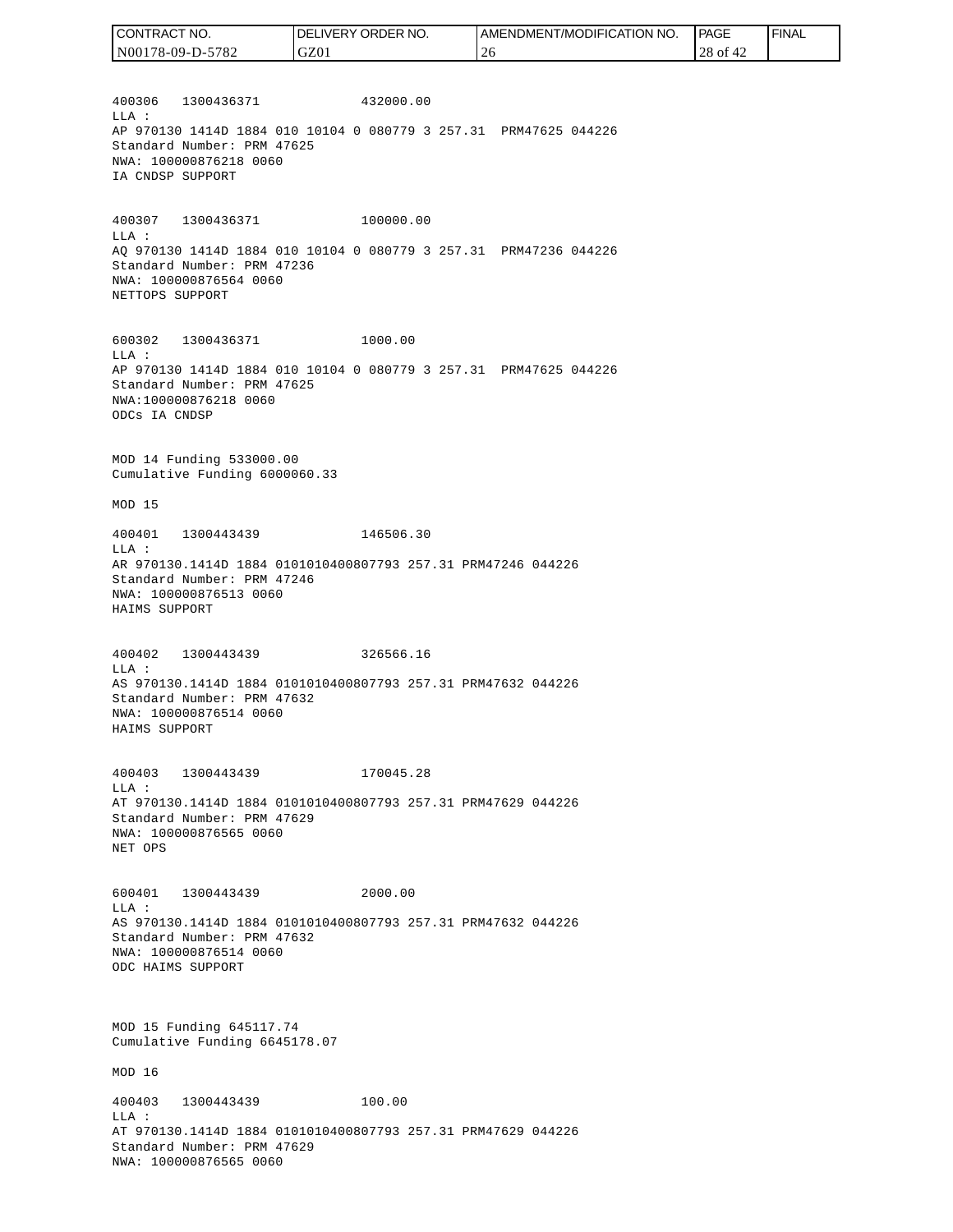| CONTRACT NO.     | DELIVERY ORDER NO. | AMENDMENT/MODIFICATION NO. | PAGE     | ' FINAL |
|------------------|--------------------|----------------------------|----------|---------|
| N00178-09-D-5782 | GZ01               | ∠∪                         | 28 of 42 |         |

400306 1300436371 432000.00 LLA : AP 970130 1414D 1884 010 10104 0 080779 3 257.31 PRM47625 044226 Standard Number: PRM 47625 NWA: 100000876218 0060 IA CNDSP SUPPORT

400307 1300436371 100000.00 LLA : AQ 970130 1414D 1884 010 10104 0 080779 3 257.31 PRM47236 044226 Standard Number: PRM 47236 NWA: 100000876564 0060 NETTOPS SUPPORT

600302 1300436371 1000.00 LLA : AP 970130 1414D 1884 010 10104 0 080779 3 257.31 PRM47625 044226 Standard Number: PRM 47625 NWA:100000876218 0060 ODCs IA CNDSP

MOD 14 Funding 533000.00 Cumulative Funding 6000060.33

MOD 15

400401 1300443439 146506.30 LLA : AR 970130.1414D 1884 0101010400807793 257.31 PRM47246 044226 Standard Number: PRM 47246 NWA: 100000876513 0060 HAIMS SUPPORT

400402 1300443439 326566.16 LLA : AS 970130.1414D 1884 0101010400807793 257.31 PRM47632 044226 Standard Number: PRM 47632 NWA: 100000876514 0060 HAIMS SUPPORT

400403 1300443439 170045.28 LLA : AT 970130.1414D 1884 0101010400807793 257.31 PRM47629 044226 Standard Number: PRM 47629 NWA: 100000876565 0060 NET OPS

600401 1300443439 2000.00 LLA : AS 970130.1414D 1884 0101010400807793 257.31 PRM47632 044226 Standard Number: PRM 47632 NWA: 100000876514 0060 ODC HAIMS SUPPORT

MOD 15 Funding 645117.74 Cumulative Funding 6645178.07

MOD 16

400403 1300443439 100.00 LLA : AT 970130.1414D 1884 0101010400807793 257.31 PRM47629 044226 Standard Number: PRM 47629 NWA: 100000876565 0060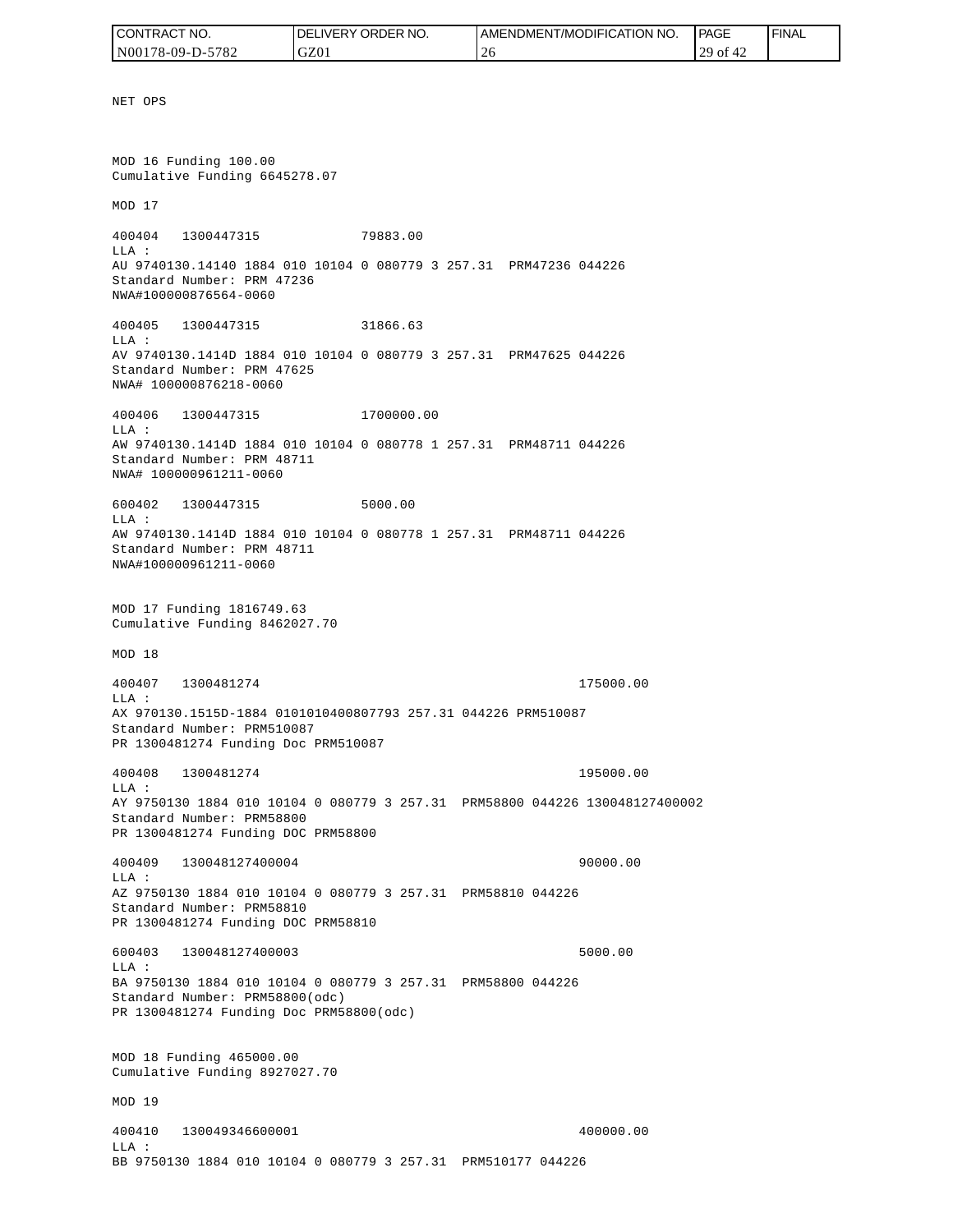| CONTRACT NO.     | NO.<br>DELIVERY ORDER | <b>AMENDMENT/MODIFICATION NO.</b> | <b>PAGE</b>             | <b>FINAL</b> |
|------------------|-----------------------|-----------------------------------|-------------------------|--------------|
| N00178-09-D-5782 | GZ01                  | $\bigcap$<br>-40                  | 20<br>' OI<br>$+2$<br>∼ |              |

NET OPS MOD 16 Funding 100.00 Cumulative Funding 6645278.07 MOD 17 400404 1300447315 79883.00 LLA : AU 9740130.14140 1884 010 10104 0 080779 3 257.31 PRM47236 044226 Standard Number: PRM 47236 NWA#100000876564-0060 400405 1300447315 31866.63 LLA : AV 9740130.1414D 1884 010 10104 0 080779 3 257.31 PRM47625 044226 Standard Number: PRM 47625 NWA# 100000876218-0060 400406 1300447315 1700000.00 LLA : AW 9740130.1414D 1884 010 10104 0 080778 1 257.31 PRM48711 044226 Standard Number: PRM 48711 NWA# 100000961211-0060 600402 1300447315 5000.00  $T.T.A$  : AW 9740130.1414D 1884 010 10104 0 080778 1 257.31 PRM48711 044226 Standard Number: PRM 48711 NWA#100000961211-0060 MOD 17 Funding 1816749.63 Cumulative Funding 8462027.70 MOD 18 400407 1300481274 175000.00 LLA : AX 970130.1515D-1884 0101010400807793 257.31 044226 PRM510087 Standard Number: PRM510087 PR 1300481274 Funding Doc PRM510087 400408 1300481274 195000.00 LLA : AY 9750130 1884 010 10104 0 080779 3 257.31 PRM58800 044226 130048127400002 Standard Number: PRM58800 PR 1300481274 Funding DOC PRM58800 400409 130048127400004 90000.00 LLA : AZ 9750130 1884 010 10104 0 080779 3 257.31 PRM58810 044226 Standard Number: PRM58810 PR 1300481274 Funding DOC PRM58810 600403 130048127400003 5000.00 LLA : BA 9750130 1884 010 10104 0 080779 3 257.31 PRM58800 044226 Standard Number: PRM58800(odc) PR 1300481274 Funding Doc PRM58800(odc) MOD 18 Funding 465000.00 Cumulative Funding 8927027.70 MOD 19 400410 130049346600001 400000.00 LLA :

BB 9750130 1884 010 10104 0 080779 3 257.31 PRM510177 044226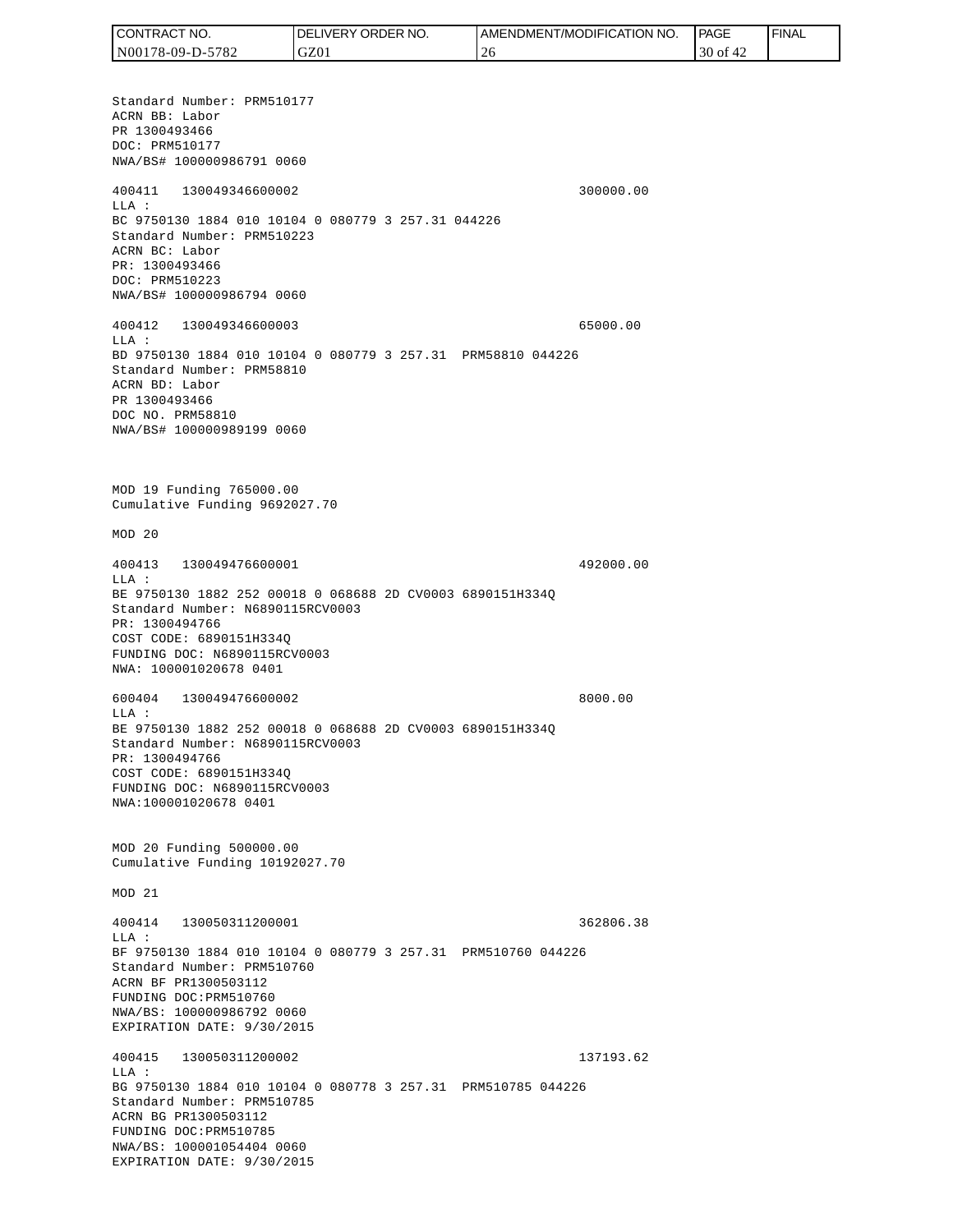Standard Number: PRM510177 ACRN BB: Labor PR 1300493466 DOC: PRM510177 NWA/BS# 100000986791 0060 400411 130049346600002 300000.00 LLA : BC 9750130 1884 010 10104 0 080779 3 257.31 044226 Standard Number: PRM510223 ACRN BC: Labor PR: 1300493466 DOC: PRM510223 NWA/BS# 100000986794 0060 400412 130049346600003 65000.00 LLA : BD 9750130 1884 010 10104 0 080779 3 257.31 PRM58810 044226 Standard Number: PRM58810 ACRN BD: Labor PR 1300493466 DOC NO. PRM58810 NWA/BS# 100000989199 0060 MOD 19 Funding 765000.00 Cumulative Funding 9692027.70 MOD 20 400413 130049476600001 492000.00 LLA : BE 9750130 1882 252 00018 0 068688 2D CV0003 6890151H334Q Standard Number: N6890115RCV0003 PR: 1300494766 COST CODE: 6890151H334Q FUNDING DOC: N6890115RCV0003 NWA: 100001020678 0401 600404 130049476600002 8000.00 LLA : BE 9750130 1882 252 00018 0 068688 2D CV0003 6890151H334Q Standard Number: N6890115RCV0003 PR: 1300494766 COST CODE: 6890151H334Q FUNDING DOC: N6890115RCV0003 NWA:100001020678 0401 MOD 20 Funding 500000.00 Cumulative Funding 10192027.70 MOD 21 400414 130050311200001 362806.38  $T.T.A$  : BF 9750130 1884 010 10104 0 080779 3 257.31 PRM510760 044226 Standard Number: PRM510760 ACRN BF PR1300503112 FUNDING DOC:PRM510760 NWA/BS: 100000986792 0060 EXPIRATION DATE: 9/30/2015 400415 130050311200002 137193.62 LLA : BG 9750130 1884 010 10104 0 080778 3 257.31 PRM510785 044226 Standard Number: PRM510785 ACRN BG PR1300503112 FUNDING DOC:PRM510785 NWA/BS: 100001054404 0060 EXPIRATION DATE: 9/30/2015 CONTRACT NO. N00178-09-D-5782 DELIVERY ORDER NO. GZ01 AMENDMENT/MODIFICATION NO. 26 **PAGE**  30 of 42 FINAL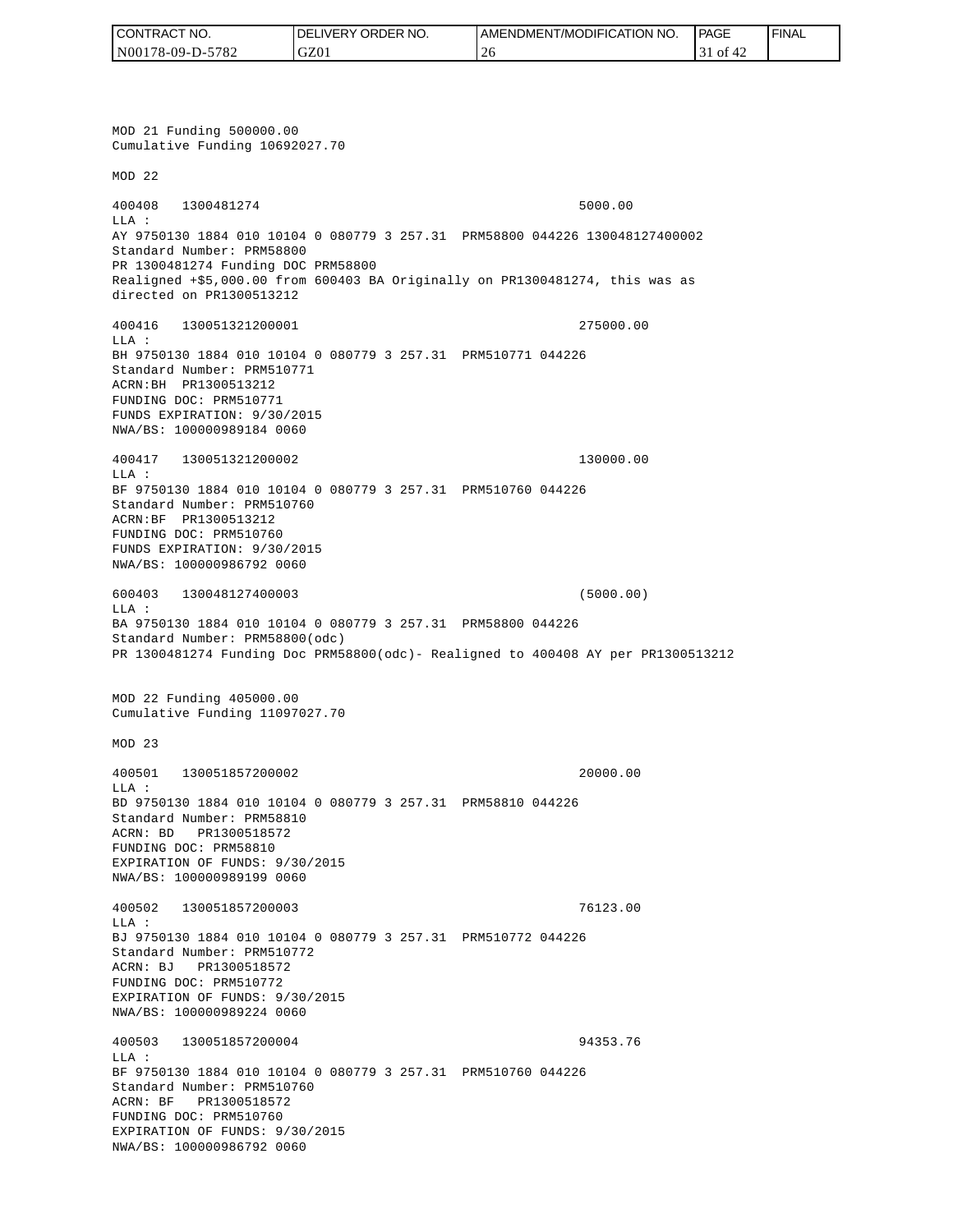| CONTRACT NO.     | NO.<br><b>DELIVERY ORDER</b> | <b>I AMENDMENT/MODIFICATION NO.</b> | <b>PAGE</b>         | ' FINAL |
|------------------|------------------------------|-------------------------------------|---------------------|---------|
| N00178-09-D-5782 | GZ01                         | $\bigcap$<br>-40                    | . of $\ell$<br>$+2$ |         |

MOD 21 Funding 500000.00 Cumulative Funding 10692027.70 MOD 22 400408 1300481274 5000.00 LLA : AY 9750130 1884 010 10104 0 080779 3 257.31 PRM58800 044226 130048127400002 Standard Number: PRM58800 PR 1300481274 Funding DOC PRM58800 Realigned +\$5,000.00 from 600403 BA Originally on PR1300481274, this was as directed on PR1300513212 400416 130051321200001 275000.00 LLA : BH 9750130 1884 010 10104 0 080779 3 257.31 PRM510771 044226 Standard Number: PRM510771 ACRN:BH PR1300513212 FUNDING DOC: PRM510771 FUNDS EXPIRATION: 9/30/2015 NWA/BS: 100000989184 0060 400417 130051321200002 130000.00 LLA : BF 9750130 1884 010 10104 0 080779 3 257.31 PRM510760 044226 Standard Number: PRM510760 ACRN:BF PR1300513212 FUNDING DOC: PRM510760 FUNDS EXPIRATION: 9/30/2015 NWA/BS: 100000986792 0060 600403 130048127400003 (5000.00) LLA : BA 9750130 1884 010 10104 0 080779 3 257.31 PRM58800 044226 Standard Number: PRM58800(odc) PR 1300481274 Funding Doc PRM58800(odc)- Realigned to 400408 AY per PR1300513212 MOD 22 Funding 405000.00 Cumulative Funding 11097027.70 MOD 23 400501 130051857200002 20000.00 LLA : BD 9750130 1884 010 10104 0 080779 3 257.31 PRM58810 044226 Standard Number: PRM58810 ACRN: BD PR1300518572 FUNDING DOC: PRM58810 EXPIRATION OF FUNDS: 9/30/2015 NWA/BS: 100000989199 0060 400502 130051857200003 76123.00 LLA : BJ 9750130 1884 010 10104 0 080779 3 257.31 PRM510772 044226 Standard Number: PRM510772 ACRN: BJ PR1300518572 FUNDING DOC: PRM510772 EXPIRATION OF FUNDS: 9/30/2015 NWA/BS: 100000989224 0060 400503 130051857200004 94353.76 LLA : BF 9750130 1884 010 10104 0 080779 3 257.31 PRM510760 044226 Standard Number: PRM510760 ACRN: BF PR1300518572 FUNDING DOC: PRM510760 EXPIRATION OF FUNDS: 9/30/2015<br>NWA/BS: 100000986792 0060 CONTRACT NO. 5<br>
NO0178-09-D-5782<br>
NO0178-09-D-5782<br>
NOD 21 Funding 500000.00<br>
NOD 21 Funding 500000.00<br>
NOD 22<br>
200408 1300481274<br>
ELA :<br>
Standard Number: FRNS8800<br>
Realigned 455,000.00 from<br>
Realigned 455,000.00 from<br>
dir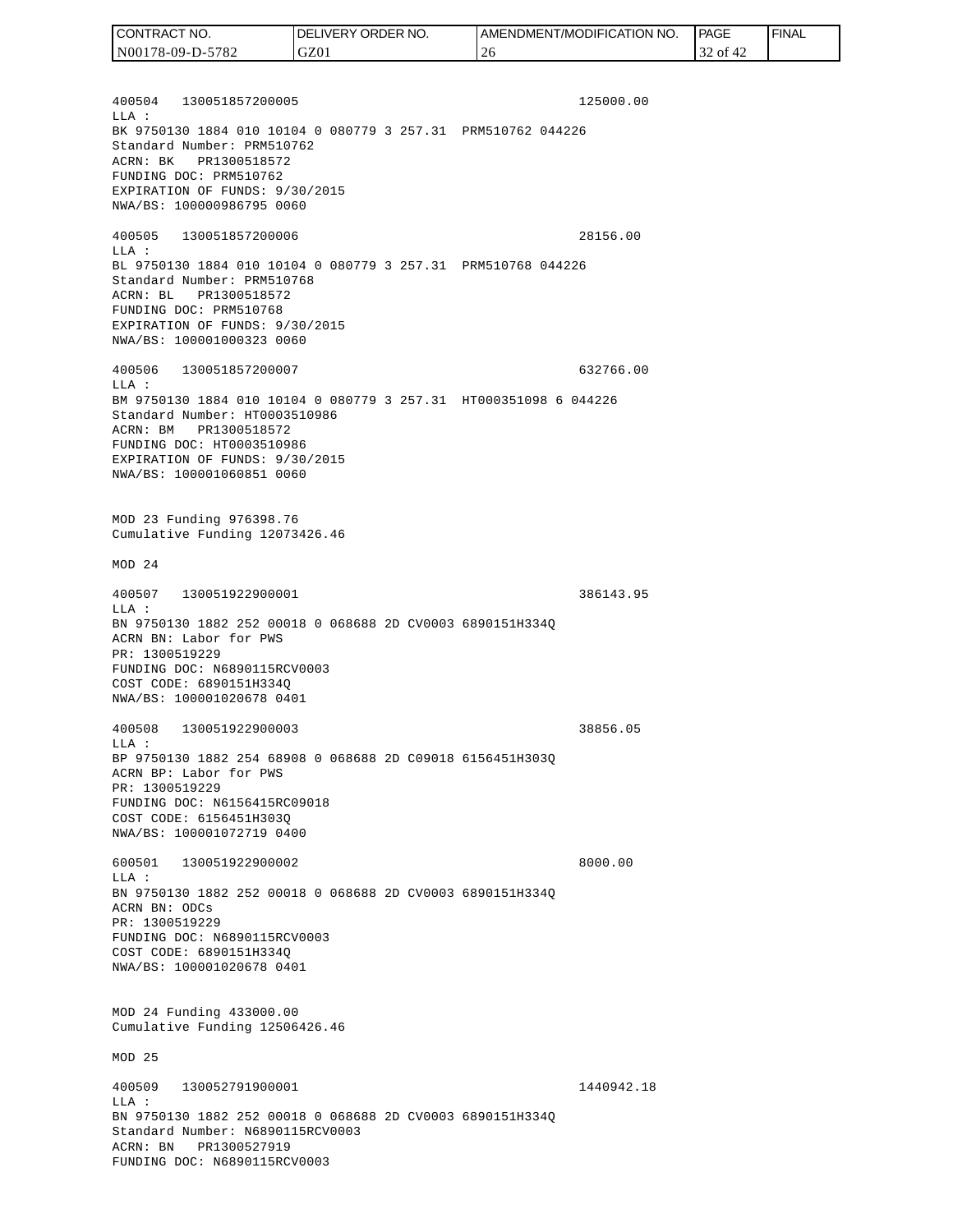400504 130051857200005 125000.00  $T.T.A$  : BK 9750130 1884 010 10104 0 080779 3 257.31 PRM510762 044226 Standard Number: PRM510762 ACRN: BK PR1300518572 FUNDING DOC: PRM510762 EXPIRATION OF FUNDS: 9/30/2015 NWA/BS: 100000986795 0060 400505 130051857200006 28156.00 LLA : BL 9750130 1884 010 10104 0 080779 3 257.31 PRM510768 044226 Standard Number: PRM510768 ACRN: BL PR1300518572 FUNDING DOC: PRM510768 EXPIRATION OF FUNDS: 9/30/2015 NWA/BS: 100001000323 0060 400506 130051857200007 632766.00 LLA : BM 9750130 1884 010 10104 0 080779 3 257.31 HT000351098 6 044226 Standard Number: HT0003510986 ACRN: BM PR1300518572 FUNDING DOC: HT0003510986 EXPIRATION OF FUNDS: 9/30/2015 NWA/BS: 100001060851 0060 MOD 23 Funding 976398.76 Cumulative Funding 12073426.46 MOD 24 400507 130051922900001 386143.95 LLA : BN 9750130 1882 252 00018 0 068688 2D CV0003 6890151H334Q ACRN BN: Labor for PWS PR: 1300519229 FUNDING DOC: N6890115RCV0003 COST CODE: 6890151H334Q NWA/BS: 100001020678 0401 400508 130051922900003 38856.05 LLA : BP 9750130 1882 254 68908 0 068688 2D C09018 6156451H303Q ACRN BP: Labor for PWS PR: 1300519229 FUNDING DOC: N6156415RC09018 COST CODE: 6156451H303Q NWA/BS: 100001072719 0400 600501 130051922900002 8000.00 LLA : BN 9750130 1882 252 00018 0 068688 2D CV0003 6890151H334Q ACRN BN: ODCs PR: 1300519229 FUNDING DOC: N6890115RCV0003 COST CODE: 6890151H334Q NWA/BS: 100001020678 0401 MOD 24 Funding 433000.00 Cumulative Funding 12506426.46 MOD 25 400509 130052791900001 1440942.18  $L.L.A$  : BN 9750130 1882 252 00018 0 068688 2D CV0003 6890151H334Q Standard Number: N6890115RCV0003 ACRN: BN PR1300527919 FUNDING DOC: N6890115RCV0003 CONTRACT NO. N00178-09-D-5782 DELIVERY ORDER NO. GZ01 AMENDMENT/MODIFICATION NO. 26 **PAGE**  32 of 42 FINAL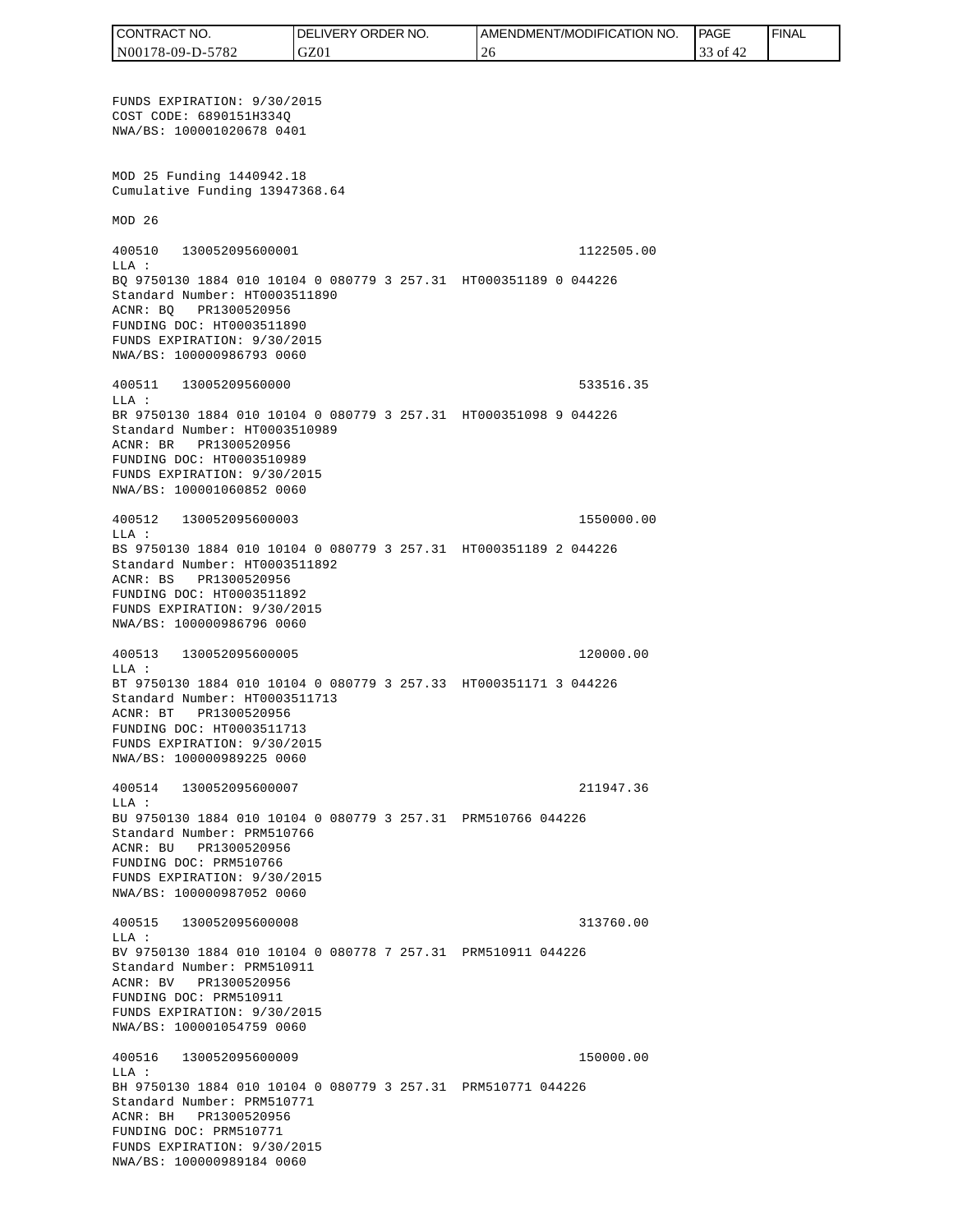FUNDS EXPIRATION: 9/30/2015 COST CODE: 6890151H334Q NWA/BS: 100001020678 0401 MOD 25 Funding 1440942.18 Cumulative Funding 13947368.64 MOD 26 400510 130052095600001 1122505.00 LLA : BQ 9750130 1884 010 10104 0 080779 3 257.31 HT000351189 0 044226 Standard Number: HT0003511890 ACNR: BQ PR1300520956 FUNDING DOC: HT0003511890 FUNDS EXPIRATION: 9/30/2015 NWA/BS: 100000986793 0060 400511 13005209560000 533516.35  $T.T.A$  : BR 9750130 1884 010 10104 0 080779 3 257.31 HT000351098 9 044226 Standard Number: HT0003510989 ACNR: BR PR1300520956 FUNDING DOC: HT0003510989 FUNDS EXPIRATION: 9/30/2015 NWA/BS: 100001060852 0060 400512 130052095600003 1550000.00 LLA : BS 9750130 1884 010 10104 0 080779 3 257.31 HT000351189 2 044226 Standard Number: HT0003511892 ACNR: BS PR1300520956 FUNDING DOC: HT0003511892 FUNDS EXPIRATION: 9/30/2015 NWA/BS: 100000986796 0060 400513 130052095600005 120000.00 LLA : BT 9750130 1884 010 10104 0 080779 3 257.33 HT000351171 3 044226 Standard Number: HT0003511713 ACNR: BT PR1300520956 FUNDING DOC: HT0003511713 FUNDS EXPIRATION: 9/30/2015 NWA/BS: 100000989225 0060 400514 130052095600007 211947.36 LLA : BU 9750130 1884 010 10104 0 080779 3 257.31 PRM510766 044226 Standard Number: PRM510766 ACNR: BU PR1300520956 FUNDING DOC: PRM510766 FUNDS EXPIRATION: 9/30/2015 NWA/BS: 100000987052 0060 400515 130052095600008 313760.00  $T.T.A$  : BV 9750130 1884 010 10104 0 080778 7 257.31 PRM510911 044226 Standard Number: PRM510911 ACNR: BV PR1300520956 FUNDING DOC: PRM510911 FUNDS EXPIRATION: 9/30/2015 NWA/BS: 100001054759 0060 400516 130052095600009 150000.00 LLA : BH 9750130 1884 010 10104 0 080779 3 257.31 PRM510771 044226 Standard Number: PRM510771 ACNR: BH PR1300520956 FUNDING DOC: PRM510771 FUNDS EXPIRATION: 9/30/2015 NWA/BS: 100000989184 0060 CONTRACT NO. N00178-09-D-5782 DELIVERY ORDER NO. GZ01 AMENDMENT/MODIFICATION NO. 26 **PAGE**  33 of 42 FINAL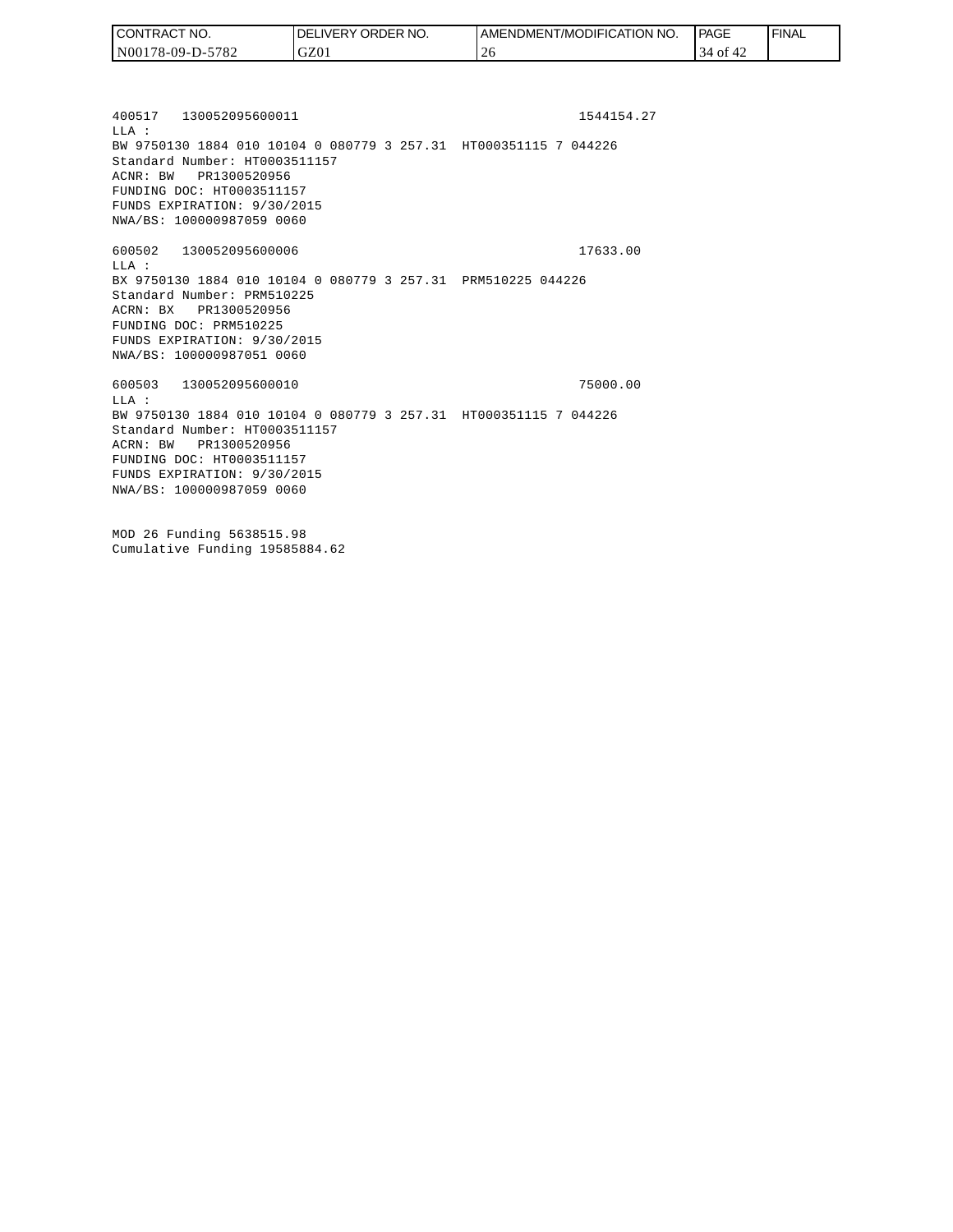| CONTRACT NO.     | DELIVERY ORDER NO. | AMENDMENT/MODIFICATION NO. | <b>PAGE</b>    | 'FINAL |
|------------------|--------------------|----------------------------|----------------|--------|
| N00178-09-D-5782 | GZ01               |                            | 34<br>0Ī<br>42 |        |

400517 130052095600011 1544154.27 LLA : BW 9750130 1884 010 10104 0 080779 3 257.31 HT000351115 7 044226 Standard Number: HT0003511157 ACNR: BW PR1300520956 FUNDING DOC: HT0003511157 FUNDS EXPIRATION: 9/30/2015 NWA/BS: 100000987059 0060 600502 130052095600006 17633.00 LLA : BX 9750130 1884 010 10104 0 080779 3 257.31 PRM510225 044226 Standard Number: PRM510225 ACRN: BX PR1300520956 FUNDING DOC: PRM510225 FUNDS EXPIRATION: 9/30/2015 NWA/BS: 100000987051 0060 600503 130052095600010 75000.00  $T.T.A$  : BW 9750130 1884 010 10104 0 080779 3 257.31 HT000351115 7 044226 Standard Number: HT0003511157 ACRN: BW PR1300520956 FUNDING DOC: HT0003511157 FUNDS EXPIRATION: 9/30/2015 NWA/BS: 100000987059 0060

MOD 26 Funding 5638515.98 Cumulative Funding 19585884.62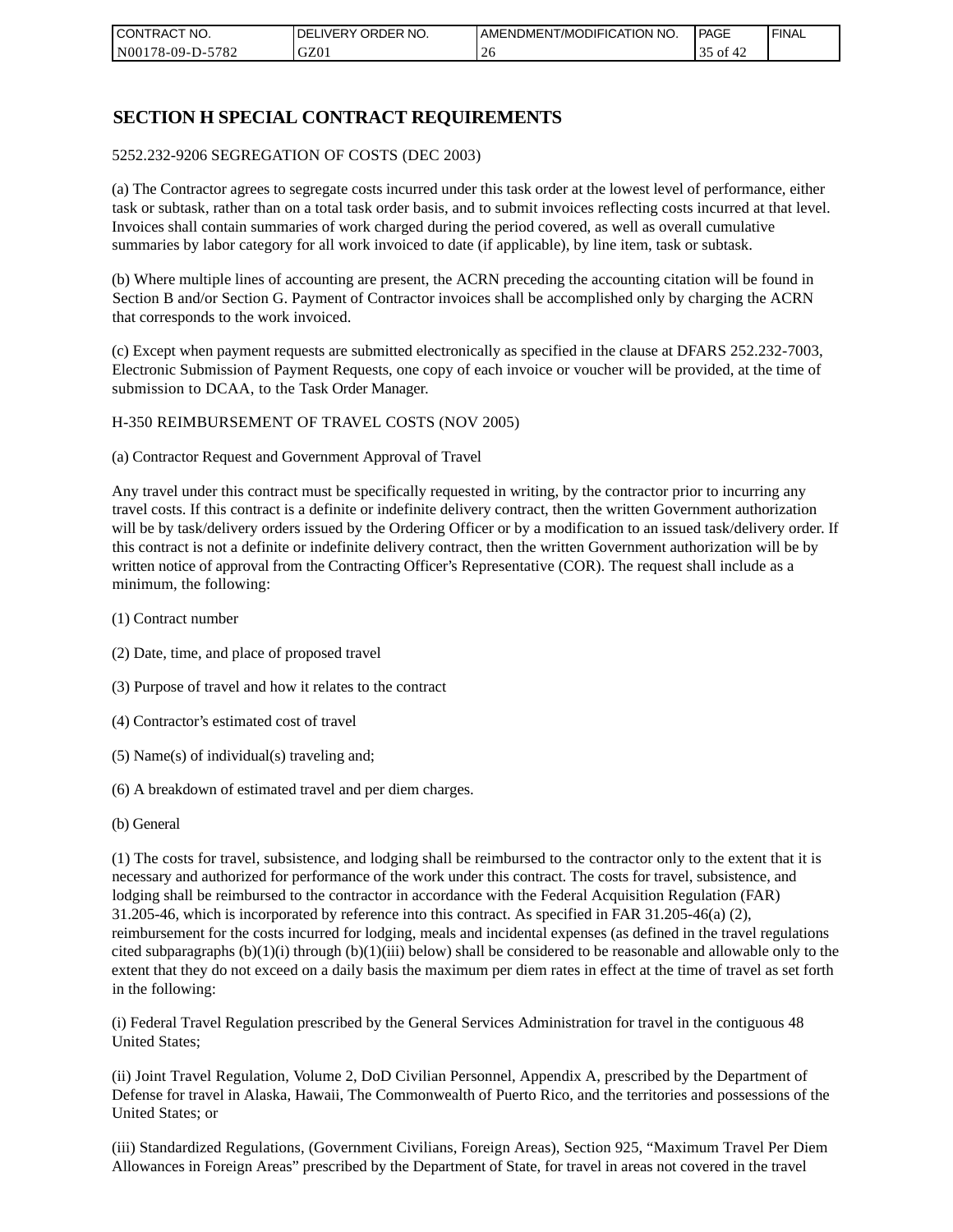| I CONTRACT NO.           | NO.<br>ORDER <sup>'</sup><br><b>DELIVERY</b> | AMENDMENT/MODIFICATION NO. | PAGE                             | 'FINAL |
|--------------------------|----------------------------------------------|----------------------------|----------------------------------|--------|
| N00178-09-D-5<br>$-5782$ | GZ0 <sub>1</sub>                             | 40                         | $\sim$ $\sim$<br>-of<br>JJ<br>∸∠ |        |

### **SECTION H SPECIAL CONTRACT REQUIREMENTS**

#### 5252.232-9206 SEGREGATION OF COSTS (DEC 2003)

(a) The Contractor agrees to segregate costs incurred under this task order at the lowest level of performance, either task or subtask, rather than on a total task order basis, and to submit invoices reflecting costs incurred at that level. Invoices shall contain summaries of work charged during the period covered, as well as overall cumulative summaries by labor category for all work invoiced to date (if applicable), by line item, task or subtask.

(b) Where multiple lines of accounting are present, the ACRN preceding the accounting citation will be found in Section B and/or Section G. Payment of Contractor invoices shall be accomplished only by charging the ACRN that corresponds to the work invoiced.

(c) Except when payment requests are submitted electronically as specified in the clause at DFARS 252.232-7003, Electronic Submission of Payment Requests, one copy of each invoice or voucher will be provided, at the time of submission to DCAA, to the Task Order Manager.

#### H-350 REIMBURSEMENT OF TRAVEL COSTS (NOV 2005)

(a) Contractor Request and Government Approval of Travel

Any travel under this contract must be specifically requested in writing, by the contractor prior to incurring any travel costs. If this contract is a definite or indefinite delivery contract, then the written Government authorization will be by task/delivery orders issued by the Ordering Officer or by a modification to an issued task/delivery order. If this contract is not a definite or indefinite delivery contract, then the written Government authorization will be by written notice of approval from the Contracting Officer's Representative (COR). The request shall include as a minimum, the following:

- (1) Contract number
- (2) Date, time, and place of proposed travel
- (3) Purpose of travel and how it relates to the contract
- (4) Contractor's estimated cost of travel
- (5) Name(s) of individual(s) traveling and;
- (6) A breakdown of estimated travel and per diem charges.
- (b) General

(1) The costs for travel, subsistence, and lodging shall be reimbursed to the contractor only to the extent that it is necessary and authorized for performance of the work under this contract. The costs for travel, subsistence, and lodging shall be reimbursed to the contractor in accordance with the Federal Acquisition Regulation (FAR) 31.205-46, which is incorporated by reference into this contract. As specified in FAR 31.205-46(a) (2), reimbursement for the costs incurred for lodging, meals and incidental expenses (as defined in the travel regulations cited subparagraphs  $(b)(1)(i)$  through  $(b)(1)(iii)$  below) shall be considered to be reasonable and allowable only to the extent that they do not exceed on a daily basis the maximum per diem rates in effect at the time of travel as set forth in the following:

(i) Federal Travel Regulation prescribed by the General Services Administration for travel in the contiguous 48 United States;

(ii) Joint Travel Regulation, Volume 2, DoD Civilian Personnel, Appendix A, prescribed by the Department of Defense for travel in Alaska, Hawaii, The Commonwealth of Puerto Rico, and the territories and possessions of the United States; or

(iii) Standardized Regulations, (Government Civilians, Foreign Areas), Section 925, "Maximum Travel Per Diem Allowances in Foreign Areas" prescribed by the Department of State, for travel in areas not covered in the travel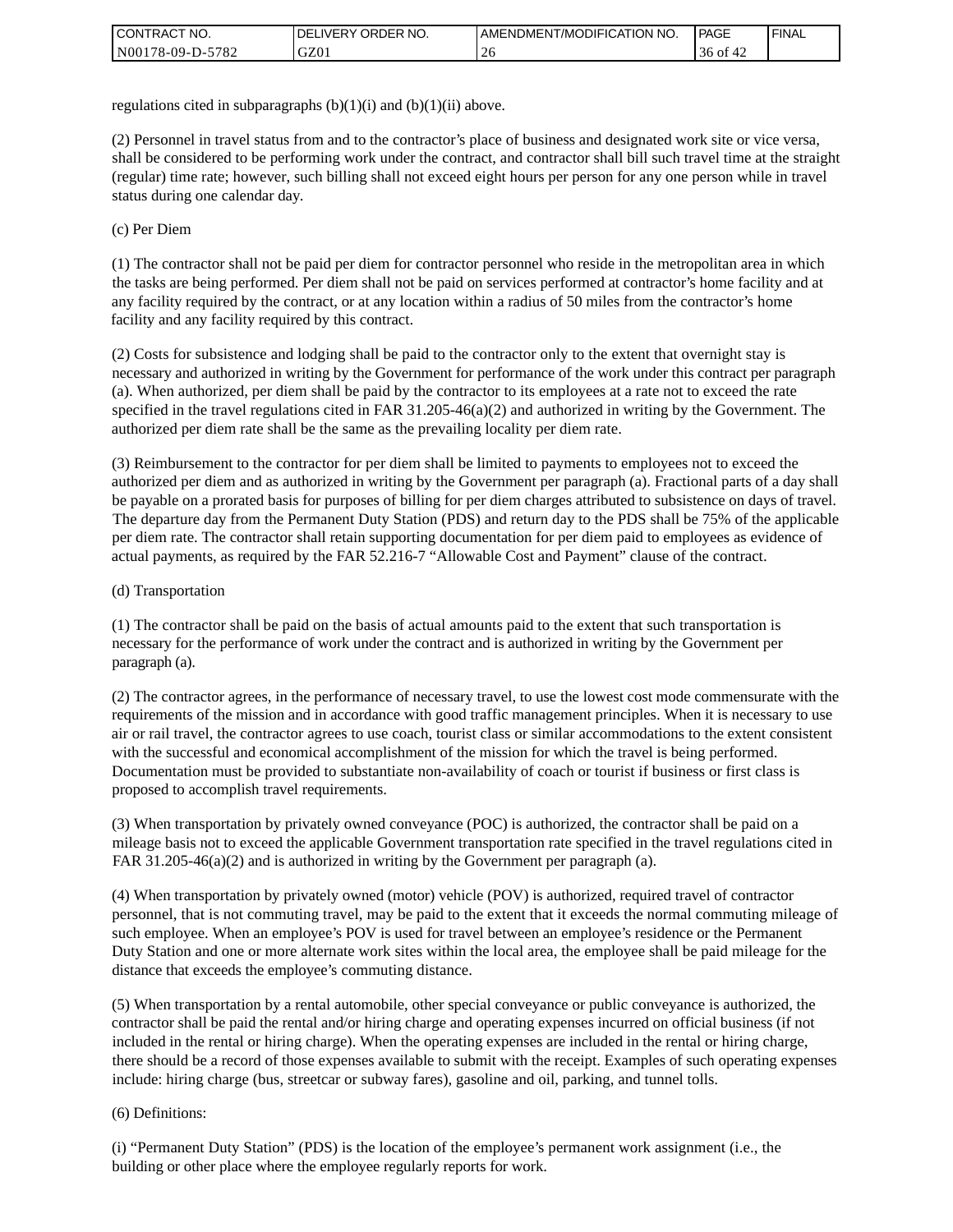| I CONTRACT NO.   | ' ORDER NO.<br><b>DELIVERY</b> | <b>AMENDMENT/MODIFICATION NO.</b> | <b>PAGE</b>   | <b>I FINAL</b> |
|------------------|--------------------------------|-----------------------------------|---------------|----------------|
| N00178-09-D-5782 | GZ01                           | ZU                                | 36 of<br>் 4∠ |                |

regulations cited in subparagraphs  $(b)(1)(i)$  and  $(b)(1)(ii)$  above.

(2) Personnel in travel status from and to the contractor's place of business and designated work site or vice versa, shall be considered to be performing work under the contract, and contractor shall bill such travel time at the straight (regular) time rate; however, such billing shall not exceed eight hours per person for any one person while in travel status during one calendar day.

(c) Per Diem

(1) The contractor shall not be paid per diem for contractor personnel who reside in the metropolitan area in which the tasks are being performed. Per diem shall not be paid on services performed at contractor's home facility and at any facility required by the contract, or at any location within a radius of 50 miles from the contractor's home facility and any facility required by this contract.

(2) Costs for subsistence and lodging shall be paid to the contractor only to the extent that overnight stay is necessary and authorized in writing by the Government for performance of the work under this contract per paragraph (a). When authorized, per diem shall be paid by the contractor to its employees at a rate not to exceed the rate specified in the travel regulations cited in FAR 31.205-46(a)(2) and authorized in writing by the Government. The authorized per diem rate shall be the same as the prevailing locality per diem rate.

(3) Reimbursement to the contractor for per diem shall be limited to payments to employees not to exceed the authorized per diem and as authorized in writing by the Government per paragraph (a). Fractional parts of a day shall be payable on a prorated basis for purposes of billing for per diem charges attributed to subsistence on days of travel. The departure day from the Permanent Duty Station (PDS) and return day to the PDS shall be 75% of the applicable per diem rate. The contractor shall retain supporting documentation for per diem paid to employees as evidence of actual payments, as required by the FAR 52.216-7 "Allowable Cost and Payment" clause of the contract.

#### (d) Transportation

(1) The contractor shall be paid on the basis of actual amounts paid to the extent that such transportation is necessary for the performance of work under the contract and is authorized in writing by the Government per paragraph (a).

(2) The contractor agrees, in the performance of necessary travel, to use the lowest cost mode commensurate with the requirements of the mission and in accordance with good traffic management principles. When it is necessary to use air or rail travel, the contractor agrees to use coach, tourist class or similar accommodations to the extent consistent with the successful and economical accomplishment of the mission for which the travel is being performed. Documentation must be provided to substantiate non-availability of coach or tourist if business or first class is proposed to accomplish travel requirements.

(3) When transportation by privately owned conveyance (POC) is authorized, the contractor shall be paid on a mileage basis not to exceed the applicable Government transportation rate specified in the travel regulations cited in FAR 31.205-46(a)(2) and is authorized in writing by the Government per paragraph (a).

(4) When transportation by privately owned (motor) vehicle (POV) is authorized, required travel of contractor personnel, that is not commuting travel, may be paid to the extent that it exceeds the normal commuting mileage of such employee. When an employee's POV is used for travel between an employee's residence or the Permanent Duty Station and one or more alternate work sites within the local area, the employee shall be paid mileage for the distance that exceeds the employee's commuting distance.

(5) When transportation by a rental automobile, other special conveyance or public conveyance is authorized, the contractor shall be paid the rental and/or hiring charge and operating expenses incurred on official business (if not included in the rental or hiring charge). When the operating expenses are included in the rental or hiring charge, there should be a record of those expenses available to submit with the receipt. Examples of such operating expenses include: hiring charge (bus, streetcar or subway fares), gasoline and oil, parking, and tunnel tolls.

#### (6) Definitions:

(i) "Permanent Duty Station" (PDS) is the location of the employee's permanent work assignment (i.e., the building or other place where the employee regularly reports for work.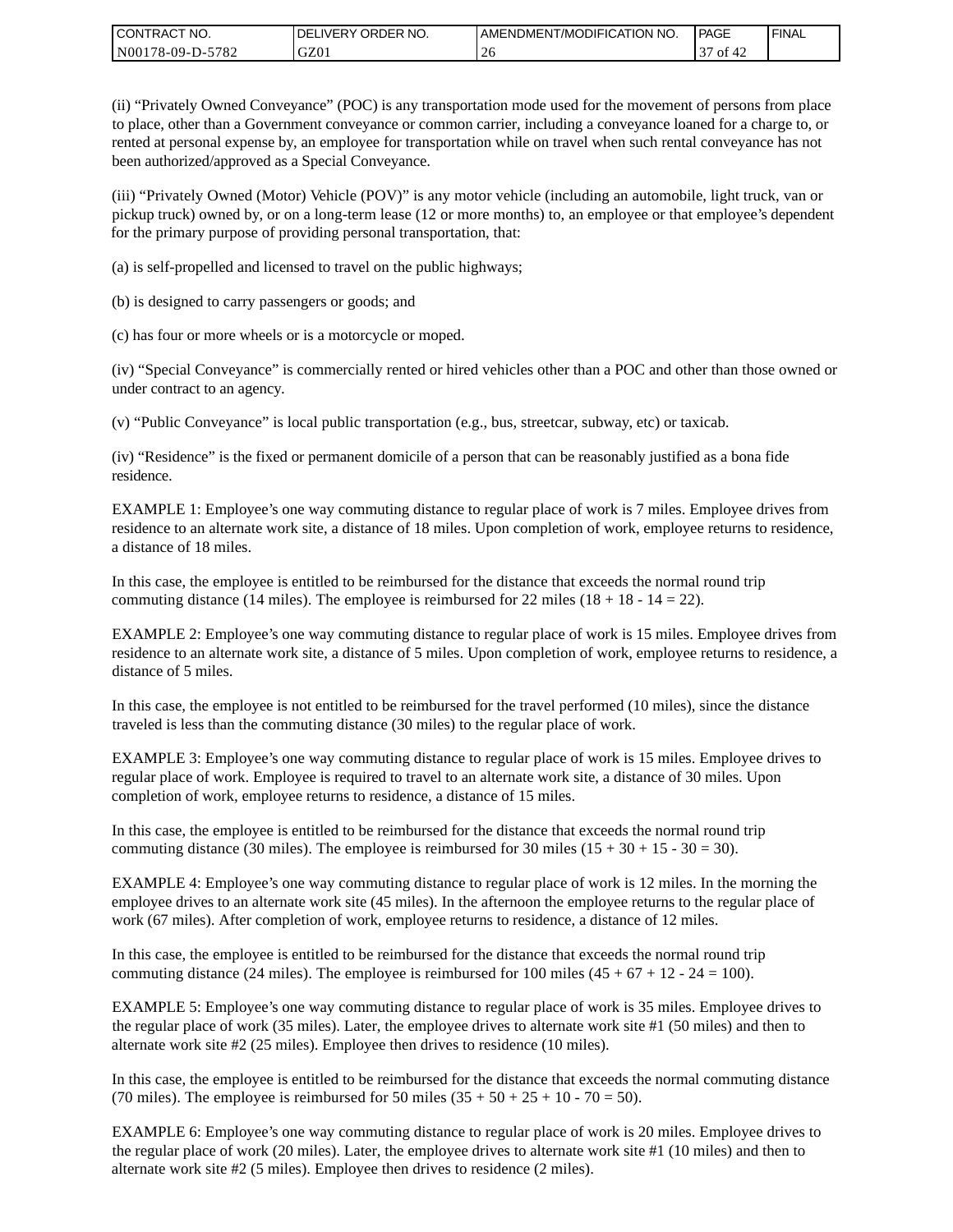| CONTRACT<br>CT NO.                                    | <b>ORDER</b><br>NO.<br><b>DELIVERY</b> | I AMENDMENT/MODIFICATION NO. | PAGE         | <b>I FINAL</b> |
|-------------------------------------------------------|----------------------------------------|------------------------------|--------------|----------------|
| $-5782$<br>N <sub>001</sub><br>*78-09-D- <sub>~</sub> | GZ01                                   | -40                          | $\sim$<br>ΟĪ |                |

(ii) "Privately Owned Conveyance" (POC) is any transportation mode used for the movement of persons from place to place, other than a Government conveyance or common carrier, including a conveyance loaned for a charge to, or rented at personal expense by, an employee for transportation while on travel when such rental conveyance has not been authorized/approved as a Special Conveyance.

(iii) "Privately Owned (Motor) Vehicle (POV)" is any motor vehicle (including an automobile, light truck, van or pickup truck) owned by, or on a long-term lease (12 or more months) to, an employee or that employee's dependent for the primary purpose of providing personal transportation, that:

(a) is self-propelled and licensed to travel on the public highways;

(b) is designed to carry passengers or goods; and

(c) has four or more wheels or is a motorcycle or moped.

(iv) "Special Conveyance" is commercially rented or hired vehicles other than a POC and other than those owned or under contract to an agency.

(v) "Public Conveyance" is local public transportation (e.g., bus, streetcar, subway, etc) or taxicab.

(iv) "Residence" is the fixed or permanent domicile of a person that can be reasonably justified as a bona fide residence.

EXAMPLE 1: Employee's one way commuting distance to regular place of work is 7 miles. Employee drives from residence to an alternate work site, a distance of 18 miles. Upon completion of work, employee returns to residence, a distance of 18 miles.

In this case, the employee is entitled to be reimbursed for the distance that exceeds the normal round trip commuting distance (14 miles). The employee is reimbursed for 22 miles (18 + 18 - 14 = 22).

EXAMPLE 2: Employee's one way commuting distance to regular place of work is 15 miles. Employee drives from residence to an alternate work site, a distance of 5 miles. Upon completion of work, employee returns to residence, a distance of 5 miles.

In this case, the employee is not entitled to be reimbursed for the travel performed (10 miles), since the distance traveled is less than the commuting distance (30 miles) to the regular place of work.

EXAMPLE 3: Employee's one way commuting distance to regular place of work is 15 miles. Employee drives to regular place of work. Employee is required to travel to an alternate work site, a distance of 30 miles. Upon completion of work, employee returns to residence, a distance of 15 miles.

In this case, the employee is entitled to be reimbursed for the distance that exceeds the normal round trip commuting distance (30 miles). The employee is reimbursed for 30 miles  $(15 + 30 + 15 - 30 = 30)$ .

EXAMPLE 4: Employee's one way commuting distance to regular place of work is 12 miles. In the morning the employee drives to an alternate work site (45 miles). In the afternoon the employee returns to the regular place of work (67 miles). After completion of work, employee returns to residence, a distance of 12 miles.

In this case, the employee is entitled to be reimbursed for the distance that exceeds the normal round trip commuting distance (24 miles). The employee is reimbursed for 100 miles  $(45 + 67 + 12 - 24 = 100)$ .

EXAMPLE 5: Employee's one way commuting distance to regular place of work is 35 miles. Employee drives to the regular place of work (35 miles). Later, the employee drives to alternate work site #1 (50 miles) and then to alternate work site #2 (25 miles). Employee then drives to residence (10 miles).

In this case, the employee is entitled to be reimbursed for the distance that exceeds the normal commuting distance (70 miles). The employee is reimbursed for 50 miles  $(35 + 50 + 25 + 10 - 70 = 50)$ .

EXAMPLE 6: Employee's one way commuting distance to regular place of work is 20 miles. Employee drives to the regular place of work (20 miles). Later, the employee drives to alternate work site #1 (10 miles) and then to alternate work site #2 (5 miles). Employee then drives to residence (2 miles).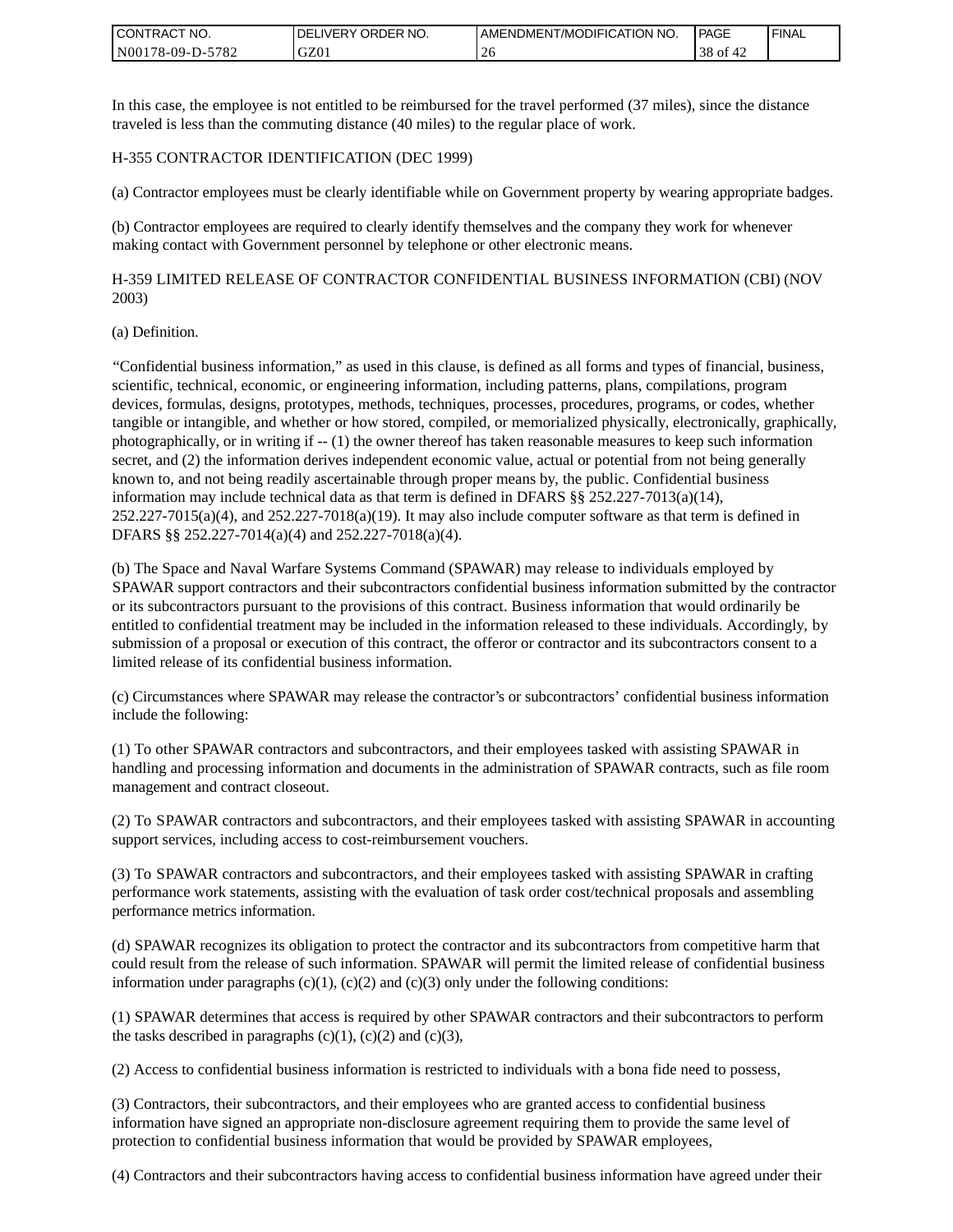| <b>I CONTRACT NO.</b>             | NO.<br>DELIVERY ORDER | AMENDMENT/MODIFICATION NO. | PAGE        | <b>I FINAL</b> |
|-----------------------------------|-----------------------|----------------------------|-------------|----------------|
| 5782<br>N001<br>78-09-L<br>$D$ -f | GZ01                  | $\angle$                   | ` OI<br>эo. |                |

In this case, the employee is not entitled to be reimbursed for the travel performed (37 miles), since the distance traveled is less than the commuting distance (40 miles) to the regular place of work.

#### H-355 CONTRACTOR IDENTIFICATION (DEC 1999)

(a) Contractor employees must be clearly identifiable while on Government property by wearing appropriate badges.

(b) Contractor employees are required to clearly identify themselves and the company they work for whenever making contact with Government personnel by telephone or other electronic means.

H-359 LIMITED RELEASE OF CONTRACTOR CONFIDENTIAL BUSINESS INFORMATION (CBI) (NOV 2003)

#### (a) Definition.

"Confidential business information," as used in this clause, is defined as all forms and types of financial, business, scientific, technical, economic, or engineering information, including patterns, plans, compilations, program devices, formulas, designs, prototypes, methods, techniques, processes, procedures, programs, or codes, whether tangible or intangible, and whether or how stored, compiled, or memorialized physically, electronically, graphically, photographically, or in writing if -- (1) the owner thereof has taken reasonable measures to keep such information secret, and (2) the information derives independent economic value, actual or potential from not being generally known to, and not being readily ascertainable through proper means by, the public. Confidential business information may include technical data as that term is defined in DFARS  $\S$ § 252.227-7013(a)(14),  $252.227-7015(a)(4)$ , and  $252.227-7018(a)(19)$ . It may also include computer software as that term is defined in DFARS §§ 252.227-7014(a)(4) and 252.227-7018(a)(4).

(b) The Space and Naval Warfare Systems Command (SPAWAR) may release to individuals employed by SPAWAR support contractors and their subcontractors confidential business information submitted by the contractor or its subcontractors pursuant to the provisions of this contract. Business information that would ordinarily be entitled to confidential treatment may be included in the information released to these individuals. Accordingly, by submission of a proposal or execution of this contract, the offeror or contractor and its subcontractors consent to a limited release of its confidential business information.

(c) Circumstances where SPAWAR may release the contractor's or subcontractors' confidential business information include the following:

(1) To other SPAWAR contractors and subcontractors, and their employees tasked with assisting SPAWAR in handling and processing information and documents in the administration of SPAWAR contracts, such as file room management and contract closeout.

(2) To SPAWAR contractors and subcontractors, and their employees tasked with assisting SPAWAR in accounting support services, including access to cost-reimbursement vouchers.

(3) To SPAWAR contractors and subcontractors, and their employees tasked with assisting SPAWAR in crafting performance work statements, assisting with the evaluation of task order cost/technical proposals and assembling performance metrics information.

(d) SPAWAR recognizes its obligation to protect the contractor and its subcontractors from competitive harm that could result from the release of such information. SPAWAR will permit the limited release of confidential business information under paragraphs  $(c)(1)$ ,  $(c)(2)$  and  $(c)(3)$  only under the following conditions:

(1) SPAWAR determines that access is required by other SPAWAR contractors and their subcontractors to perform the tasks described in paragraphs  $(c)(1)$ ,  $(c)(2)$  and  $(c)(3)$ ,

(2) Access to confidential business information is restricted to individuals with a bona fide need to possess,

(3) Contractors, their subcontractors, and their employees who are granted access to confidential business information have signed an appropriate non-disclosure agreement requiring them to provide the same level of protection to confidential business information that would be provided by SPAWAR employees,

(4) Contractors and their subcontractors having access to confidential business information have agreed under their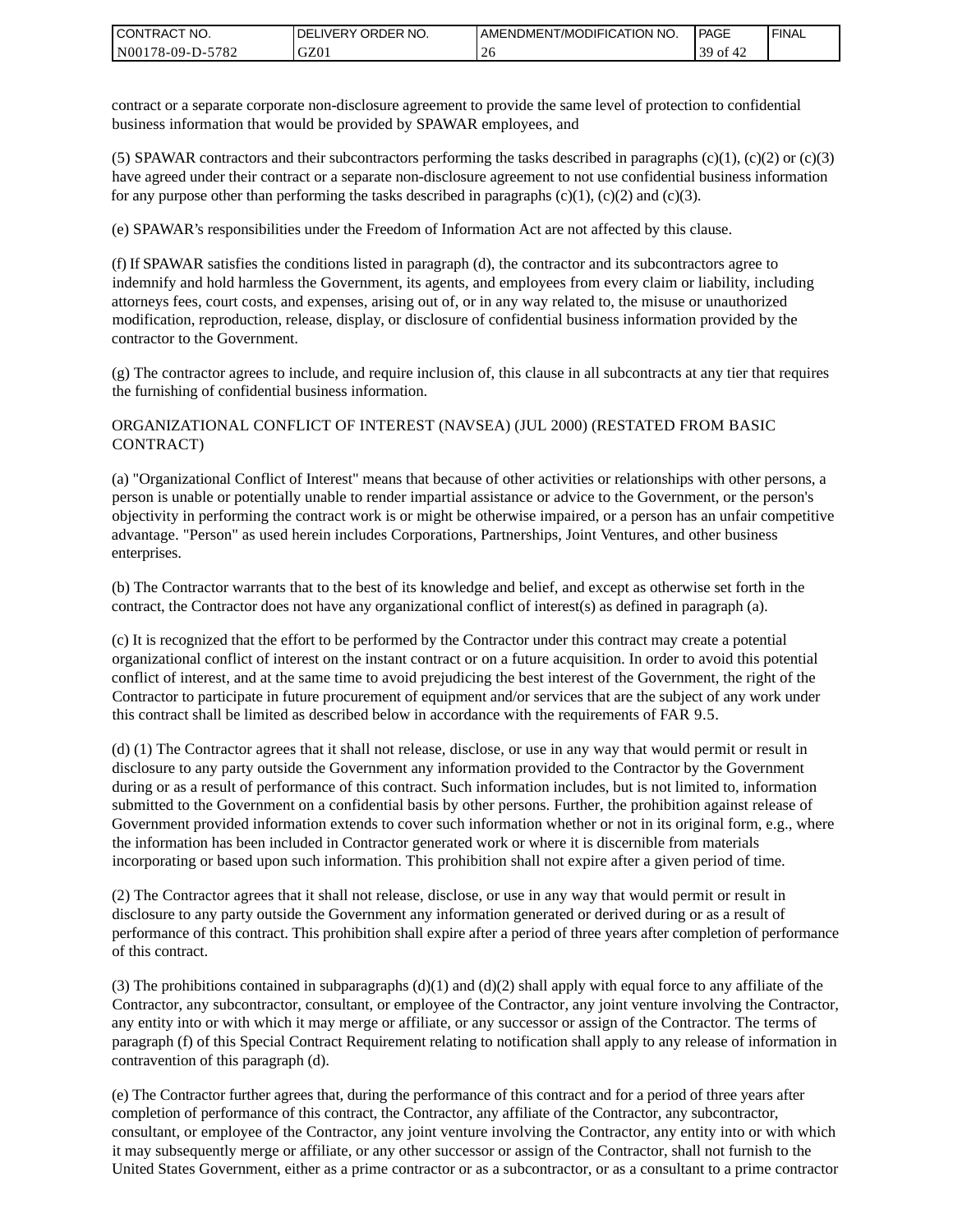| I CONTRACT NO.   | DELIVERY ORDER NO. | AMENDMENT/MODIFICATION NO. | PAGE             | ' FINAL |
|------------------|--------------------|----------------------------|------------------|---------|
| N00178-09-D-5782 | GZ01               |                            | 30<br>0t<br>∗ 4∠ |         |

contract or a separate corporate non-disclosure agreement to provide the same level of protection to confidential business information that would be provided by SPAWAR employees, and

(5) SPAWAR contractors and their subcontractors performing the tasks described in paragraphs  $(c)(1)$ ,  $(c)(2)$  or  $(c)(3)$ have agreed under their contract or a separate non-disclosure agreement to not use confidential business information for any purpose other than performing the tasks described in paragraphs  $(c)(1)$ ,  $(c)(2)$  and  $(c)(3)$ .

(e) SPAWAR's responsibilities under the Freedom of Information Act are not affected by this clause.

(f) If SPAWAR satisfies the conditions listed in paragraph (d), the contractor and its subcontractors agree to indemnify and hold harmless the Government, its agents, and employees from every claim or liability, including attorneys fees, court costs, and expenses, arising out of, or in any way related to, the misuse or unauthorized modification, reproduction, release, display, or disclosure of confidential business information provided by the contractor to the Government.

(g) The contractor agrees to include, and require inclusion of, this clause in all subcontracts at any tier that requires the furnishing of confidential business information.

#### ORGANIZATIONAL CONFLICT OF INTEREST (NAVSEA) (JUL 2000) (RESTATED FROM BASIC CONTRACT)

(a) "Organizational Conflict of Interest" means that because of other activities or relationships with other persons, a person is unable or potentially unable to render impartial assistance or advice to the Government, or the person's objectivity in performing the contract work is or might be otherwise impaired, or a person has an unfair competitive advantage. "Person" as used herein includes Corporations, Partnerships, Joint Ventures, and other business enterprises.

(b) The Contractor warrants that to the best of its knowledge and belief, and except as otherwise set forth in the contract, the Contractor does not have any organizational conflict of interest(s) as defined in paragraph (a).

(c) It is recognized that the effort to be performed by the Contractor under this contract may create a potential organizational conflict of interest on the instant contract or on a future acquisition. In order to avoid this potential conflict of interest, and at the same time to avoid prejudicing the best interest of the Government, the right of the Contractor to participate in future procurement of equipment and/or services that are the subject of any work under this contract shall be limited as described below in accordance with the requirements of FAR 9.5.

(d) (1) The Contractor agrees that it shall not release, disclose, or use in any way that would permit or result in disclosure to any party outside the Government any information provided to the Contractor by the Government during or as a result of performance of this contract. Such information includes, but is not limited to, information submitted to the Government on a confidential basis by other persons. Further, the prohibition against release of Government provided information extends to cover such information whether or not in its original form, e.g., where the information has been included in Contractor generated work or where it is discernible from materials incorporating or based upon such information. This prohibition shall not expire after a given period of time.

(2) The Contractor agrees that it shall not release, disclose, or use in any way that would permit or result in disclosure to any party outside the Government any information generated or derived during or as a result of performance of this contract. This prohibition shall expire after a period of three years after completion of performance of this contract.

(3) The prohibitions contained in subparagraphs  $(d)(1)$  and  $(d)(2)$  shall apply with equal force to any affiliate of the Contractor, any subcontractor, consultant, or employee of the Contractor, any joint venture involving the Contractor, any entity into or with which it may merge or affiliate, or any successor or assign of the Contractor. The terms of paragraph (f) of this Special Contract Requirement relating to notification shall apply to any release of information in contravention of this paragraph (d).

(e) The Contractor further agrees that, during the performance of this contract and for a period of three years after completion of performance of this contract, the Contractor, any affiliate of the Contractor, any subcontractor, consultant, or employee of the Contractor, any joint venture involving the Contractor, any entity into or with which it may subsequently merge or affiliate, or any other successor or assign of the Contractor, shall not furnish to the United States Government, either as a prime contractor or as a subcontractor, or as a consultant to a prime contractor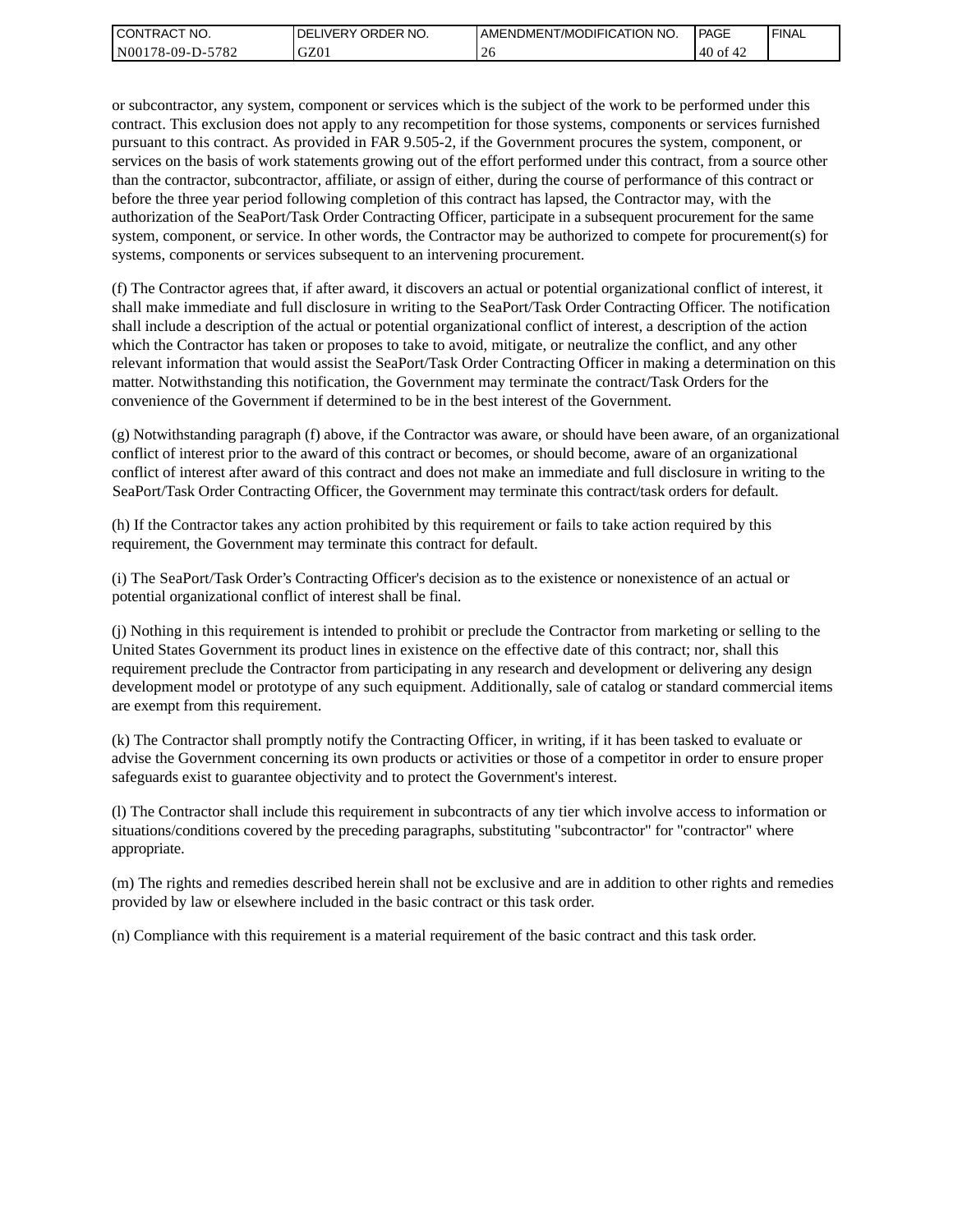| I CONTRACT NO.   | <b>IDELIVERY ORDER NO.</b> | AMENDMENT/MODIFICATION NO. | PAGE     | ' FINAL |
|------------------|----------------------------|----------------------------|----------|---------|
| N00178-09-D-5782 | GZ01                       |                            | 40<br>0t |         |

or subcontractor, any system, component or services which is the subject of the work to be performed under this contract. This exclusion does not apply to any recompetition for those systems, components or services furnished pursuant to this contract. As provided in FAR 9.505-2, if the Government procures the system, component, or services on the basis of work statements growing out of the effort performed under this contract, from a source other than the contractor, subcontractor, affiliate, or assign of either, during the course of performance of this contract or before the three year period following completion of this contract has lapsed, the Contractor may, with the authorization of the SeaPort/Task Order Contracting Officer, participate in a subsequent procurement for the same system, component, or service. In other words, the Contractor may be authorized to compete for procurement(s) for systems, components or services subsequent to an intervening procurement.

(f) The Contractor agrees that, if after award, it discovers an actual or potential organizational conflict of interest, it shall make immediate and full disclosure in writing to the SeaPort/Task Order Contracting Officer. The notification shall include a description of the actual or potential organizational conflict of interest, a description of the action which the Contractor has taken or proposes to take to avoid, mitigate, or neutralize the conflict, and any other relevant information that would assist the SeaPort/Task Order Contracting Officer in making a determination on this matter. Notwithstanding this notification, the Government may terminate the contract/Task Orders for the convenience of the Government if determined to be in the best interest of the Government.

(g) Notwithstanding paragraph (f) above, if the Contractor was aware, or should have been aware, of an organizational conflict of interest prior to the award of this contract or becomes, or should become, aware of an organizational conflict of interest after award of this contract and does not make an immediate and full disclosure in writing to the SeaPort/Task Order Contracting Officer, the Government may terminate this contract/task orders for default.

(h) If the Contractor takes any action prohibited by this requirement or fails to take action required by this requirement, the Government may terminate this contract for default.

(i) The SeaPort/Task Order's Contracting Officer's decision as to the existence or nonexistence of an actual or potential organizational conflict of interest shall be final.

(j) Nothing in this requirement is intended to prohibit or preclude the Contractor from marketing or selling to the United States Government its product lines in existence on the effective date of this contract; nor, shall this requirement preclude the Contractor from participating in any research and development or delivering any design development model or prototype of any such equipment. Additionally, sale of catalog or standard commercial items are exempt from this requirement.

(k) The Contractor shall promptly notify the Contracting Officer, in writing, if it has been tasked to evaluate or advise the Government concerning its own products or activities or those of a competitor in order to ensure proper safeguards exist to guarantee objectivity and to protect the Government's interest.

(l) The Contractor shall include this requirement in subcontracts of any tier which involve access to information or situations/conditions covered by the preceding paragraphs, substituting "subcontractor" for "contractor" where appropriate.

(m) The rights and remedies described herein shall not be exclusive and are in addition to other rights and remedies provided by law or elsewhere included in the basic contract or this task order.

(n) Compliance with this requirement is a material requirement of the basic contract and this task order.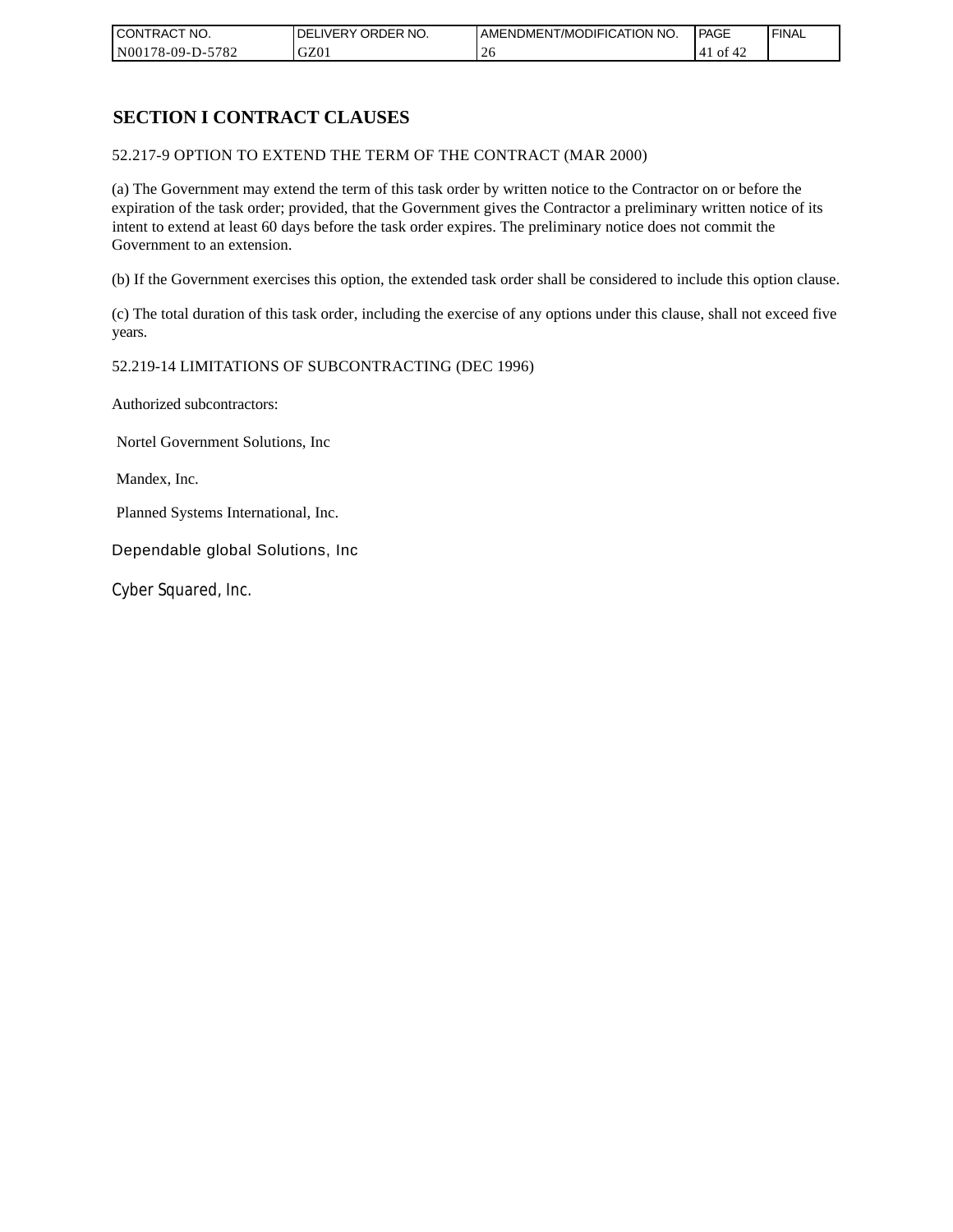| CONTRACT NO.     | `NO.<br><b>DELIVERY ORDER</b> | AMENDMENT/MODIFICATION<br>' NO. | PAGE              | 'FINAL |
|------------------|-------------------------------|---------------------------------|-------------------|--------|
| N00178-09-D-5782 | GZ01                          |                                 | 0Ť<br>'41<br>ے 4⊤ |        |

## **SECTION I CONTRACT CLAUSES**

52.217-9 OPTION TO EXTEND THE TERM OF THE CONTRACT (MAR 2000)

(a) The Government may extend the term of this task order by written notice to the Contractor on or before the expiration of the task order; provided, that the Government gives the Contractor a preliminary written notice of its intent to extend at least 60 days before the task order expires. The preliminary notice does not commit the Government to an extension.

(b) If the Government exercises this option, the extended task order shall be considered to include this option clause.

(c) The total duration of this task order, including the exercise of any options under this clause, shall not exceed five years.

#### 52.219-14 LIMITATIONS OF SUBCONTRACTING (DEC 1996)

Authorized subcontractors:

Nortel Government Solutions, Inc

Mandex, Inc.

Planned Systems International, Inc.

Dependable global Solutions, Inc

Cyber Squared, Inc.